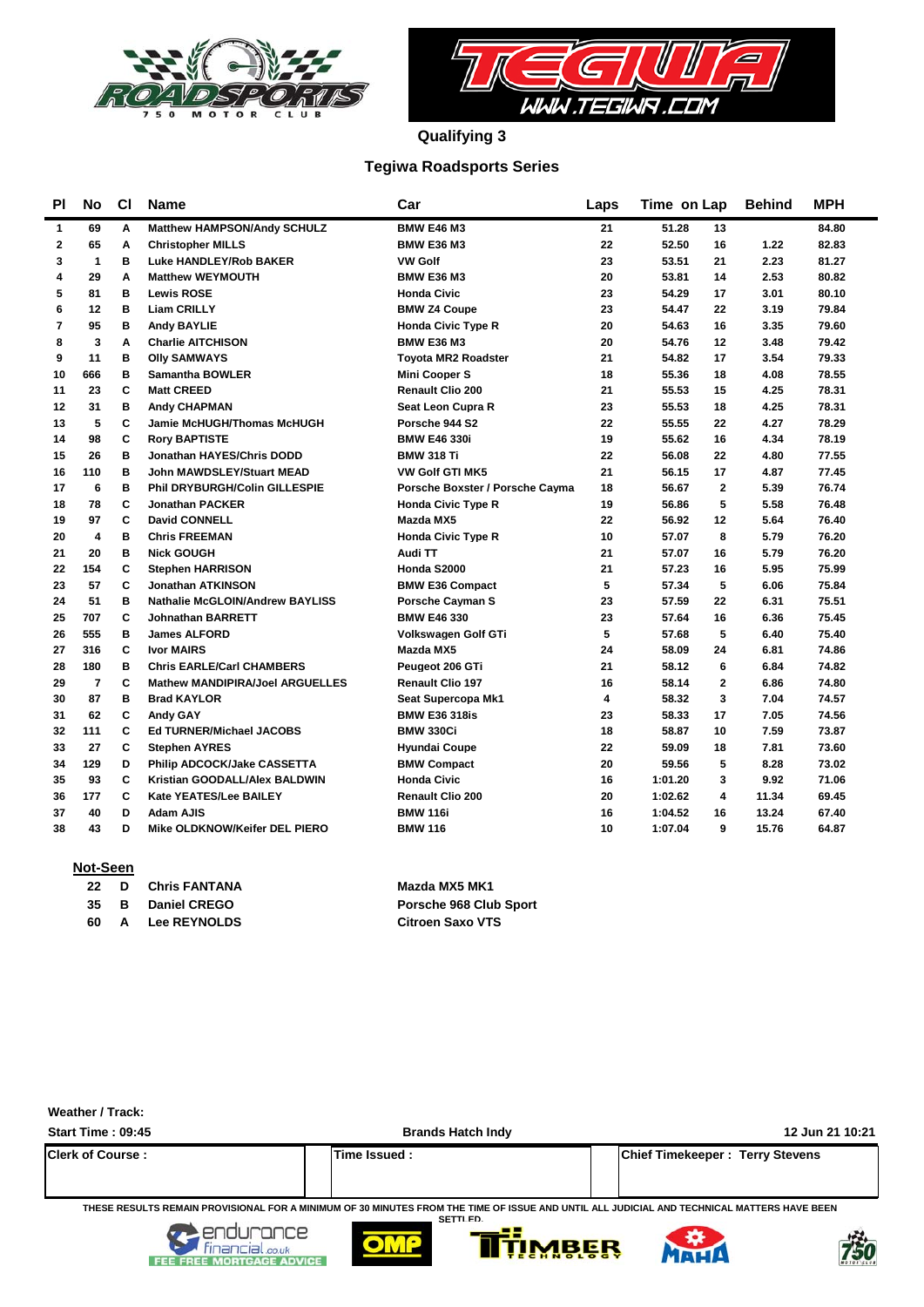



**Qualifying 3**

### **Tegiwa Roadsports Series**

| PI             | No           | <b>CI</b> | <b>Name</b>                                       | Car                             | Laps | Time on Lap |              | <b>Behind</b> | <b>MPH</b> |  |
|----------------|--------------|-----------|---------------------------------------------------|---------------------------------|------|-------------|--------------|---------------|------------|--|
| 1              | 69           | A         | Matthew HAMPSON/Andy SCHULZ                       | <b>BMW E46 M3</b>               | 21   | 51.28       | 13           |               | 84.80      |  |
| $\mathbf{2}$   | 65           | A         | <b>Christopher MILLS</b>                          | <b>BMW E36 M3</b>               | 22   | 52.50       | 16           | 1.22          | 82.83      |  |
| 3              | $\mathbf{1}$ | в         | Luke HANDLEY/Rob BAKER                            | <b>VW Golf</b>                  | 23   | 53.51       | 21           | 2.23          | 81.27      |  |
| 4              | 29           | A         | <b>Matthew WEYMOUTH</b>                           | <b>BMW E36 M3</b>               | 20   | 53.81       | 14           | 2.53          | 80.82      |  |
| 5              | 81           | в         | <b>Lewis ROSE</b>                                 | <b>Honda Civic</b>              | 23   | 54.29       | 17           | 3.01          | 80.10      |  |
| 6              | 12           | в         | <b>Liam CRILLY</b>                                | <b>BMW Z4 Coupe</b>             | 23   | 54.47       | 22           | 3.19          | 79.84      |  |
| $\overline{7}$ | 95           | в         | <b>Andy BAYLIE</b>                                | <b>Honda Civic Type R</b>       | 20   | 54.63       | 16           | 3.35          | 79.60      |  |
| 8              | 3            | A         | <b>Charlie AITCHISON</b>                          | <b>BMW E36 M3</b>               | 20   | 54.76       | 12           | 3.48          | 79.42      |  |
| 9              | 11           | в         | <b>Olly SAMWAYS</b>                               | <b>Tovota MR2 Roadster</b>      | 21   | 54.82       | 17           | 3.54          | 79.33      |  |
| 10             | 666          | B         | <b>Samantha BOWLER</b>                            | <b>Mini Cooper S</b>            | 18   | 55.36       | 18           | 4.08          | 78.55      |  |
| 11             | 23           | C         | <b>Matt CREED</b>                                 | <b>Renault Clio 200</b>         | 21   | 55.53       | 15           | 4.25          | 78.31      |  |
| 12             | 31           | в         | <b>Andy CHAPMAN</b>                               | <b>Seat Leon Cupra R</b>        | 23   | 55.53       | 18           | 4.25          | 78.31      |  |
| 13             | 5            | C         | Jamie McHUGH/Thomas McHUGH                        | Porsche 944 S2                  | 22   | 55.55       | 22           | 4.27          | 78.29      |  |
| 14             | 98           | C         | <b>Rory BAPTISTE</b>                              | <b>BMW E46 330i</b>             | 19   | 55.62       | 16           | 4.34          | 78.19      |  |
| 15             | 26           | в         | Jonathan HAYES/Chris DODD                         | <b>BMW 318 Ti</b>               | 22   | 56.08       | 22           | 4.80          | 77.55      |  |
| 16             | 110          | в         | <b>John MAWDSLEY/Stuart MEAD</b>                  | <b>VW Golf GTI MK5</b>          | 21   | 56.15       | 17           | 4.87          | 77.45      |  |
| 17             | 6            | в         | <b>Phil DRYBURGH/Colin GILLESPIE</b>              | Porsche Boxster / Porsche Cayma | 18   | 56.67       | $\mathbf{2}$ | 5.39          | 76.74      |  |
| 18             | 78           | C         | <b>Jonathan PACKER</b>                            | <b>Honda Civic Type R</b>       | 19   | 56.86       | 5            | 5.58          | 76.48      |  |
| 19             | 97           | C         | <b>David CONNELL</b>                              | Mazda MX5                       | 22   | 56.92       | 12           | 5.64          | 76.40      |  |
| 20             | 4            | B         | <b>Chris FREEMAN</b>                              | <b>Honda Civic Type R</b>       | 10   | 57.07       | 8            | 5.79          | 76.20      |  |
| 21             | 20           | в         | <b>Nick GOUGH</b>                                 | Audi TT                         | 21   | 57.07       | 16           | 5.79          | 76.20      |  |
| 22             | 154          | C         | <b>Stephen HARRISON</b>                           | Honda S2000                     | 21   | 57.23       | 16           | 5.95          | 75.99      |  |
| 23             | 57           | C         | <b>Jonathan ATKINSON</b>                          | <b>BMW E36 Compact</b>          | 5    | 57.34       | 5            | 6.06          | 75.84      |  |
| 24             | 51           | в         | <b>Nathalie McGLOIN/Andrew BAYLISS</b>            | <b>Porsche Cayman S</b>         | 23   | 57.59       | 22           | 6.31          | 75.51      |  |
| 25             | 707          | C         | <b>Johnathan BARRETT</b>                          | <b>BMW E46 330</b>              | 23   | 57.64       | 16           | 6.36          | 75.45      |  |
| 26             | 555          | в         | <b>James ALFORD</b>                               | Volkswagen Golf GTi             | 5    | 57.68       | 5            | 6.40          | 75.40      |  |
| 27             | 316          | C         | <b>Ivor MAIRS</b>                                 | Mazda MX5                       | 24   | 58.09       | 24           | 6.81          | 74.86      |  |
| 28             | 180          | в         | <b>Chris EARLE/Carl CHAMBERS</b>                  | Peugeot 206 GTi                 | 21   | 58.12       | 6            | 6.84          | 74.82      |  |
| 29             | 7            | C         | <b>Mathew MANDIPIRA/Joel ARGUELLES</b>            | <b>Renault Clio 197</b>         | 16   | 58.14       | $\mathbf{2}$ | 6.86          | 74.80      |  |
| 30             | 87           | в         | <b>Brad KAYLOR</b>                                | Seat Supercopa Mk1              | 4    | 58.32       | 3            | 7.04          | 74.57      |  |
| 31             | 62           | C         | <b>Andy GAY</b>                                   | <b>BMW E36 318is</b>            | 23   | 58.33       | 17           | 7.05          | 74.56      |  |
| 32             | 111          | C         | <b>Ed TURNER/Michael JACOBS</b>                   | <b>BMW 330Ci</b>                | 18   | 58.87       | 10           | 7.59          | 73.87      |  |
| 33             | 27           | C         | <b>Stephen AYRES</b>                              | <b>Hyundai Coupe</b>            | 22   | 59.09       | 18           | 7.81          | 73.60      |  |
| 34             | 129          | D         | Philip ADCOCK/Jake CASSETTA                       | <b>BMW Compact</b>              | 20   | 59.56       | 5            | 8.28          | 73.02      |  |
| 35             | 93           | C         | Kristian GOODALL/Alex BALDWIN                     | <b>Honda Civic</b>              | 16   | 1:01.20     | 3            | 9.92          | 71.06      |  |
| 36             | 177          | C         | Kate YEATES/Lee BAILEY<br><b>Renault Clio 200</b> |                                 | 20   | 1:02.62     | 4            | 11.34         | 69.45      |  |
| 37             | 40           | D         | Adam AJIS                                         | <b>BMW 116i</b>                 | 16   | 1:04.52     | 16           | 13.24         | 67.40      |  |
| 38             | 43           | D         | Mike OLDKNOW/Keifer DEL PIERO                     | <b>BMW 116</b>                  | 10   | 1:07.04     | 9            | 15.76         | 64.87      |  |

#### **Not-Seen**

**60 Lee REYNOLDS Citroen Saxo VTS A**

**22 Chris Fantana Mazda MX5 MK1 35 Daniel CREGO Porsche 968 Club Sport B**

| Weather / Track:                                                                                                                                               |                          |                                        |  |  |  |  |  |  |  |  |
|----------------------------------------------------------------------------------------------------------------------------------------------------------------|--------------------------|----------------------------------------|--|--|--|--|--|--|--|--|
| Start Time: 09:45                                                                                                                                              | <b>Brands Hatch Indy</b> | 12 Jun 21 10:21                        |  |  |  |  |  |  |  |  |
| <b>IClerk of Course:</b>                                                                                                                                       | Time Issued:             | <b>Chief Timekeeper: Terry Stevens</b> |  |  |  |  |  |  |  |  |
| THESE RESULTS REMAIN PROVISIONAL FOR A MINIMUM OF 30 MINUTES FROM THE TIME OF ISSUE AND UNTIL ALL JUDICIAL AND TECHNICAL MATTERS HAVE BEEN<br><b>SETTI FD.</b> |                          |                                        |  |  |  |  |  |  |  |  |









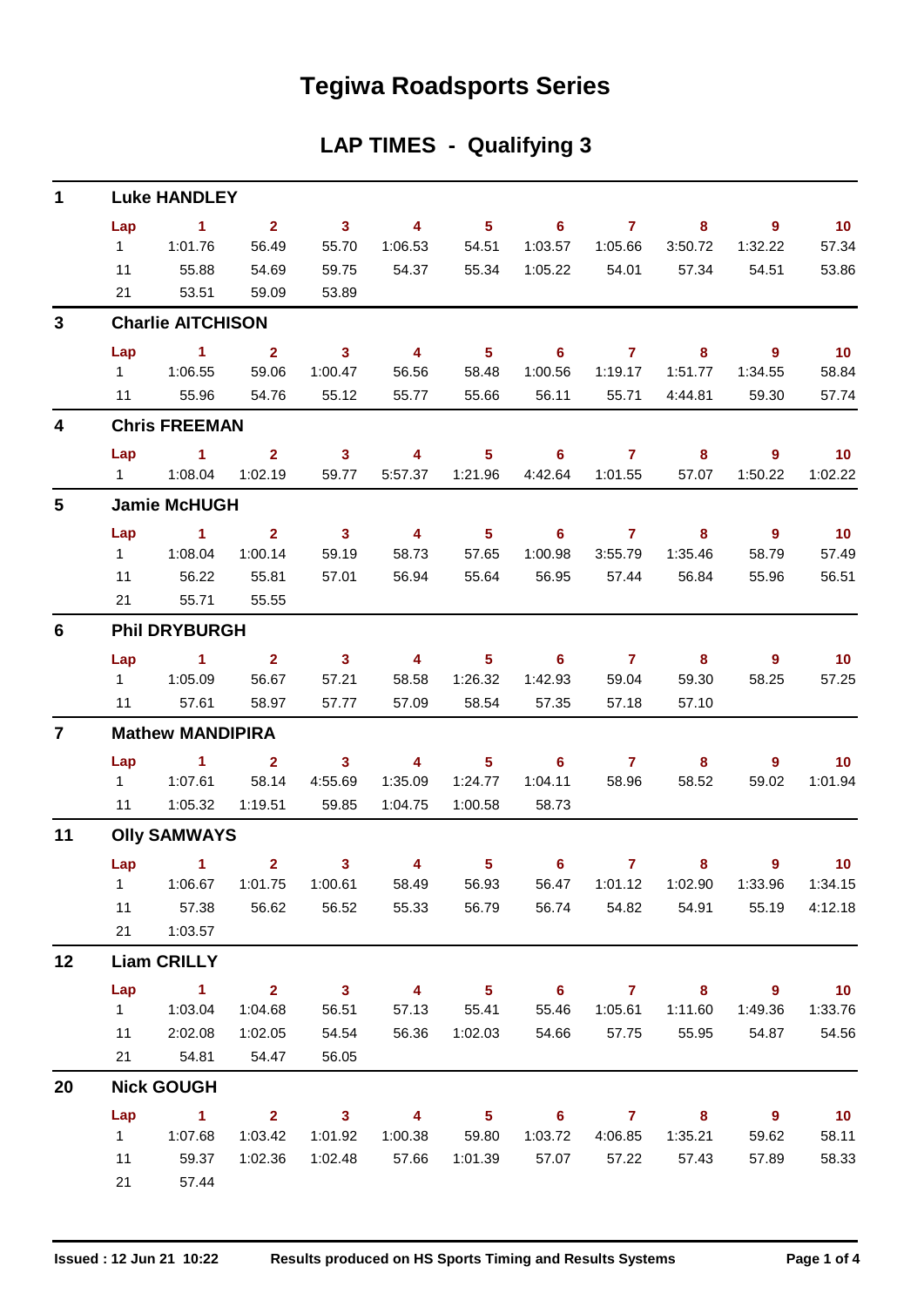## **Tegiwa Roadsports Series**

## **LAP TIMES - Qualifying 3**

| $\mathbf 1$    |                     | <b>Luke HANDLEY</b>             |                         |                         |                         |                |                            |                |                            |                                  |                 |  |  |  |
|----------------|---------------------|---------------------------------|-------------------------|-------------------------|-------------------------|----------------|----------------------------|----------------|----------------------------|----------------------------------|-----------------|--|--|--|
|                | Lap                 | $\sim$ 1                        | 2 <sup>1</sup>          | $\overline{\mathbf{3}}$ | $\overline{4}$          | 5 <sup>5</sup> | 6                          | $\mathbf{7}$   | 8                          | 9                                | $-10$           |  |  |  |
|                | 1                   | 1:01.76                         | 56.49                   | 55.70                   | 1:06.53                 | 54.51          | 1:03.57                    | 1:05.66        | 3:50.72                    | 1:32.22                          | 57.34           |  |  |  |
|                | 11                  | 55.88                           | 54.69                   | 59.75                   | 54.37                   | 55.34          | 1:05.22                    | 54.01          | 57.34                      | 54.51                            | 53.86           |  |  |  |
|                | 21                  | 53.51                           | 59.09                   | 53.89                   |                         |                |                            |                |                            |                                  |                 |  |  |  |
| 3              |                     | <b>Charlie AITCHISON</b>        |                         |                         |                         |                |                            |                |                            |                                  |                 |  |  |  |
|                | Lap                 | $\sim$ 1                        | $\overline{\mathbf{2}}$ | 3 <sup>1</sup>          | $\overline{\mathbf{4}}$ | 5 <sup>5</sup> | 6                          | $\overline{7}$ | 8                          | $9^{\circ}$                      | $-10$           |  |  |  |
|                | $1 \quad$           | 1:06.55                         | 59.06                   | 1:00.47                 | 56.56                   | 58.48          | 1:00.56                    | 1:19.17        | 1:51.77                    | 1:34.55                          | 58.84           |  |  |  |
|                | 11                  | 55.96                           | 54.76                   | 55.12                   | 55.77                   | 55.66          | 56.11                      | 55.71          | 4:44.81                    | 59.30                            | 57.74           |  |  |  |
| 4              |                     | <b>Chris FREEMAN</b>            |                         |                         |                         |                |                            |                |                            |                                  |                 |  |  |  |
|                | Lap                 | $\sim$ 1                        | $\overline{2}$          | 3 <sup>7</sup>          | $\overline{\mathbf{4}}$ | 5 <sup>5</sup> | 6                          | $\overline{7}$ | 8                          | $\overline{9}$                   | $-10$           |  |  |  |
|                | $1 \quad$           | 1:08.04                         | 1:02.19                 | 59.77                   | 5:57.37                 | 1:21.96        | 4:42.64                    | 1:01.55        | 57.07                      | 1:50.22                          | 1:02.22         |  |  |  |
| $5\phantom{1}$ | <b>Jamie McHUGH</b> |                                 |                         |                         |                         |                |                            |                |                            |                                  |                 |  |  |  |
|                | Lap                 | $\mathbf{1}$                    | $\overline{2}$          | $\overline{\mathbf{3}}$ | $\overline{4}$          | 5 <sup>5</sup> | 6                          | $\mathbf{7}$   | 8                          | 9                                | $-10$           |  |  |  |
|                | $1 \quad$           | 1:08.04                         | 1:00.14                 | 59.19                   | 58.73                   | 57.65          | 1:00.98                    | 3:55.79        | 1:35.46                    | 58.79                            | 57.49           |  |  |  |
|                | 11                  | 56.22                           | 55.81                   | 57.01                   | 56.94                   | 55.64          | 56.95                      | 57.44          | 56.84                      | 55.96                            | 56.51           |  |  |  |
|                | 21                  | 55.71                           | 55.55                   |                         |                         |                |                            |                |                            |                                  |                 |  |  |  |
| $6\phantom{1}$ |                     | <b>Phil DRYBURGH</b>            |                         |                         |                         |                |                            |                |                            |                                  |                 |  |  |  |
|                | Lap                 | $\sim$ 1                        | $\overline{2}$          | $\mathbf{3}$            | $\overline{\mathbf{4}}$ | 5 <sup>5</sup> | 6                          | $\overline{7}$ | 8                          | $9^{\circ}$                      | $-10$           |  |  |  |
|                | $1 \quad$           | 1:05.09                         | 56.67                   | 57.21                   | 58.58                   | 1:26.32        | 1:42.93                    | 59.04          | 59.30                      | 58.25                            | 57.25           |  |  |  |
|                | 11                  | 57.61                           | 58.97                   | 57.77                   | 57.09                   | 58.54          | 57.35                      | 57.18          | 57.10                      |                                  |                 |  |  |  |
| $\overline{7}$ |                     | <b>Mathew MANDIPIRA</b>         |                         |                         |                         |                |                            |                |                            |                                  |                 |  |  |  |
|                | Lap                 | $\overline{1}$ $\overline{2}$   |                         | $\overline{\mathbf{3}}$ | $\overline{4}$          | 5 <sup>5</sup> | 6                          | $\mathbf{7}$   | 8                          | 9                                | 10 <sup>°</sup> |  |  |  |
|                | $1 \quad$           | 1:07.61                         | 58.14                   | 4:55.69                 | 1:35.09                 | 1:24.77        | 1:04.11                    | 58.96          | 58.52                      | 59.02                            | 1:01.94         |  |  |  |
|                | 11                  | 1:05.32                         | 1:19.51                 | 59.85                   | 1:04.75                 | 1:00.58        | 58.73                      |                |                            |                                  |                 |  |  |  |
| 11             | <b>Olly SAMWAYS</b> |                                 |                         |                         |                         |                |                            |                |                            |                                  |                 |  |  |  |
|                |                     | Lap 1 2                         |                         | 3 <sup>7</sup>          | $\overline{\mathbf{4}}$ | 5 <sub>5</sub> | $6^{\circ}$                | $\mathbf{7}$   | 8                          | 9                                | 10 <sub>1</sub> |  |  |  |
|                |                     | 1   1:06.67   1:01.75   1:00.61 |                         |                         | 58.49                   | 56.93          |                            |                |                            | 56.47  1:01.12  1:02.90  1:33.96 | 1:34.15         |  |  |  |
|                | 11                  | 57.38                           | 56.62                   | 56.52                   | 55.33                   | 56.79          | 56.74                      | 54.82          | 54.91                      | 55.19                            | 4:12.18         |  |  |  |
|                | 21                  | 1:03.57                         |                         |                         |                         |                |                            |                |                            |                                  |                 |  |  |  |
| 12             |                     | <b>Liam CRILLY</b>              |                         |                         |                         |                |                            |                |                            |                                  |                 |  |  |  |
|                | Lap                 | $\sim$ 1                        | $2^{\circ}$             | $\overline{\mathbf{3}}$ | $\overline{\mathbf{4}}$ | 5 <sup>5</sup> | $\overline{\phantom{0}}$ 6 | $\mathbf{7}$   | 8                          | $9^{\circ}$                      | 10              |  |  |  |
|                | 1                   | 1:03.04                         | 1:04.68                 | 56.51                   | 57.13                   | 55.41          | 55.46                      | 1:05.61        | 1:11.60                    | 1:49.36                          | 1:33.76         |  |  |  |
|                | 11                  | 2:02.08                         | 1:02.05                 | 54.54                   | 56.36                   | 1:02.03        | 54.66                      | 57.75          | 55.95                      | 54.87                            | 54.56           |  |  |  |
|                | 21                  | 54.81                           | 54.47                   | 56.05                   |                         |                |                            |                |                            |                                  |                 |  |  |  |
| 20             |                     | <b>Nick GOUGH</b>               |                         |                         |                         |                |                            |                |                            |                                  |                 |  |  |  |
|                | Lap                 | $\sim$ 1                        | $\overline{\mathbf{2}}$ | $\overline{\mathbf{3}}$ | $\overline{\mathbf{4}}$ | 5 <sub>5</sub> | $\overline{\phantom{0}}$ 6 | $\overline{7}$ | $\overline{\phantom{a}}$ 8 | $\overline{\phantom{a}}$         | 10              |  |  |  |
|                | 1                   | 1:07.68                         | 1:03.42                 | 1:01.92                 | 1:00.38                 | 59.80          | 1:03.72                    | 4:06.85        | 1:35.21                    | 59.62                            | 58.11           |  |  |  |
|                | 11                  | 59.37                           | 1:02.36                 | 1:02.48                 | 57.66                   | 1:01.39        | 57.07                      | 57.22          | 57.43                      | 57.89                            | 58.33           |  |  |  |
|                | 21                  | 57.44                           |                         |                         |                         |                |                            |                |                            |                                  |                 |  |  |  |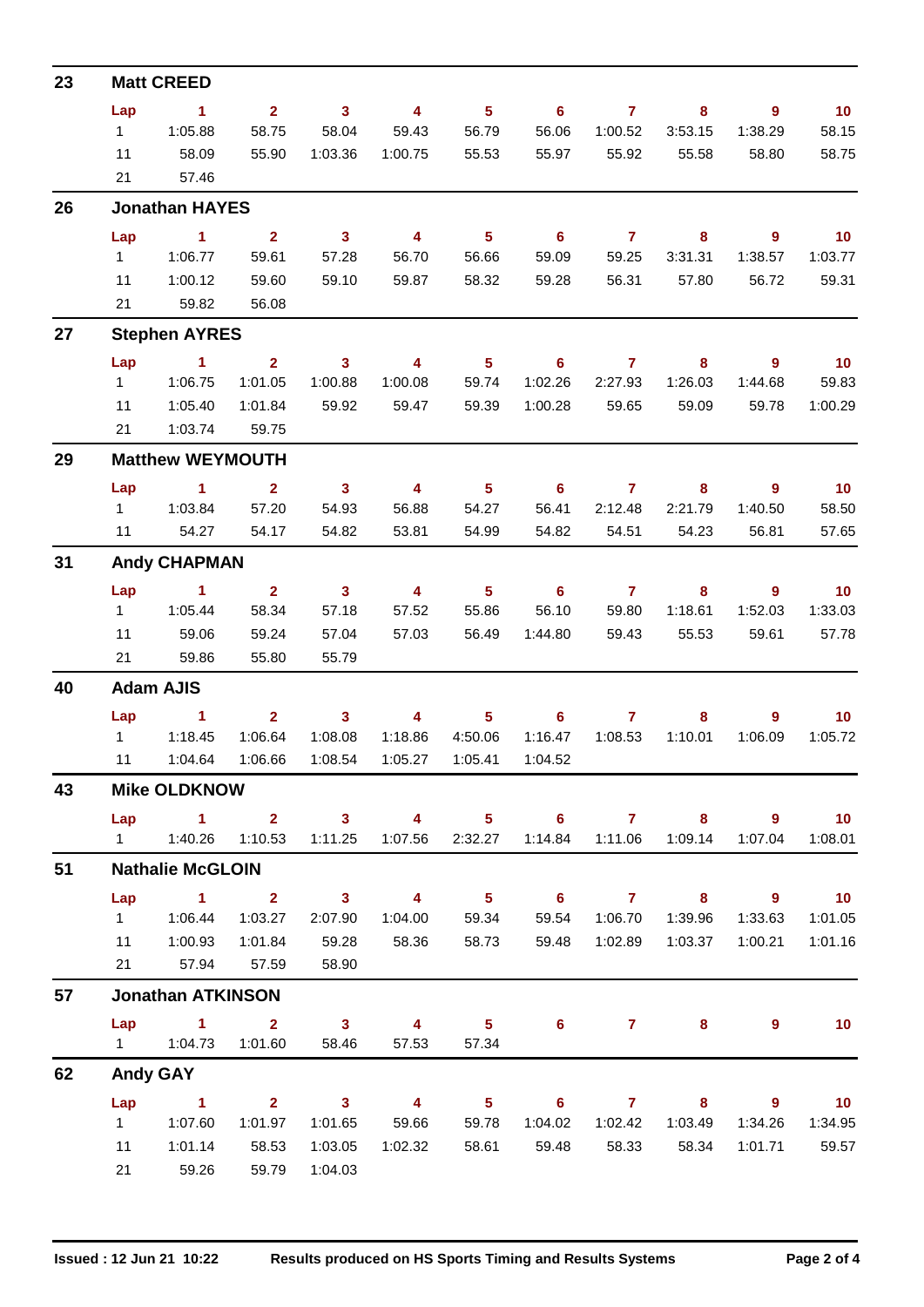| 23 |                     | <b>Matt CREED</b>                                                                           |                               |                |                         |                                     |                            |                |                  |                            |                   |  |  |  |
|----|---------------------|---------------------------------------------------------------------------------------------|-------------------------------|----------------|-------------------------|-------------------------------------|----------------------------|----------------|------------------|----------------------------|-------------------|--|--|--|
|    | Lap                 | $\blacktriangleleft$                                                                        | 2 <sup>1</sup>                | $\mathbf{3}$   | $\overline{4}$          | 5 <sup>5</sup>                      | $\overline{\phantom{0}}$ 6 | $\mathbf{7}$   | 8                | 9                          | 10                |  |  |  |
|    | 1                   | 1:05.88                                                                                     | 58.75                         | 58.04          | 59.43                   | 56.79                               | 56.06                      | 1:00.52        | 3:53.15          | 1:38.29                    | 58.15             |  |  |  |
|    | 11                  | 58.09                                                                                       | 55.90                         | 1:03.36        | 1:00.75                 | 55.53                               | 55.97                      | 55.92          | 55.58            | 58.80                      | 58.75             |  |  |  |
|    | 21                  | 57.46                                                                                       |                               |                |                         |                                     |                            |                |                  |                            |                   |  |  |  |
| 26 |                     | <b>Jonathan HAYES</b>                                                                       |                               |                |                         |                                     |                            |                |                  |                            |                   |  |  |  |
|    | Lap                 | $\sim$ 1                                                                                    | $\overline{2}$                | $\mathbf{3}$   | $\overline{4}$          | 5 <sup>5</sup>                      | 6 <sup>6</sup>             | $\overline{7}$ | 8                | $\overline{9}$             | 10                |  |  |  |
|    | 1                   | 1:06.77                                                                                     | 59.61                         | 57.28          | 56.70                   | 56.66                               | 59.09                      | 59.25          | 3:31.31          | 1:38.57                    | 1:03.77           |  |  |  |
|    | 11                  | 1:00.12                                                                                     | 59.60                         | 59.10          | 59.87                   | 58.32                               | 59.28                      | 56.31          | 57.80            | 56.72                      | 59.31             |  |  |  |
|    | 21                  | 59.82                                                                                       | 56.08                         |                |                         |                                     |                            |                |                  |                            |                   |  |  |  |
| 27 |                     | <b>Stephen AYRES</b>                                                                        |                               |                |                         |                                     |                            |                |                  |                            |                   |  |  |  |
|    | Lap                 | $\blacktriangleleft$                                                                        | 2 <sup>1</sup>                | $\mathbf{3}$   | $\overline{\mathbf{4}}$ | $5\phantom{.0}$                     | 6                          | 7              | 8                | 9                          | 10                |  |  |  |
|    | $1 \quad$           | 1:06.75                                                                                     | 1:01.05                       | 1:00.88        | 1:00.08                 | 59.74                               | 1:02.26                    | 2:27.93        | 1:26.03          | 1:44.68                    | 59.83             |  |  |  |
|    | 11                  | 1:05.40                                                                                     | 1:01.84                       | 59.92          | 59.47                   | 59.39                               | 1:00.28                    | 59.65          | 59.09            | 59.78                      | 1:00.29           |  |  |  |
|    | 21                  | 1:03.74                                                                                     | 59.75                         |                |                         |                                     |                            |                |                  |                            |                   |  |  |  |
| 29 |                     | <b>Matthew WEYMOUTH</b>                                                                     |                               |                |                         |                                     |                            |                |                  |                            |                   |  |  |  |
|    | Lap                 | $\sim$ 1                                                                                    | $\overline{2}$                | 3 <sup>1</sup> | $\overline{4}$          | 5 <sup>1</sup>                      | $6\phantom{1}$             | $\overline{7}$ | 8                | $\overline{9}$             | 10                |  |  |  |
|    | $1 \quad$           | 1:03.84                                                                                     | 57.20                         | 54.93          | 56.88                   | 54.27                               | 56.41                      | 2:12.48        | 2:21.79          | 1:40.50                    | 58.50             |  |  |  |
|    | 11                  | 54.27                                                                                       | 54.17                         | 54.82          | 53.81                   | 54.99                               | 54.82                      | 54.51          | 54.23            | 56.81                      | 57.65             |  |  |  |
| 31 |                     | <b>Andy CHAPMAN</b>                                                                         |                               |                |                         |                                     |                            |                |                  |                            |                   |  |  |  |
|    | Lap                 | $\sim$ $\sim$ 1                                                                             | $\overline{2}$                | $\mathbf{3}$   | 4                       | 5 <sup>5</sup>                      | $\overline{\phantom{0}}$ 6 | $\overline{7}$ | 8                | 9                          | 10                |  |  |  |
|    | $1 \quad$           | 1:05.44                                                                                     | 58.34                         | 57.18          | 57.52                   | 55.86                               | 56.10                      | 59.80          | 1:18.61          | 1:52.03                    | 1:33.03           |  |  |  |
|    | 11                  | 59.06                                                                                       | 59.24                         | 57.04          | 57.03                   | 56.49                               | 1:44.80                    | 59.43          | 55.53            | 59.61                      | 57.78             |  |  |  |
|    | 21                  | 59.86                                                                                       | 55.80                         | 55.79          |                         |                                     |                            |                |                  |                            |                   |  |  |  |
| 40 |                     | <b>Adam AJIS</b>                                                                            |                               |                |                         |                                     |                            |                |                  |                            |                   |  |  |  |
|    | Lap                 | $\blacktriangleleft$                                                                        | 2 <sup>1</sup>                | $\mathbf{3}$   | 4                       | 5                                   | 6                          | $\overline{7}$ | 8                | 9                          | 10 <sub>1</sub>   |  |  |  |
|    | $1 \quad$           | 1:18.45                                                                                     | 1:06.64                       | 1:08.08        | 1:18.86                 | 4:50.06                             | 1:16.47                    | 1:08.53        | 1:10.01          | 1:06.09                    | 1:05.72           |  |  |  |
|    | 11                  | 1:04.64                                                                                     | 1:06.66                       | 1:08.54        | 1:05.27                 | 1:05.41                             | 1:04.52                    |                |                  |                            |                   |  |  |  |
| 43 | <b>Mike OLDKNOW</b> |                                                                                             |                               |                |                         |                                     |                            |                |                  |                            |                   |  |  |  |
|    |                     | Lap 1                                                                                       |                               | $2 \t 3$       |                         | 4 5 6 7 8                           |                            |                |                  | $\overline{\phantom{a}}$ 9 | $\overline{10}$   |  |  |  |
|    |                     | 1   1:40.26   1:10.53   1:11.25   1:07.56   2:32.27   1:14.84   1:11.06   1:09.14   1:07.04 |                               |                |                         |                                     |                            |                |                  |                            | 1:08.01           |  |  |  |
| 51 |                     | <b>Nathalie McGLOIN</b>                                                                     |                               |                |                         |                                     |                            |                |                  |                            |                   |  |  |  |
|    | Lap                 | $1 \t2 \t3 \t4$                                                                             |                               |                |                         | $\sim$ 5 $\sim$                     |                            | $6$ $7$ $8$    |                  | $\overline{\phantom{a}}$ 9 | $\overline{10}$   |  |  |  |
|    |                     | 1   1:06.44   1:03.27                                                                       |                               | 2:07.90        | 1:04.00                 | 59.34                               | 59.54                      | 1:06.70        | 1:39.96          | 1:33.63                    | 1:01.05           |  |  |  |
|    |                     | 11  1:00.93                                                                                 | 1:01.84                       | 59.28          | 58.36                   |                                     | 58.73 59.48                | 1:02.89        | 1:03.37          | 1:00.21                    | 1:01.16           |  |  |  |
|    | 21                  | 57.94 57.59                                                                                 |                               | 58.90          |                         |                                     |                            |                |                  |                            |                   |  |  |  |
| 57 |                     | <b>Jonathan ATKINSON</b>                                                                    |                               |                |                         |                                     |                            |                |                  |                            |                   |  |  |  |
|    |                     | Lap 1                                                                                       | $\overline{2}$ $\overline{3}$ |                | $4 \qquad 5$            |                                     | $6^{\circ}$                |                | $7 \pm 1$<br>8   | 9                          | $\blacksquare$ 10 |  |  |  |
|    |                     | 1   1:04.73   1:01.60   58.46                                                               |                               |                | 57.53                   | 57.34                               |                            |                |                  |                            |                   |  |  |  |
| 62 |                     | <b>Andy GAY</b>                                                                             |                               |                |                         |                                     |                            |                |                  |                            |                   |  |  |  |
|    |                     | Lap 1                                                                                       |                               | $2 \t 3$       | $\overline{4}$          | $\overline{\phantom{1}}$ 5          |                            |                | $6$ $7$ $8$      | - 9                        | $\blacksquare$ 10 |  |  |  |
|    |                     |                                                                                             | 1:01.97                       | 1:01.65        | 59.66                   | 59.78                               | 1:04.02                    |                | 1:02.42  1:03.49 | 1:34.26                    | 1:34.95           |  |  |  |
|    | 11                  | 1:01.14                                                                                     | 58.53                         | 1:03.05        |                         | 1:02.32  58.61  59.48  58.33  58.34 |                            |                |                  |                            | 1:01.71 59.57     |  |  |  |
|    | 21                  | 59.26                                                                                       | 59.79                         | 1:04.03        |                         |                                     |                            |                |                  |                            |                   |  |  |  |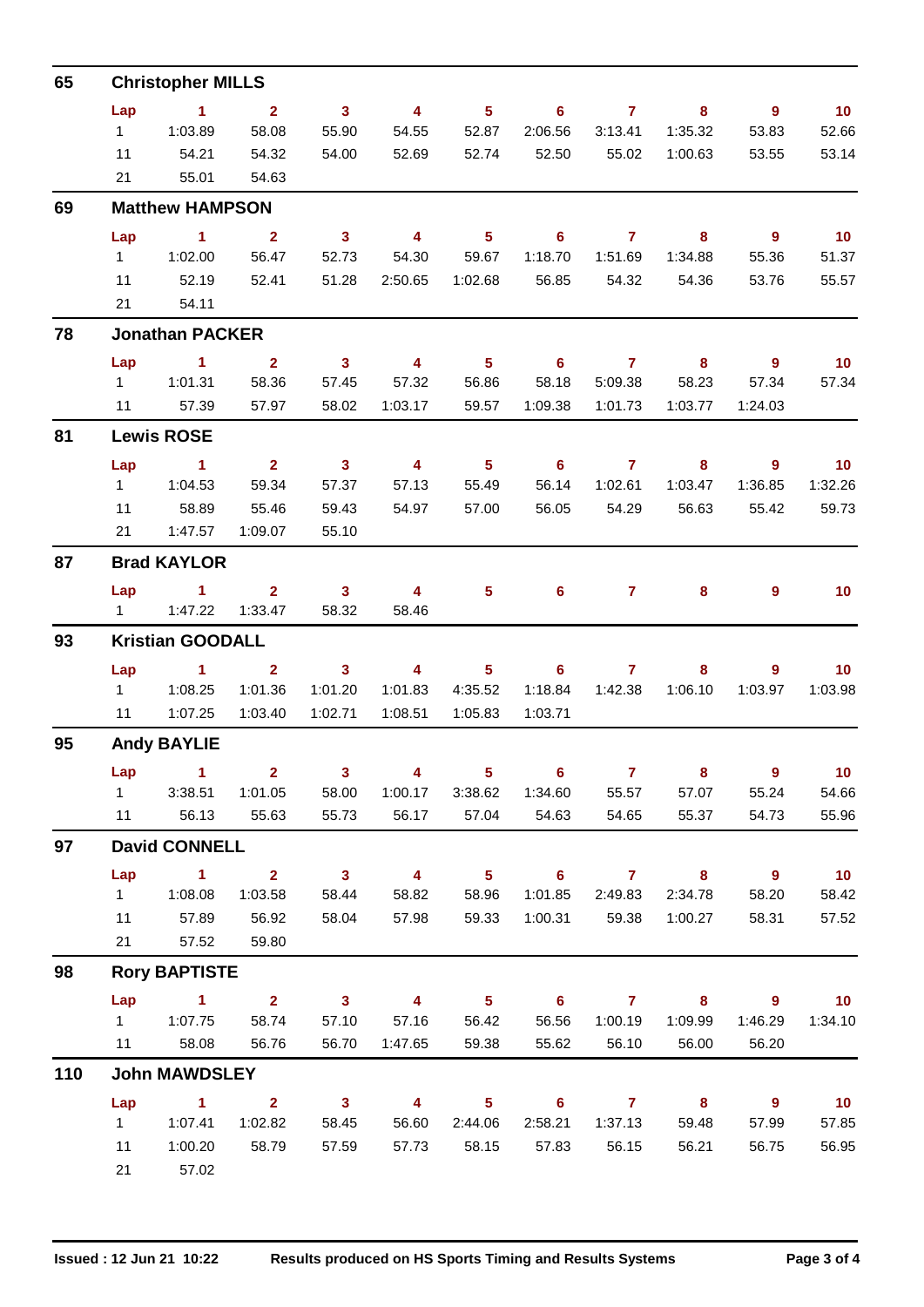| 65  |                    | <b>Christopher MILLS</b>      |                         |                            |                         |                 |                            |                |                         |                          |                 |  |  |  |
|-----|--------------------|-------------------------------|-------------------------|----------------------------|-------------------------|-----------------|----------------------------|----------------|-------------------------|--------------------------|-----------------|--|--|--|
|     | Lap                | $\sim$ 1                      | $\overline{2}$          | $\mathbf{3}$               | $\overline{4}$          | 5 <sup>5</sup>  | 6                          | $\overline{7}$ | 8                       | 9                        | 10              |  |  |  |
|     | 1                  | 1:03.89                       | 58.08                   | 55.90                      | 54.55                   | 52.87           | 2:06.56                    | 3:13.41        | 1:35.32                 | 53.83                    | 52.66           |  |  |  |
|     | 11                 | 54.21                         | 54.32                   | 54.00                      | 52.69                   | 52.74           | 52.50                      | 55.02          | 1:00.63                 | 53.55                    | 53.14           |  |  |  |
|     | 21                 | 55.01                         | 54.63                   |                            |                         |                 |                            |                |                         |                          |                 |  |  |  |
| 69  |                    | <b>Matthew HAMPSON</b>        |                         |                            |                         |                 |                            |                |                         |                          |                 |  |  |  |
|     | Lap                | $\sim$ 1                      | $\overline{2}$          | 3 <sup>1</sup>             | $\overline{4}$          | 5 <sup>5</sup>  | 6                          | $\mathbf{7}$   | 8                       | $\overline{9}$           | 10              |  |  |  |
|     | $1 \quad$          | 1:02.00                       | 56.47                   | 52.73                      | 54.30                   | 59.67           | 1:18.70                    | 1:51.69        | 1:34.88                 | 55.36                    | 51.37           |  |  |  |
|     | 11                 | 52.19                         | 52.41                   | 51.28                      | 2:50.65                 | 1:02.68         | 56.85                      | 54.32          | 54.36                   | 53.76                    | 55.57           |  |  |  |
|     | 21                 | 54.11                         |                         |                            |                         |                 |                            |                |                         |                          |                 |  |  |  |
| 78  |                    | <b>Jonathan PACKER</b>        |                         |                            |                         |                 |                            |                |                         |                          |                 |  |  |  |
|     | Lap                | 1.                            | 2 <sup>1</sup>          | $\mathbf{3}$               | $\overline{\mathbf{4}}$ | $5\phantom{.0}$ | $6\phantom{1}$             | $\mathbf{7}$   | 8                       | $\overline{9}$           | 10              |  |  |  |
|     | $1 \quad$          | 1:01.31                       | 58.36                   | 57.45                      | 57.32                   | 56.86           | 58.18                      | 5:09.38        | 58.23                   | 57.34                    | 57.34           |  |  |  |
|     | 11                 | 57.39                         | 57.97                   | 58.02                      | 1:03.17                 | 59.57           | 1:09.38                    | 1:01.73        | 1:03.77                 | 1:24.03                  |                 |  |  |  |
| 81  |                    | <b>Lewis ROSE</b>             |                         |                            |                         |                 |                            |                |                         |                          |                 |  |  |  |
|     | Lap                | $\sim$ 1                      | $\overline{2}$          | $\overline{\phantom{a}}$ 3 | $\overline{4}$          | 5 <sub>5</sub>  | $6\overline{6}$            | $\overline{7}$ | 8                       | 9                        | 10              |  |  |  |
|     | $1 -$              | 1:04.53                       | 59.34                   | 57.37                      | 57.13                   | 55.49           | 56.14                      | 1:02.61        | 1:03.47                 | 1:36.85                  | 1:32.26         |  |  |  |
|     | 11                 | 58.89                         | 55.46                   | 59.43                      | 54.97                   | 57.00           | 56.05                      | 54.29          | 56.63                   | 55.42                    | 59.73           |  |  |  |
|     | 21                 | 1:47.57                       | 1:09.07                 | 55.10                      |                         |                 |                            |                |                         |                          |                 |  |  |  |
| 87  |                    | <b>Brad KAYLOR</b>            |                         |                            |                         |                 |                            |                |                         |                          |                 |  |  |  |
|     | Lap                | $\sim$ 1                      | $\overline{2}$          | $\overline{\mathbf{3}}$    | 4                       | 5 <sup>5</sup>  | 6                          | $\mathbf{7}$   | 8                       | 9                        | 10 <sup>°</sup> |  |  |  |
|     | $1 \quad$          | 1:47.22                       | 1:33.47                 | 58.32                      | 58.46                   |                 |                            |                |                         |                          |                 |  |  |  |
| 93  |                    | <b>Kristian GOODALL</b>       |                         |                            |                         |                 |                            |                |                         |                          |                 |  |  |  |
|     | Lap                | $\sim$ 1                      | $\mathbf{2}$            | $\mathbf{3}$               | $\overline{\mathbf{4}}$ | 5               | 6                          | $\mathbf{7}$   | 8                       | 9                        | 10 <sup>°</sup> |  |  |  |
|     | $1 \quad$          | 1:08.25                       | 1:01.36                 | 1:01.20                    | 1:01.83                 | 4:35.52         | 1:18.84                    | 1:42.38        | 1:06.10                 | 1:03.97                  | 1:03.98         |  |  |  |
|     | 11                 | 1:07.25                       | 1:03.40                 | 1:02.71                    | 1:08.51                 | 1:05.83         | 1:03.71                    |                |                         |                          |                 |  |  |  |
| 95  | <b>Andy BAYLIE</b> |                               |                         |                            |                         |                 |                            |                |                         |                          |                 |  |  |  |
|     | Lap                | $\sim$ 1                      | $\overline{\mathbf{2}}$ | $\sim$ 3                   | $\overline{\mathbf{4}}$ |                 | $5 \t\t 6$                 | $\overline{7}$ | 8                       | $\overline{\phantom{a}}$ | 10 <sub>1</sub> |  |  |  |
|     | $1 \quad$          | 3:38.51                       | 1:01.05                 | 58.00                      | 1:00.17                 | 3:38.62         | 1:34.60                    | 55.57          | 57.07                   | 55.24                    | 54.66           |  |  |  |
|     | 11                 | 56.13                         | 55.63                   | 55.73                      | 56.17                   | 57.04           | 54.63                      | 54.65          | 55.37                   | 54.73                    | 55.96           |  |  |  |
| 97  |                    | <b>David CONNELL</b>          |                         |                            |                         |                 |                            |                |                         |                          |                 |  |  |  |
|     | Lap                | $\mathbf{1}$                  | $\overline{2}$          | $\overline{\mathbf{3}}$    | $\overline{\mathbf{4}}$ | 5 <sub>5</sub>  | $6^{\circ}$                | $\mathbf{7}$   | 8                       | $\overline{\phantom{a}}$ | 10 <sub>1</sub> |  |  |  |
|     | 1                  | 1:08.08                       | 1:03.58                 | 58.44                      | 58.82                   | 58.96           | 1:01.85                    | 2:49.83        | 2:34.78                 | 58.20                    | 58.42           |  |  |  |
|     | 11                 | 57.89                         | 56.92                   | 58.04                      | 57.98                   | 59.33           | 1:00.31                    | 59.38          | 1:00.27                 | 58.31                    | 57.52           |  |  |  |
|     | 21                 | 57.52                         | 59.80                   |                            |                         |                 |                            |                |                         |                          |                 |  |  |  |
| 98  |                    | <b>Rory BAPTISTE</b>          |                         |                            |                         |                 |                            |                |                         |                          |                 |  |  |  |
|     | Lap                | $\overline{1}$ $\overline{2}$ |                         | $\overline{\mathbf{3}}$    | $\overline{\mathbf{4}}$ | $5 -$           | $\overline{\phantom{a}}$ 6 | $\overline{7}$ | $\overline{\mathbf{8}}$ | $\overline{\mathbf{9}}$  | 10              |  |  |  |
|     | $1 \quad$          | 1:07.75                       | 58.74                   | 57.10                      | 57.16                   | 56.42           | 56.56                      | 1:00.19        | 1:09.99                 | 1:46.29                  | 1:34.10         |  |  |  |
|     | 11                 | 58.08                         | 56.76                   | 56.70                      | 1:47.65                 | 59.38           | 55.62                      | 56.10          | 56.00                   | 56.20                    |                 |  |  |  |
| 110 |                    | <b>John MAWDSLEY</b>          |                         |                            |                         |                 |                            |                |                         |                          |                 |  |  |  |
|     | Lap                | $\sim$ 1                      | $\overline{\mathbf{2}}$ | $\overline{\mathbf{3}}$    | 4                       | 5 <sub>5</sub>  | 6                          | $\mathbf{7}$   | $\overline{\mathbf{8}}$ | $9^{\circ}$              | 10 <sub>1</sub> |  |  |  |
|     | $1 \quad$          | 1:07.41                       | 1:02.82                 | 58.45                      | 56.60                   | 2:44.06         | 2:58.21                    | 1:37.13        | 59.48                   | 57.99                    | 57.85           |  |  |  |
|     | 11                 | 1:00.20                       | 58.79                   | 57.59                      | 57.73                   | 58.15           | 57.83                      | 56.15          | 56.21                   | 56.75                    | 56.95           |  |  |  |
|     | 21                 | 57.02                         |                         |                            |                         |                 |                            |                |                         |                          |                 |  |  |  |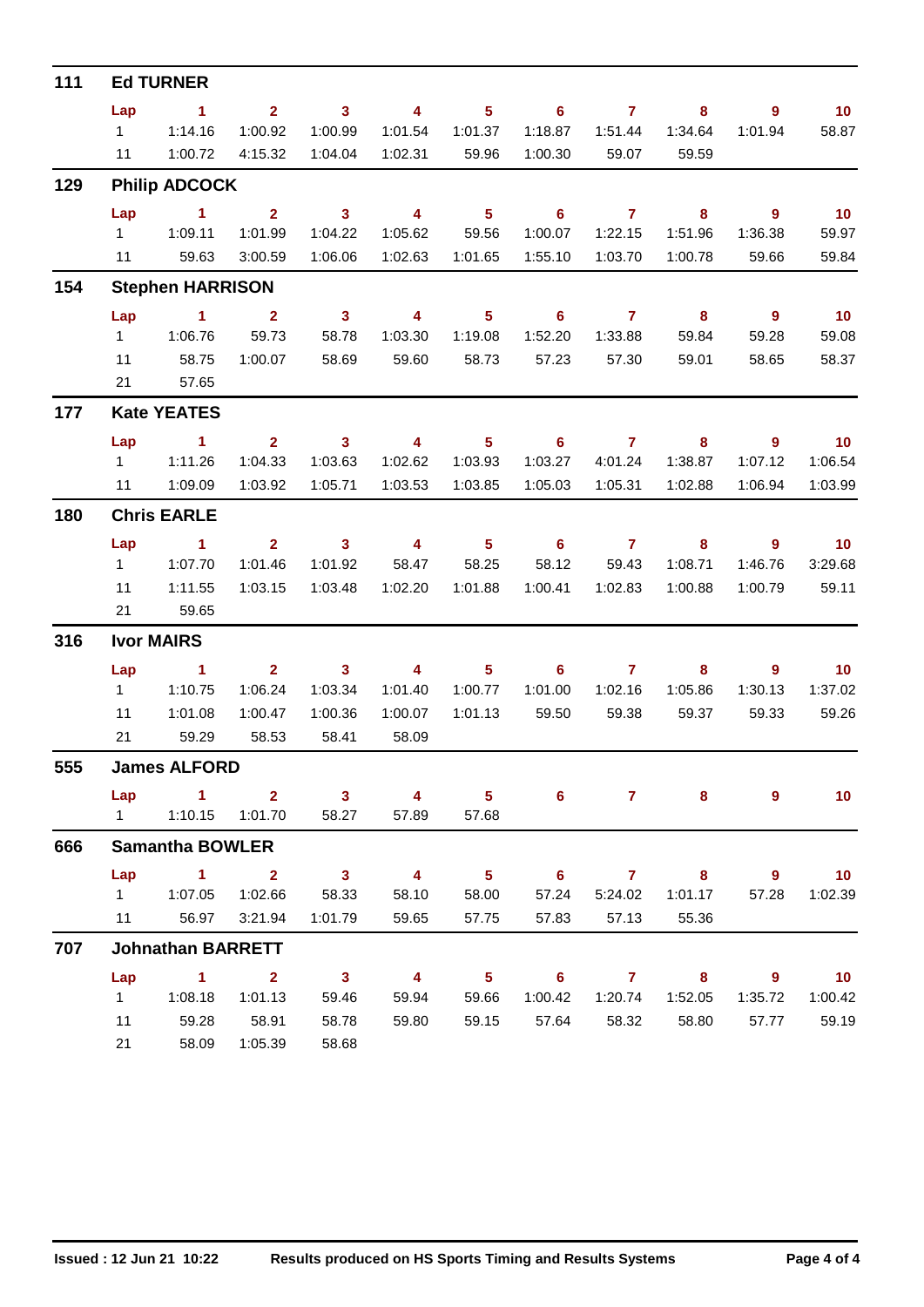| 111 |                | <b>Ed TURNER</b>         |                         |                         |                         |                            |                            |                     |                         |                            |                          |
|-----|----------------|--------------------------|-------------------------|-------------------------|-------------------------|----------------------------|----------------------------|---------------------|-------------------------|----------------------------|--------------------------|
|     | Lap            | $\sim$ 1                 | 2 <sup>7</sup>          | $\overline{\mathbf{3}}$ | $\overline{4}$          | 5 <sub>5</sub>             | $\overline{\phantom{0}}$ 6 | $\overline{7}$      | 8                       | 9                          | $\blacksquare$ 10        |
|     |                | 11114.16                 | 1:00.92                 | 1:00.99                 | 1:01.54                 | 1:01.37                    | 1:18.87                    | 1:51.44             | 1:34.64                 | 1:01.94                    | 58.87                    |
|     | 11             | 1:00.72                  | 4:15.32                 | 1:04.04                 | 1:02.31                 | 59.96                      | 1:00.30                    | 59.07               | 59.59                   |                            |                          |
| 129 |                | <b>Philip ADCOCK</b>     |                         |                         |                         |                            |                            |                     |                         |                            |                          |
|     | Lap            | $\sim$ 1                 | $\overline{2}$          | $\overline{\mathbf{3}}$ | $\overline{4}$          | $\overline{\phantom{0}}$ 5 | $\overline{\phantom{0}}$ 6 | $\overline{7}$      | 8                       | $\overline{9}$             | 10                       |
|     |                | 1   1:09.11              | 1:01.99                 | 1:04.22                 | 1:05.62                 | 59.56                      | 1:00.07                    | 1:22.15             | 1:51.96                 | 1:36.38                    | 59.97                    |
|     |                | 11 59.63                 | 3:00.59                 | 1:06.06                 | 1:02.63                 | 1:01.65                    | 1:55.10                    | 1:03.70             | 1:00.78                 | 59.66                      | 59.84                    |
| 154 |                | <b>Stephen HARRISON</b>  |                         |                         |                         |                            |                            |                     |                         |                            |                          |
|     | Lap            | $\sim$ 1.1               | $\sim$ 2                | $\overline{\mathbf{3}}$ | $\overline{\mathbf{4}}$ | $\sim$ 5                   |                            | $6 \qquad \qquad 7$ | $\overline{\mathbf{8}}$ | $\overline{\phantom{a}}$ 9 | 10                       |
|     |                |                          | 59.73                   | 58.78                   | 1:03.30                 | 1:19.08                    | 1:52.20                    | 1:33.88             | 59.84                   | 59.28                      | 59.08                    |
|     | 11             | 58.75                    | 1:00.07                 | 58.69                   | 59.60                   | 58.73                      | 57.23                      | 57.30               | 59.01                   | 58.65                      | 58.37                    |
|     | 21             | 57.65                    |                         |                         |                         |                            |                            |                     |                         |                            |                          |
| 177 |                | <b>Kate YEATES</b>       |                         |                         |                         |                            |                            |                     |                         |                            |                          |
|     | Lap            | $\sim$ $-1$              | $\overline{\mathbf{2}}$ | $\overline{\mathbf{3}}$ | $\overline{\mathbf{4}}$ | $\overline{\phantom{1}}$ 5 |                            | $6 \overline{7}$    | $\overline{\mathbf{8}}$ | $\overline{\phantom{a}}$   | $\overline{10}$          |
|     |                | 1   1:11.26              | 1:04.33                 | 1:03.63                 | 1:02.62                 | 1:03.93                    | 1:03.27                    | 4:01.24             | 1:38.87                 | 1:07.12                    | 1:06.54                  |
|     |                | 11 1:09.09               | 1:03.92                 | 1:05.71                 | 1:03.53                 | 1:03.85                    | 1:05.03                    | 1:05.31             | 1:02.88                 | 1:06.94                    | 1:03.99                  |
| 180 |                | <b>Chris EARLE</b>       |                         |                         |                         |                            |                            |                     |                         |                            |                          |
|     | Lap            | $\sim$ $\sim$ 1          | $\overline{2}$          | $\overline{\mathbf{3}}$ | $\overline{\mathbf{4}}$ | $\overline{\phantom{0}}$ 5 |                            | $6\qquad 7$         | 8                       | $\overline{\phantom{a}}$   | $\overline{\mathbf{10}}$ |
|     | $1 \quad$      | 1:07.70                  | 1:01.46                 | 1:01.92                 | 58.47                   | 58.25                      | 58.12                      | 59.43               | 1:08.71                 | 1:46.76                    | 3:29.68                  |
|     | 11             | 1:11.55                  | 1:03.15                 | 1:03.48                 | 1:02.20                 | 1:01.88                    | 1:00.41                    | 1:02.83             | 1:00.88                 | 1:00.79                    | 59.11                    |
|     | 21             | 59.65                    |                         |                         |                         |                            |                            |                     |                         |                            |                          |
| 316 |                | <b>Ivor MAIRS</b>        |                         |                         |                         |                            |                            |                     |                         |                            |                          |
|     | Lap            | $\sim$ 1                 | $\mathbf{2}$            | $\overline{\mathbf{3}}$ | $\overline{4}$          | 5 <sub>1</sub>             |                            | $6\qquad 7$         | 8                       | 9                          | $\overline{\mathbf{10}}$ |
|     | $1 \quad$      | 1:10.75                  | 1:06.24                 | 1:03.34                 | 1:01.40                 | 1:00.77                    | 1:01.00                    | 1:02.16             | 1:05.86                 | 1:30.13                    | 1:37.02                  |
|     | 11             | 1:01.08                  | 1:00.47                 | 1:00.36                 | 1:00.07                 | 1:01.13                    | 59.50                      | 59.38               | 59.37                   | 59.33                      | 59.26                    |
|     | 21             | 59.29                    | 58.53                   | 58.41                   | 58.09                   |                            |                            |                     |                         |                            |                          |
| 555 |                | <b>James ALFORD</b>      |                         |                         |                         |                            |                            |                     |                         |                            |                          |
|     |                | $Lap$ 1 2                |                         | $\overline{\mathbf{3}}$ | 4                       | $5^{\circ}$                | 6                          | $\mathbf{7}$        | 8                       | 9                          | 10                       |
|     | $1 \quad \Box$ | 1:10.15                  | 1:01.70                 | 58.27                   | 57.89                   | 57.68                      |                            |                     |                         |                            |                          |
| 666 |                | <b>Samantha BOWLER</b>   |                         |                         |                         |                            |                            |                     |                         |                            |                          |
|     | Lap            | $\sim$ 1                 | $\sim$ 2                | $\overline{\mathbf{3}}$ | $\overline{4}$          | $\overline{\phantom{a}}$ 5 | $\overline{\phantom{a}}$ 6 | $\overline{7}$      | $8 -$                   | $9^{\circ}$                | $\overline{10}$          |
|     |                |                          | 1:02.66                 | 58.33                   | 58.10                   | 58.00                      | 57.24                      | 5:24.02             | 1:01.17                 | 57.28                      | 1:02.39                  |
|     | 11             | 56.97                    | 3:21.94                 | 1:01.79                 | 59.65                   | 57.75                      | 57.83                      | 57.13               | 55.36                   |                            |                          |
| 707 |                | <b>Johnathan BARRETT</b> |                         |                         |                         |                            |                            |                     |                         |                            |                          |
|     | Lap            | $\sim$ 1                 | $\sim$ 2                | $\overline{\mathbf{3}}$ | $\overline{4}$          | $\overline{\phantom{0}}$ 5 |                            | $6 \qquad \qquad 7$ | $\overline{\mathbf{8}}$ | - 9                        | $\overline{10}$          |
|     | $1 \quad$      | 1:08.18                  | 1:01.13                 | 59.46                   | 59.94                   | 59.66                      | 1:00.42                    | 1:20.74             | 1:52.05                 | 1:35.72                    | 1:00.42                  |
|     | 11             | 59.28                    | 58.91                   | 58.78                   | 59.80                   | 59.15                      | 57.64                      | 58.32               | 58.80                   | 57.77                      | 59.19                    |
|     | 21             | 58.09                    | 1:05.39                 | 58.68                   |                         |                            |                            |                     |                         |                            |                          |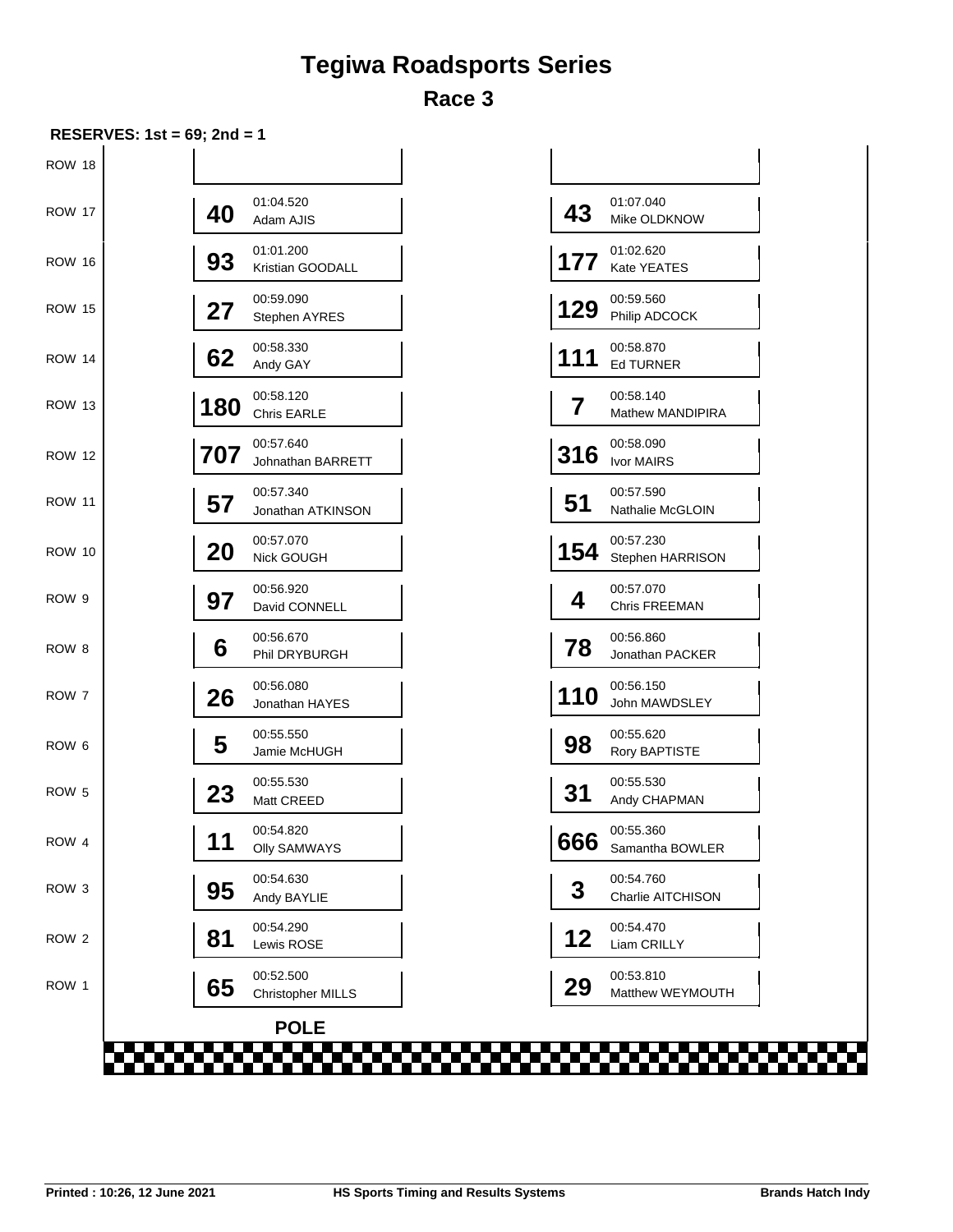## **Tegiwa Roadsports Series Race 3**

| ROW 18<br><b>ROW 17</b><br><b>ROW 16</b><br><b>ROW 15</b><br><b>ROW 14</b><br><b>ROW 13</b> | 01:04.520<br>40<br>Adam AJIS<br>01:01.200<br>93<br>Kristian GOODALL<br>00:59.090<br>27<br>Stephen AYRES<br>00:58.330<br>62<br>Andy GAY<br>00:58.120<br>180<br>Chris EARLE<br>00:57.640 | 01:07.040<br>43<br>Mike OLDKNOW<br>01:02.620<br>177<br>Kate YEATES<br>00:59.560<br>129<br>Philip ADCOCK<br>00:58.870<br>111<br><b>Ed TURNER</b><br>00:58.140<br>$\overline{7}$<br>Mathew MANDIPIRA |
|---------------------------------------------------------------------------------------------|----------------------------------------------------------------------------------------------------------------------------------------------------------------------------------------|----------------------------------------------------------------------------------------------------------------------------------------------------------------------------------------------------|
|                                                                                             |                                                                                                                                                                                        |                                                                                                                                                                                                    |
|                                                                                             |                                                                                                                                                                                        |                                                                                                                                                                                                    |
|                                                                                             |                                                                                                                                                                                        |                                                                                                                                                                                                    |
|                                                                                             |                                                                                                                                                                                        |                                                                                                                                                                                                    |
|                                                                                             |                                                                                                                                                                                        |                                                                                                                                                                                                    |
|                                                                                             |                                                                                                                                                                                        |                                                                                                                                                                                                    |
| <b>ROW 12</b>                                                                               | 707<br>Johnathan BARRETT                                                                                                                                                               | 00:58.090<br>316<br>Ivor MAIRS                                                                                                                                                                     |
| <b>ROW 11</b>                                                                               | 00:57.340<br>57<br>Jonathan ATKINSON                                                                                                                                                   | 00:57.590<br>51<br>Nathalie McGLOIN                                                                                                                                                                |
| <b>ROW 10</b>                                                                               | 00:57.070<br>20<br>Nick GOUGH                                                                                                                                                          | 00:57.230<br>154<br>Stephen HARRISON                                                                                                                                                               |
| ROW 9                                                                                       | 00:56.920<br>97<br>David CONNELL                                                                                                                                                       | 00:57.070<br>4<br>Chris FREEMAN                                                                                                                                                                    |
| ROW <sub>8</sub>                                                                            | 00:56.670<br>6<br>Phil DRYBURGH                                                                                                                                                        | 00:56.860<br>78<br>Jonathan PACKER                                                                                                                                                                 |
| ROW 7                                                                                       | 00:56.080<br>26<br>Jonathan HAYES                                                                                                                                                      | 00:56.150<br>110<br>John MAWDSLEY                                                                                                                                                                  |
| ROW <sub>6</sub>                                                                            | 00:55.550<br>5<br>Jamie McHUGH                                                                                                                                                         | 00:55.620<br>98<br>Rory BAPTISTE                                                                                                                                                                   |
| ROW <sub>5</sub>                                                                            | 00:55.530<br>23<br>Matt CREED                                                                                                                                                          | 00:55.530<br>31<br>Andy CHAPMAN                                                                                                                                                                    |
| ROW 4                                                                                       | 00:54.820<br>11<br><b>Olly SAMWAYS</b>                                                                                                                                                 | 00:55.360<br>666<br>Samantha BOWLER                                                                                                                                                                |
| ROW <sub>3</sub>                                                                            | 00:54.630<br>95<br>Andy BAYLIE                                                                                                                                                         | 00:54.760<br>3<br>Charlie AITCHISON                                                                                                                                                                |
| ROW <sub>2</sub>                                                                            | 00:54.290<br>81<br>Lewis ROSE                                                                                                                                                          | 00:54.470<br>12<br>Liam CRILLY                                                                                                                                                                     |
| ROW 1                                                                                       | 00:52.500<br>65<br>Christopher MILLS                                                                                                                                                   | 00:53.810<br>29<br>Matthew WEYMOUTH                                                                                                                                                                |
|                                                                                             | <b>POLE</b>                                                                                                                                                                            |                                                                                                                                                                                                    |

| 43  | 01:07.040<br>Mike OLDKNOW            |
|-----|--------------------------------------|
| 177 | 01:02.620<br>Kate YEATES             |
| 129 | 00:59.560<br>Philip ADCOCK           |
| 111 | 00:58.870<br><b>Ed TURNER</b>        |
| 7   | 00:58.140<br><b>Mathew MANDIPIRA</b> |
| 316 | 00:58.090<br>Ivor MAIRS              |
| 51  | 00:57.590<br><b>Nathalie McGLOIN</b> |
| 154 | 00:57.230<br>Stephen HARRISON        |
| 4   | 00:57.070<br><b>Chris FREEMAN</b>    |
| 78  | 00:56.860<br>Jonathan PACKER         |
| 110 | 00:56.150<br>John MAWDSLEY           |
| 98  | 00:55.620<br>Rory BAPTISTE           |
| 31  | 00:55.530<br>Andy CHAPMAN            |
| 666 | 00:55.360<br>Samantha BOWLER         |
| 3   | 00:54.760<br>Charlie AITCHISON       |
| 12  | 00:54.470<br>Liam CRILLY             |
| 29  | 00:53.810<br>Matthew WEYMOUTH        |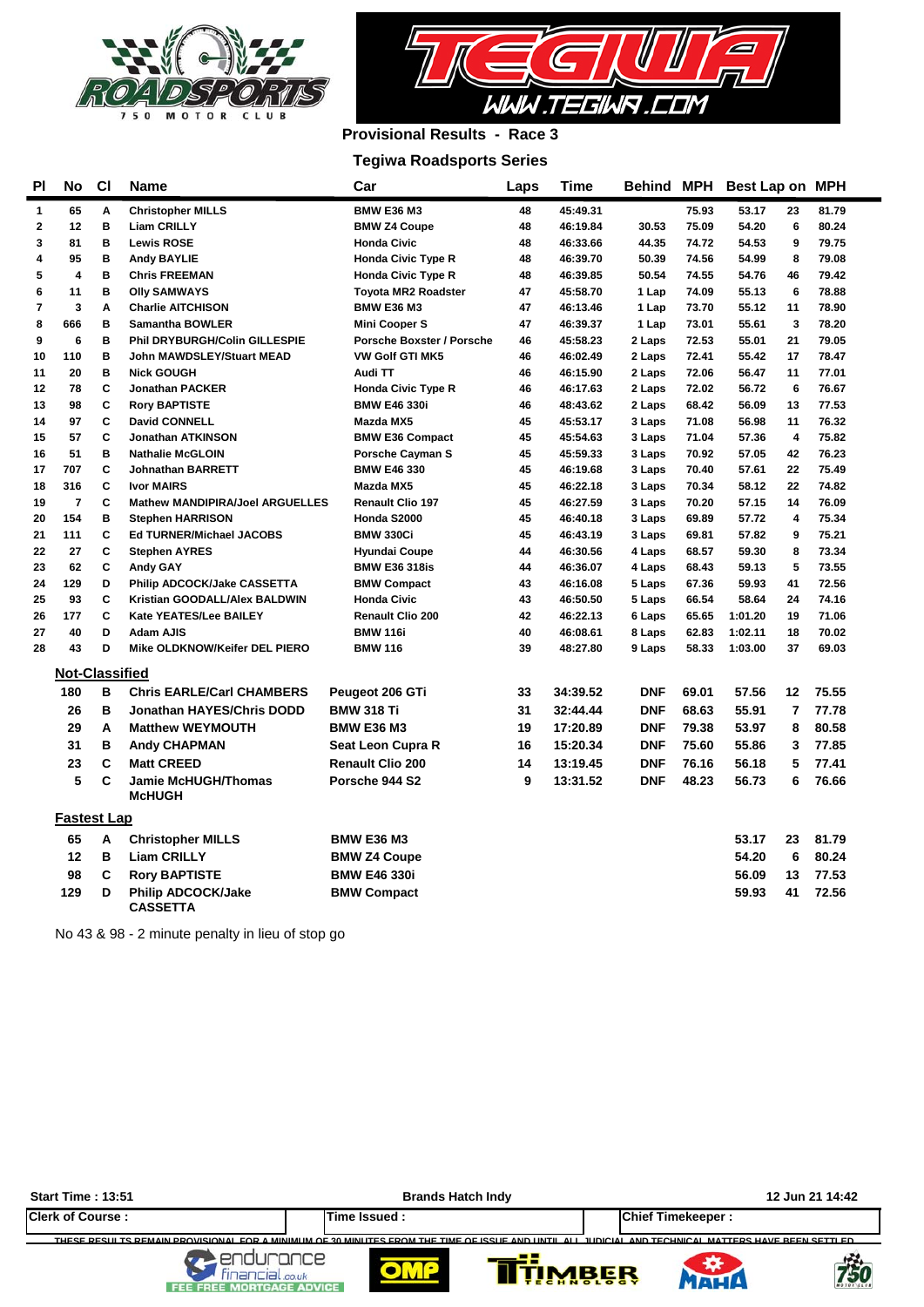



### **Provisional Results - Race 3**

#### **Tegiwa Roadsports Series**

| ΡI                      | No                      | CI | <b>Name</b>                      | Car                              | Laps | Time     | <b>Behind MPH</b> |       | Best Lap on MPH |                         |       |
|-------------------------|-------------------------|----|----------------------------------|----------------------------------|------|----------|-------------------|-------|-----------------|-------------------------|-------|
| 1                       | 65                      | Α  | <b>Christopher MILLS</b>         | <b>BMW E36 M3</b>                | 48   | 45:49.31 |                   | 75.93 | 53.17           | 23                      | 81.79 |
| $\overline{\mathbf{2}}$ | 12                      | B  | <b>Liam CRILLY</b>               | <b>BMW Z4 Coupe</b>              | 48   | 46:19.84 | 30.53             | 75.09 | 54.20           | 6                       | 80.24 |
| 3                       | 81                      | B  | <b>Lewis ROSE</b>                | <b>Honda Civic</b>               | 48   | 46:33.66 | 44.35             | 74.72 | 54.53           | 9                       | 79.75 |
| 4                       | 95                      | B  | <b>Andy BAYLIE</b>               | <b>Honda Civic Type R</b>        | 48   | 46:39.70 | 50.39             | 74.56 | 54.99           | 8                       | 79.08 |
| 5                       | 4                       | B  | <b>Chris FREEMAN</b>             | <b>Honda Civic Type R</b>        | 48   | 46:39.85 | 50.54             | 74.55 | 54.76           | 46                      | 79.42 |
| 6                       | 11                      | B  | <b>Olly SAMWAYS</b>              | <b>Toyota MR2 Roadster</b>       | 47   | 45:58.70 | 1 Lap             | 74.09 | 55.13           | 6                       | 78.88 |
| 7                       | 3                       | Α  | <b>Charlie AITCHISON</b>         | <b>BMW E36 M3</b>                | 47   | 46:13.46 | 1 Lap             | 73.70 | 55.12           | 11                      | 78.90 |
| 8                       | 666                     | B  | <b>Samantha BOWLER</b>           | <b>Mini Cooper S</b>             | 47   | 46:39.37 | 1 Lap             | 73.01 | 55.61           | 3                       | 78.20 |
| 9                       | 6                       | B  | Phil DRYBURGH/Colin GILLESPIE    | <b>Porsche Boxster / Porsche</b> | 46   | 45:58.23 | 2 Laps            | 72.53 | 55.01           | 21                      | 79.05 |
| 10                      | 110                     | B  | John MAWDSLEY/Stuart MEAD        | <b>VW Golf GTI MK5</b>           | 46   | 46:02.49 | 2 Laps            | 72.41 | 55.42           | 17                      | 78.47 |
| 11                      | 20                      | B  | <b>Nick GOUGH</b>                | Audi TT                          | 46   | 46:15.90 | 2 Laps            | 72.06 | 56.47           | 11                      | 77.01 |
| 12                      | 78                      | C  | <b>Jonathan PACKER</b>           | <b>Honda Civic Type R</b>        | 46   | 46:17.63 | 2 Laps            | 72.02 | 56.72           | 6                       | 76.67 |
| 13                      | 98                      | C  | <b>Rory BAPTISTE</b>             | <b>BMW E46 330i</b>              | 46   | 48:43.62 | 2 Laps            | 68.42 | 56.09           | 13                      | 77.53 |
| 14                      | 97                      | C  | <b>David CONNELL</b>             | Mazda MX5                        | 45   | 45:53.17 | 3 Laps            | 71.08 | 56.98           | 11                      | 76.32 |
| 15                      | 57                      | C  | <b>Jonathan ATKINSON</b>         | <b>BMW E36 Compact</b>           | 45   | 45:54.63 | 3 Laps            | 71.04 | 57.36           | $\overline{\mathbf{4}}$ | 75.82 |
| 16                      | 51                      | B  | <b>Nathalie McGLOIN</b>          | <b>Porsche Cavman S</b>          | 45   | 45:59.33 | 3 Laps            | 70.92 | 57.05           | 42                      | 76.23 |
| 17                      | 707                     | C  | <b>Johnathan BARRETT</b>         | <b>BMW E46 330</b>               | 45   | 46:19.68 | 3 Laps            | 70.40 | 57.61           | 22                      | 75.49 |
| 18                      | 316                     | C  | <b>Ivor MAIRS</b>                | Mazda MX5                        | 45   | 46:22.18 | 3 Laps            | 70.34 | 58.12           | 22                      | 74.82 |
| 19                      | $\overline{\mathbf{r}}$ | C  | Mathew MANDIPIRA/Joel ARGUELLES  | <b>Renault Clio 197</b>          | 45   | 46:27.59 | 3 Laps            | 70.20 | 57.15           | 14                      | 76.09 |
| 20                      | 154                     | B  | <b>Stephen HARRISON</b>          | Honda S2000                      | 45   | 46:40.18 | 3 Laps            | 69.89 | 57.72           | 4                       | 75.34 |
| 21                      | 111                     | C  | <b>Ed TURNER/Michael JACOBS</b>  | <b>BMW 330Ci</b>                 | 45   | 46:43.19 | 3 Laps            | 69.81 | 57.82           | 9                       | 75.21 |
| 22                      | 27                      | C  | <b>Stephen AYRES</b>             | <b>Hyundai Coupe</b>             | 44   | 46:30.56 | 4 Laps            | 68.57 | 59.30           | 8                       | 73.34 |
| 23                      | 62                      | C  | <b>Andy GAY</b>                  | <b>BMW E36 318is</b>             | 44   | 46:36.07 | 4 Laps            | 68.43 | 59.13           | 5                       | 73.55 |
| 24                      | 129                     | D  | Philip ADCOCK/Jake CASSETTA      | <b>BMW Compact</b>               | 43   | 46:16.08 | 5 Laps            | 67.36 | 59.93           | 41                      | 72.56 |
| 25                      | 93                      | C  | Kristian GOODALL/Alex BALDWIN    | <b>Honda Civic</b>               | 43   | 46:50.50 | 5 Laps            | 66.54 | 58.64           | 24                      | 74.16 |
| 26                      | 177                     | C  | Kate YEATES/Lee BAILEY           | Renault Clio 200                 | 42   | 46:22.13 | 6 Laps            | 65.65 | 1:01.20         | 19                      | 71.06 |
| 27                      | 40                      | D  | <b>Adam AJIS</b>                 | <b>BMW 116i</b>                  | 40   | 46:08.61 | 8 Laps            | 62.83 | 1:02.11         | 18                      | 70.02 |
| 28                      | 43                      | D  | Mike OLDKNOW/Keifer DEL PIERO    | <b>BMW 116</b>                   | 39   | 48:27.80 | 9 Laps            | 58.33 | 1:03.00         | 37                      | 69.03 |
|                         | <b>Not-Classified</b>   |    |                                  |                                  |      |          |                   |       |                 |                         |       |
|                         | 180                     | в  | <b>Chris EARLE/Carl CHAMBERS</b> | Peugeot 206 GTi                  | 33   | 34:39.52 | <b>DNF</b>        | 69.01 | 57.56           | 12                      | 75.55 |
|                         | 26                      | в  | <b>Jonathan HAYES/Chris DODD</b> | <b>BMW 318 Ti</b>                | 31   | 32:44.44 | <b>DNF</b>        | 68.63 | 55.91           | 7                       | 77.78 |
|                         | 29                      | A  | <b>Matthew WEYMOUTH</b>          | <b>BMW E36 M3</b>                | 19   | 17:20.89 | <b>DNF</b>        | 79.38 | 53.97           | 8                       | 80.58 |
|                         | 31                      | в  | <b>Andy CHAPMAN</b>              | Seat Leon Cupra R                | 16   | 15:20.34 | <b>DNF</b>        | 75.60 | 55.86           | 3                       | 77.85 |
|                         | 23                      | C  | <b>Matt CREED</b>                | <b>Renault Clio 200</b>          | 14   | 13:19.45 | <b>DNF</b>        | 76.16 | 56.18           | 5                       | 77.41 |
|                         | 5                       | C  | <b>Jamie McHUGH/Thomas</b>       | Porsche 944 S2                   | 9    | 13:31.52 | <b>DNF</b>        | 48.23 | 56.73           | 6                       | 76.66 |
|                         |                         |    | <b>McHUGH</b>                    |                                  |      |          |                   |       |                 |                         |       |
|                         | <b>Fastest Lap</b>      |    |                                  |                                  |      |          |                   |       |                 |                         |       |
|                         | 65                      | A  | <b>Christopher MILLS</b>         | <b>BMW E36 M3</b>                |      |          |                   |       | 53.17           | 23                      | 81.79 |
|                         | 12                      | В  | <b>Liam CRILLY</b>               | <b>BMW Z4 Coupe</b>              |      |          |                   |       | 54.20           | 6                       | 80.24 |
|                         | 98                      | C  | <b>Rory BAPTISTE</b>             | <b>BMW E46 330i</b>              |      |          |                   |       | 56.09           | 13                      | 77.53 |
|                         | 129                     | D  | <b>Philip ADCOCK/Jake</b>        | <b>BMW Compact</b>               |      |          |                   |       | 59.93           | 41                      | 72.56 |
|                         |                         |    | <b>CASSETTA</b>                  |                                  |      |          |                   |       |                 |                         |       |

No 43 & 98 - 2 minute penalty in lieu of stop go

| <b>Start Time: 13:51</b> | <b>Brands Hatch Indy</b>                                                                                                                                      | 12 Jun 21 14:42            |
|--------------------------|---------------------------------------------------------------------------------------------------------------------------------------------------------------|----------------------------|
| <b>Clerk of Course:</b>  | Time Issued:                                                                                                                                                  | <b>Chief Timekeeper:</b>   |
| اصل<br>E MORTGAGE ADVICE | THESE DESITITS DEMAIN DROVISIONAL EOR A MINIMUM OF 20 MINITES EROM THE TIME OF ISSUE AND UNTULALL JUDICIAL AND TECHNICAL MATTERS HAVE REEN SETTLED.<br>.co.uk | <b>IMBER</b><br><b>750</b> |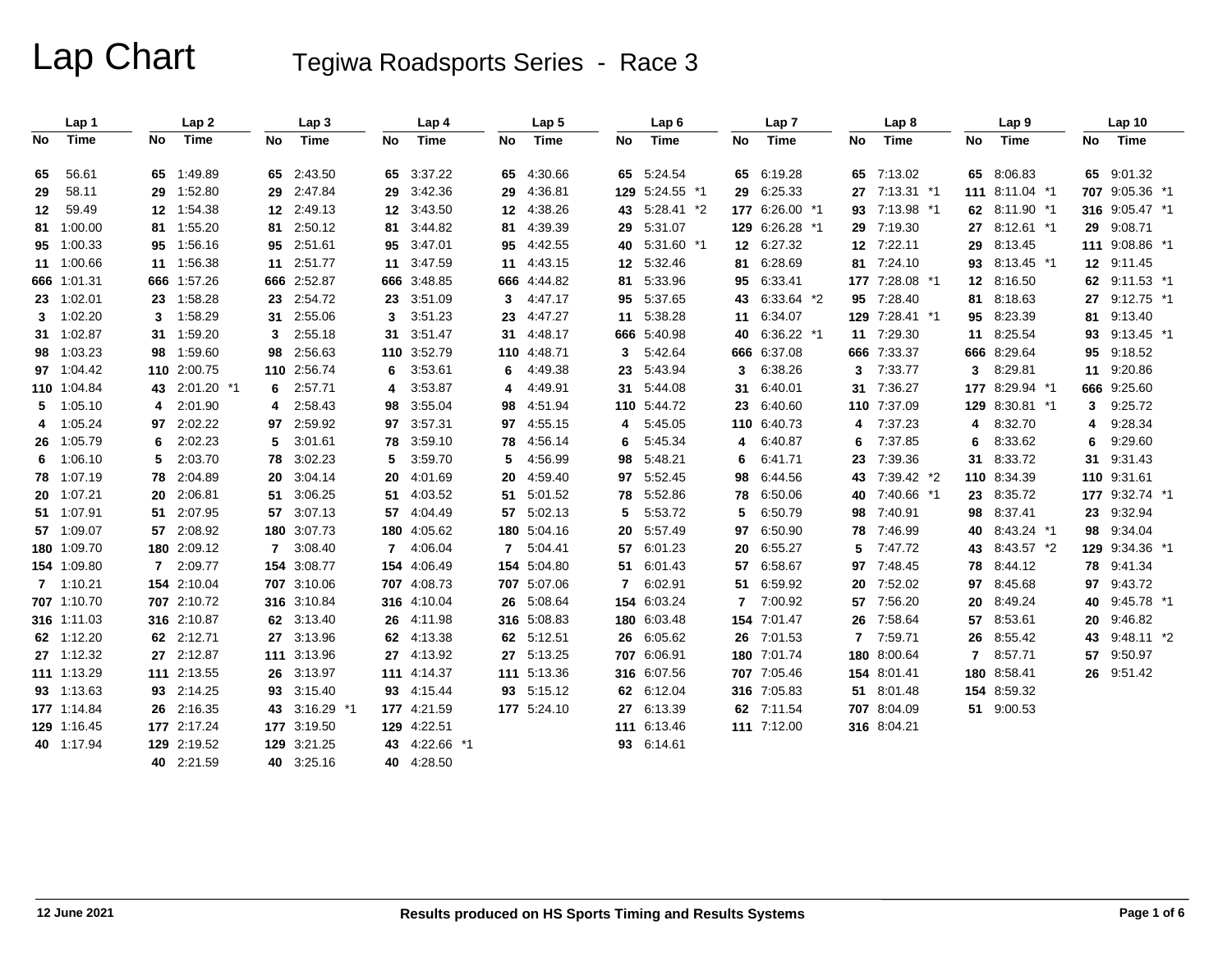|     | Lap 1       |              | Lap <sub>2</sub> |     | Lap 3        |           | Lap 4       |              | Lap <sub>5</sub> |                | Lap6           |              | Lap <sub>7</sub> |     | Lap <sub>8</sub> |              | Lap 9          |    | Lap 10         |  |
|-----|-------------|--------------|------------------|-----|--------------|-----------|-------------|--------------|------------------|----------------|----------------|--------------|------------------|-----|------------------|--------------|----------------|----|----------------|--|
| No. | Time        | No.          | Time             | No. | Time         | <b>No</b> | Time        | No           | Time             | No             | Time           | No           | Time             | No. | Time             | No.          | <b>Time</b>    | No | Time           |  |
| 65  | 56.61       | 65           | 1:49.89          | 65  | 2:43.50      | 65        | 3:37.22     | 65           | 4:30.66          |                | 65 5:24.54     | 65           | 6:19.28          | 65  | 7:13.02          | 65           | 8:06.83        |    | 65 9:01.32     |  |
| 29  | 58.11       | 29           | 1:52.80          | 29  | 2:47.84      | 29        | 3:42.36     | 29           | 4:36.81          |                | 129 5:24.55 *1 |              | 29 6:25.33       | 27  | 7:13.31 *1       |              | 111 8:11.04 *1 |    | 707 9:05.36 *1 |  |
| 12  | 59.49       |              | 12 1:54.38       | 12  | 2:49.13      | 12        | 3:43.50     |              | 12 4:38.26       |                | 43 5:28.41 *2  |              | 177 6:26.00 *1   | 93  | 7:13.98 *1       |              | 62 8:11.90 *1  |    | 316 9:05.47 *1 |  |
|     | 81 1:00.00  |              | 81 1:55.20       | 81  | 2:50.12      | 81        | 3:44.82     | 81.          | 4:39.39          | 29             | 5:31.07        |              | 129 6:26.28 *1   | 29  | 7:19.30          | 27           | 8:12.61 *1     | 29 | 9:08.71        |  |
|     | 95 1:00.33  |              | 95 1:56.16       | 95  | 2:51.61      | 95        | 3:47.01     | 95           | 4:42.55          |                | 40 5:31.60 *1  |              | 12 6:27.32       | 12  | 7:22.11          | 29           | 8:13.45        |    | 111 9:08.86 *1 |  |
|     | 11 1:00.66  |              | 11 1:56.38       | 11  | 2:51.77      | 11        | 3:47.59     |              | 11 4:43.15       |                | 12 5:32.46     | 81           | 6:28.69          | 81  | 7:24.10          | 93           | 8:13.45 *1     |    | 12 9:11.45     |  |
|     | 666 1:01.31 |              | 666 1:57.26      |     | 666 2:52.87  | 666       | 3:48.85     |              | 666 4:44.82      | 81             | 5:33.96        |              | 95 6:33.41       |     | 177 7:28.08 *1   |              | 12 8:16.50     | 62 | $9:11.53$ *1   |  |
|     | 23 1:02.01  |              | 23 1:58.28       | 23  | 2:54.72      | 23        | 3:51.09     | 3            | 4:47.17          | 95             | 5:37.65        |              | 43 6:33.64 *2    | 95  | 7:28.40          | 81           | 8:18.63        | 27 | $9:12.75$ *1   |  |
|     | 3 1:02.20   |              | 3 1:58.29        | 31  | 2:55.06      | 3         | 3:51.23     | 23           | 4:47.27          |                | 11 5:38.28     |              | 11 6:34.07       |     | 129 7:28.41 *1   | 95           | 8:23.39        | 81 | 9:13.40        |  |
|     | 31 1:02.87  |              | 31 1:59.20       | 3   | 2:55.18      | 31        | 3:51.47     |              | 31 4:48.17       |                | 666 5:40.98    |              | 40 6:36.22 *1    |     | 11 7:29.30       | 11           | 8:25.54        | 93 | 9:13.45 *1     |  |
|     | 98 1:03.23  |              | 98 1:59.60       | 98  | 2:56.63      | 110       | 3:52.79     |              | 110 4:48.71      | 3              | 5:42.64        |              | 666 6:37.08      |     | 666 7:33.37      |              | 666 8:29.64    | 95 | 9:18.52        |  |
|     | 97 1:04.42  |              | 110 2:00.75      |     | 110 2:56.74  | 6         | 3:53.61     | 6            | 4:49.38          | 23             | 5:43.94        | 3            | 6:38.26          | 3   | 7:33.77          | 3            | 8.29.81        |    | 11 9:20.86     |  |
|     | 110 1:04.84 |              | 43 2:01.20 *1    | 6   | 2:57.71      | 4         | 3:53.87     | 4            | 4:49.91          |                | 31 5:44.08     | 31           | 6:40.01          | 31  | 7:36.27          |              | 177 8:29.94 *1 |    | 666 9:25.60    |  |
|     | 5 1:05.10   | 4            | 2:01.90          |     | 2:58.43      | 98        | 3:55.04     | 98           | 4:51.94          |                | 110 5:44.72    |              | 23 6:40.60       |     | 110 7:37.09      |              | 129 8:30.81 *1 | 3  | 9:25.72        |  |
|     | 4 1:05.24   |              | 97 2:02.22       | 97  | 2:59.92      | 97        | 3:57.31     |              | 97 4:55.15       | 4              | 5:45.05        |              | 110 6:40.73      | 4   | 7:37.23          | 4            | 8:32.70        | 4  | 9:28.34        |  |
|     | 26 1:05.79  | 6            | 2:02.23          | 5   | 3:01.61      | 78        | 3:59.10     | 78           | 4:56.14          | 6              | 5:45.34        | 4            | 6:40.87          | 6   | 7:37.85          | 6            | 8:33.62        | 6  | 9:29.60        |  |
|     | 6 1:06.10   | 5            | 2:03.70          | 78  | 3:02.23      | 5         | 3:59.70     | 5.           | 4:56.99          |                | 98 5:48.21     | 6            | 6:41.71          | 23  | 7:39.36          | 31           | 8:33.72        | 31 | 9:31.43        |  |
|     | 78 1:07.19  |              | 78 2:04.89       | 20  | 3:04.14      | 20        | 4:01.69     | 20           | 4:59.40          |                | 97 5:52.45     | 98           | 6:44.56          | 43  | 7:39.42 *2       |              | 110 8:34.39    |    | 110 9:31.61    |  |
|     | 20 1:07.21  |              | 20 2:06.81       | 51  | 3:06.25      | 51        | 4:03.52     | 51           | 5:01.52          | 78             | 5:52.86        | 78           | 6:50.06          | 40  | 7:40.66 *1       | 23           | 8:35.72        |    | 177 9:32.74 *1 |  |
|     | 51 1:07.91  | 51           | 2:07.95          | 57  | 3:07.13      | 57        | 4:04.49     | 57           | 5:02.13          | 5              | 5:53.72        | 5            | 6:50.79          | 98  | 7:40.91          | 98           | 8:37.41        | 23 | 9:32.94        |  |
|     | 57 1:09.07  |              | 57 2:08.92       |     | 180 3:07.73  | 180       | 4:05.62     |              | 180 5:04.16      | 20             | 5:57.49        | 97           | 6:50.90          | 78  | 7:46.99          | 40           | 8:43.24 *1     | 98 | 9:34.04        |  |
|     | 180 1:09.70 |              | 180 2:09.12      | 7   | 3:08.40      | 7         | 4:06.04     | $\mathbf{7}$ | 5:04.41          | 57             | 6:01.23        | 20           | 6:55.27          | 5   | 7:47.72          | 43           | 8:43.57 *2     |    | 129 9:34.36 *1 |  |
|     | 154 1:09.80 | $\mathbf{7}$ | 2:09.77          |     | 154 3:08.77  | 154       | 4:06.49     |              | 154 5:04.80      |                | 51 6:01.43     | 57           | 6:58.67          | 97  | 7:48.45          | 78           | 8:44.12        |    | 78 9:41.34     |  |
|     | 7 1:10.21   |              | 154 2:10.04      |     | 707 3:10.06  | 707       | 4:08.73     |              | 707 5:07.06      | $\overline{7}$ | 6:02.91        | 51           | 6:59.92          | 20  | 7:52.02          | 97           | 8:45.68        | 97 | 9:43.72        |  |
|     | 707 1:10.70 |              | 707 2:10.72      |     | 316 3:10.84  |           | 316 4:10.04 | 26           | 5:08.64          |                | 154 6:03.24    | $\mathbf{7}$ | 7:00.92          | 57  | 7:56.20          | 20           | 8:49.24        | 40 | $9:45.78$ *1   |  |
|     | 316 1:11.03 |              | 316 2:10.87      |     | 62 3:13.40   | 26        | 4:11.98     |              | 316 5:08.83      |                | 180 6:03.48    |              | 154 7:01.47      | 26  | 7:58.64          | 57           | 8:53.61        | 20 | 9:46.82        |  |
|     | 62 1:12.20  |              | 62 2:12.71       | 27  | 3:13.96      | 62        | 4:13.38     |              | 62 5:12.51       |                | 26 6:05.62     |              | 26 7:01.53       | 7   | 7:59.71          | 26           | 8:55.42        | 43 | $9:48.11*2$    |  |
|     | 27 1:12.32  |              | 27 2:12.87       |     | 111 3:13.96  |           | 27 4:13.92  |              | 27 5:13.25       |                | 707 6:06.91    |              | 180 7:01.74      | 180 | 8:00.64          | $\mathbf{7}$ | 8:57.71        | 57 | 9:50.97        |  |
|     | 111 1:13.29 |              | 111 2:13.55      | 26  | 3:13.97      | 111       | 4:14.37     |              | 111 5:13.36      |                | 316 6:07.56    |              | 707 7:05.46      |     | 154 8:01.41      |              | 180 8:58.41    |    | 26 9:51.42     |  |
|     | 93 1:13.63  |              | 93 2:14.25       | 93  | 3:15.40      | 93        | 4:15.44     |              | 93 5:15.12       |                | 62 6:12.04     |              | 316 7:05.83      | 51  | 8:01.48          |              | 154 8:59.32    |    |                |  |
|     | 177 1:14.84 |              | 26 2:16.35       | 43  | $3:16.29$ *1 |           | 177 4:21.59 |              | 177 5:24.10      |                | 27 6:13.39     |              | 62 7:11.54       |     | 707 8:04.09      |              | 51 9:00.53     |    |                |  |
|     | 129 1:16.45 |              | 177 2:17.24      |     | 177 3:19.50  | 129       | 4:22.51     |              |                  |                | 111 6:13.46    |              | 111 7:12.00      |     | 316 8:04.21      |              |                |    |                |  |
|     | 40 1:17.94  |              | 129 2:19.52      |     | 129 3:21.25  | 43        | 4:22.66 *1  |              |                  |                | 93 6:14.61     |              |                  |     |                  |              |                |    |                |  |
|     |             |              | 40 2:21.59       |     | 40 3:25.16   |           | 40 4:28.50  |              |                  |                |                |              |                  |     |                  |              |                |    |                |  |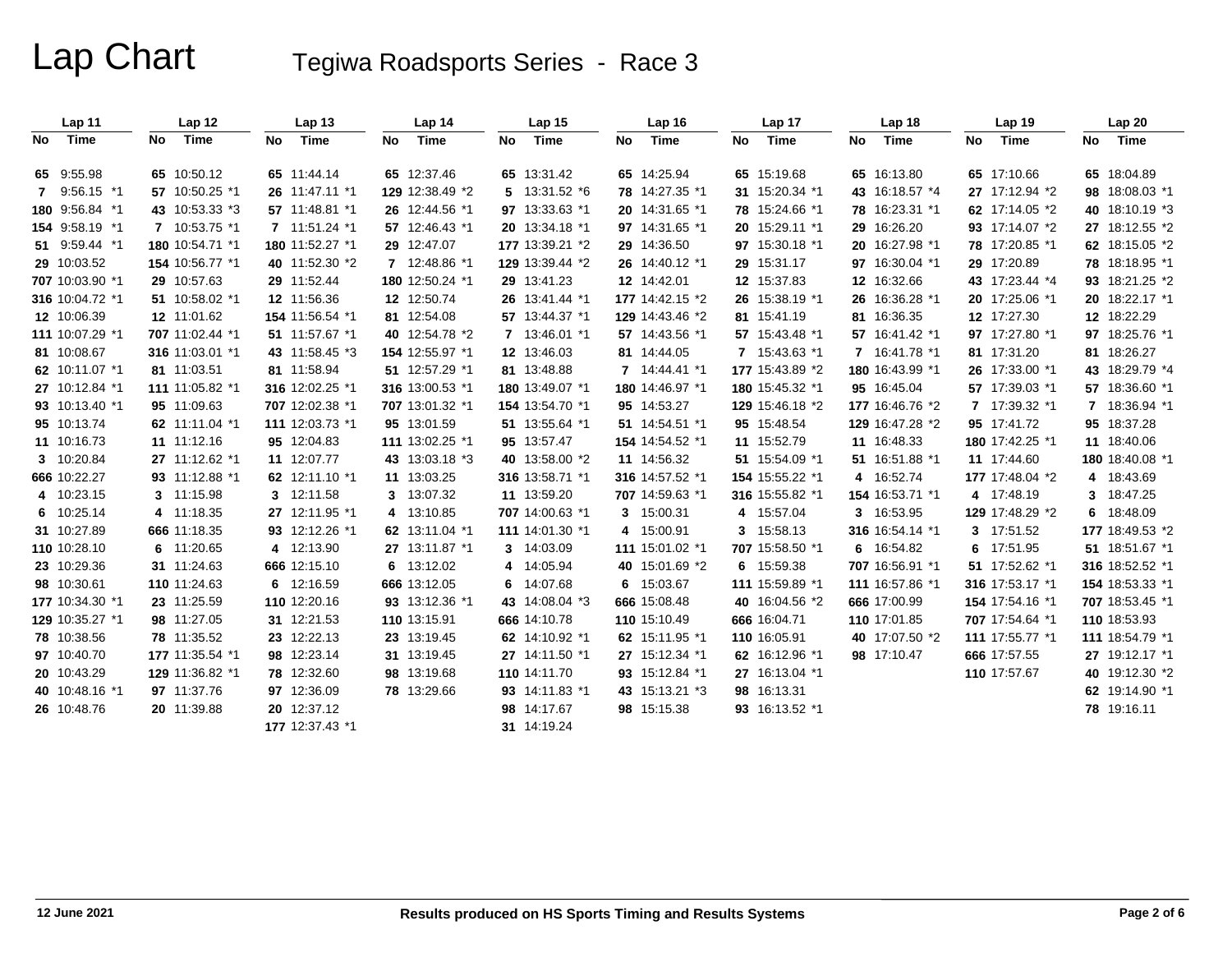|     | Lap 11          |     | Lap 12          |    | Lap <sub>13</sub> |    | Lap 14          |    | Lap 15          |    | Lap 16          |    | Lap 17          |    | Lap 18          |    | Lap 19          | Lap 20          |
|-----|-----------------|-----|-----------------|----|-------------------|----|-----------------|----|-----------------|----|-----------------|----|-----------------|----|-----------------|----|-----------------|-----------------|
| No. | Time            | No. | Time            | No | Time              | No | Time            | No | Time            | No | Time            | No | Time            | No | Time            | No | Time            | No Time         |
|     | 65 9:55.98      |     | 65 10:50.12     |    | 65 11:44.14       |    | 65 12:37.46     |    | 65 13:31.42     |    | 65 14:25.94     |    | 65 15:19.68     |    | 65 16:13.80     |    | 65 17:10.66     | 65 18:04.89     |
|     | 7 9:56.15 *1    |     | 57 10:50.25 *1  |    | 26 11:47.11 *1    |    | 129 12:38.49 *2 |    | 5 13:31.52 *6   |    | 78 14:27.35 *1  |    | 31 15:20.34 *1  |    | 43 16:18.57 *4  |    | 27 17:12.94 *2  | 98 18:08.03 *1  |
|     | 180 9:56.84 *1  |     | 43 10:53.33 *3  |    | 57 11:48.81 *1    |    | 26 12:44.56 *1  |    | 97 13:33.63 *1  |    | 20 14:31.65 *1  |    | 78 15:24.66 *1  |    | 78 16:23.31 *1  |    | 62 17:14.05 *2  | 40 18:10.19 *3  |
|     | 154 9:58.19 *1  |     | 7 10:53.75 *1   |    | 7 11:51.24 *1     |    | 57 12:46.43 *1  |    | 20 13:34.18 *1  |    | 97 14:31.65 *1  |    | 20 15:29.11 *1  |    | 29 16:26.20     |    | 93 17:14.07 *2  | 27 18:12.55 *2  |
|     | 51 9:59.44 *1   |     | 180 10:54.71 *1 |    | 180 11:52.27 *1   |    | 29 12:47.07     |    | 177 13:39.21 *2 |    | 29 14:36.50     |    | 97 15:30.18 *1  |    | 20 16:27.98 *1  |    | 78 17:20.85 *1  | 62 18:15.05 *2  |
|     | 29 10:03.52     |     | 154 10:56.77 *1 |    | 40 11:52.30 *2    |    | 7 12:48.86 *1   |    | 129 13:39.44 *2 |    | 26 14:40.12 *1  |    | 29 15:31.17     |    | 97 16:30.04 *1  |    | 29 17:20.89     | 78 18:18.95 *1  |
|     | 707 10:03.90 *1 |     | 29 10:57.63     |    | 29 11:52.44       |    | 180 12:50.24 *1 |    | 29 13:41.23     |    | 12 14:42.01     |    | 12 15:37.83     |    | 12 16:32.66     |    | 43 17:23.44 *4  | 93 18:21.25 *2  |
|     | 316 10:04.72 *1 |     | 51 10:58.02 *1  |    | 12 11:56.36       |    | 12 12:50.74     |    | 26 13:41.44 *1  |    | 177 14:42.15 *2 |    | 26 15:38.19 *1  |    | 26 16:36.28 *1  |    | 20 17:25.06 *1  | 20 18:22.17 *1  |
|     | 12 10:06.39     |     | 12 11:01.62     |    | 154 11:56.54 *1   |    | 81 12:54.08     |    | 57 13:44.37 *1  |    | 129 14:43.46 *2 |    | 81 15:41.19     |    | 81 16:36.35     |    | 12 17:27.30     | 12 18:22.29     |
|     | 111 10:07.29 *1 |     | 707 11:02.44 *1 |    | 51 11:57.67 *1    |    | 40 12:54.78 *2  |    | 7 13:46.01 *1   |    | 57 14:43.56 *1  |    | 57 15:43.48 *1  |    | 57 16:41.42 *1  |    | 97 17:27.80 *1  | 97 18:25.76 *1  |
|     | 81 10:08.67     |     | 316 11:03.01 *1 |    | 43 11:58.45 *3    |    | 154 12:55.97 *1 |    | 12 13:46.03     |    | 81 14:44.05     |    | 7 15:43.63 *1   |    | 7 16:41.78 *1   |    | 81 17:31.20     | 81 18:26.27     |
|     | 62 10:11.07 *1  |     | 81 11:03.51     |    | 81 11:58.94       |    | 51 12:57.29 *1  |    | 81 13:48.88     |    | 7 14:44.41 *1   |    | 177 15:43.89 *2 |    | 180 16:43.99 *1 |    | 26 17:33.00 *1  | 43 18:29.79 *4  |
|     | 27 10:12.84 *1  |     | 111 11:05.82 *1 |    | 316 12:02.25 *1   |    | 316 13:00.53 *1 |    | 180 13:49.07 *1 |    | 180 14:46.97 *1 |    | 180 15:45.32 *1 |    | 95 16:45.04     |    | 57 17:39.03 *1  | 57 18:36.60 *1  |
|     | 93 10:13.40 *1  |     | 95 11:09.63     |    | 707 12:02.38 *1   |    | 707 13:01.32 *1 |    | 154 13:54.70 *1 |    | 95 14:53.27     |    | 129 15:46.18 *2 |    | 177 16:46.76 *2 |    | 7 17:39.32 *1   | 7 18:36.94 *1   |
|     | 95 10:13.74     |     | 62 11:11.04 *1  |    | 111 12:03.73 *1   |    | 95 13:01.59     |    | 51 13:55.64 *1  |    | 51 14:54.51 *1  |    | 95 15:48.54     |    | 129 16:47.28 *2 |    | 95 17:41.72     | 95 18:37.28     |
|     | 11 10:16.73     |     | 11 11:12.16     |    | 95 12:04.83       |    | 111 13:02.25 *1 |    | 95 13:57.47     |    | 154 14:54.52 *1 |    | 11 15:52.79     |    | 11 16:48.33     |    | 180 17:42.25 *1 | 11 18:40.06     |
|     | 3 10:20.84      |     | 27 11:12.62 *1  |    | 11 12:07.77       |    | 43 13:03.18 *3  |    | 40 13:58.00 *2  |    | 11 14:56.32     |    | 51 15:54.09 *1  |    | 51 16:51.88 *1  |    | 11 17:44.60     | 180 18:40.08 *1 |
|     | 666 10:22.27    |     | 93 11:12.88 *1  |    | 62 12:11.10 *1    |    | 11 13:03.25     |    | 316 13:58.71 *1 |    | 316 14:57.52 *1 |    | 154 15:55.22 *1 |    | 4 16:52.74      |    | 177 17:48.04 *2 | 4 18:43.69      |
|     | 4 10:23.15      |     | 3 11:15.98      |    | 3 12:11.58        |    | 3 13:07.32      |    | 11 13:59.20     |    | 707 14:59.63 *1 |    | 316 15:55.82 *1 |    | 154 16:53.71 *1 |    | 4 17:48.19      | 3 18:47.25      |
|     | 6 10:25.14      |     | 4 11:18.35      |    | 27 12:11.95 *1    |    | 4 13:10.85      |    | 707 14:00.63 *1 |    | 3 15:00.31      |    | 4 15:57.04      |    | 3 16:53.95      |    | 129 17:48.29 *2 | 6 18:48.09      |
|     | 31 10:27.89     |     | 666 11:18.35    |    | 93 12:12.26 *1    |    | 62 13:11.04 *1  |    | 111 14:01.30 *1 |    | 4 15:00.91      |    | 3 15:58.13      |    | 316 16:54.14 *1 |    | 3 17:51.52      | 177 18:49.53 *2 |
|     | 110 10:28.10    |     | 6 11:20.65      |    | 4 12:13.90        |    | 27 13:11.87 *1  |    | 3 14:03.09      |    | 111 15:01.02 *1 |    | 707 15:58.50 *1 |    | 6 16:54.82      | 6  | 17:51.95        | 51 18:51.67 *1  |
|     | 23 10:29.36     |     | 31 11:24.63     |    | 666 12:15.10      |    | 6 13:12.02      |    | 4 14:05.94      |    | 40 15:01.69 *2  |    | 6 15:59.38      |    | 707 16:56.91 *1 |    | 51 17:52.62 *1  | 316 18:52.52 *1 |
|     | 98 10:30.61     |     | 110 11:24.63    |    | 6 12:16.59        |    | 666 13:12.05    |    | 6 14:07.68      |    | 6 15:03.67      |    | 111 15:59.89 *1 |    | 111 16:57.86 *1 |    | 316 17:53.17 *1 | 154 18:53.33 *1 |
|     | 177 10:34.30 *1 |     | 23 11:25.59     |    | 110 12:20.16      |    | 93 13:12.36 *1  |    | 43 14:08.04 *3  |    | 666 15:08.48    |    | 40 16:04.56 *2  |    | 666 17:00.99    |    | 154 17:54.16 *1 | 707 18:53.45 *1 |
|     | 129 10:35.27 *1 |     | 98 11:27.05     |    | 31 12:21.53       |    | 110 13:15.91    |    | 666 14:10.78    |    | 110 15:10.49    |    | 666 16:04.71    |    | 110 17:01.85    |    | 707 17:54.64 *1 | 110 18:53.93    |
|     | 78 10:38.56     |     | 78 11:35.52     |    | 23 12:22.13       |    | 23 13:19.45     |    | 62 14:10.92 *1  |    | 62 15:11.95 *1  |    | 110 16:05.91    |    | 40 17:07.50 *2  |    | 111 17:55.77 *1 | 111 18:54.79 *1 |
|     | 97 10:40.70     |     | 177 11:35.54 *1 |    | 98 12:23.14       |    | 31 13:19.45     |    | 27 14:11.50 *1  |    | 27 15:12.34 *1  |    | 62 16:12.96 *1  |    | 98 17:10.47     |    | 666 17:57.55    | 27 19:12.17 *1  |
|     | 20 10:43.29     |     | 129 11:36.82 *1 |    | 78 12:32.60       |    | 98 13:19.68     |    | 110 14:11.70    |    | 93 15:12.84 *1  |    | 27 16:13.04 *1  |    |                 |    | 110 17:57.67    | 40 19:12.30 *2  |
|     | 40 10:48.16 *1  |     | 97 11:37.76     |    | 97 12:36.09       |    | 78 13:29.66     |    | 93 14:11.83 *1  |    | 43 15:13.21 *3  |    | 98 16:13.31     |    |                 |    |                 | 62 19:14.90 *1  |
|     | 26 10:48.76     |     | 20 11:39.88     |    | 20 12:37.12       |    |                 |    | 98 14:17.67     |    | 98 15:15.38     |    | 93 16:13.52 *1  |    |                 |    |                 | 78 19:16.11     |
|     |                 |     |                 |    | 177 12:37.43 *1   |    |                 |    | 31 14:19.24     |    |                 |    |                 |    |                 |    |                 |                 |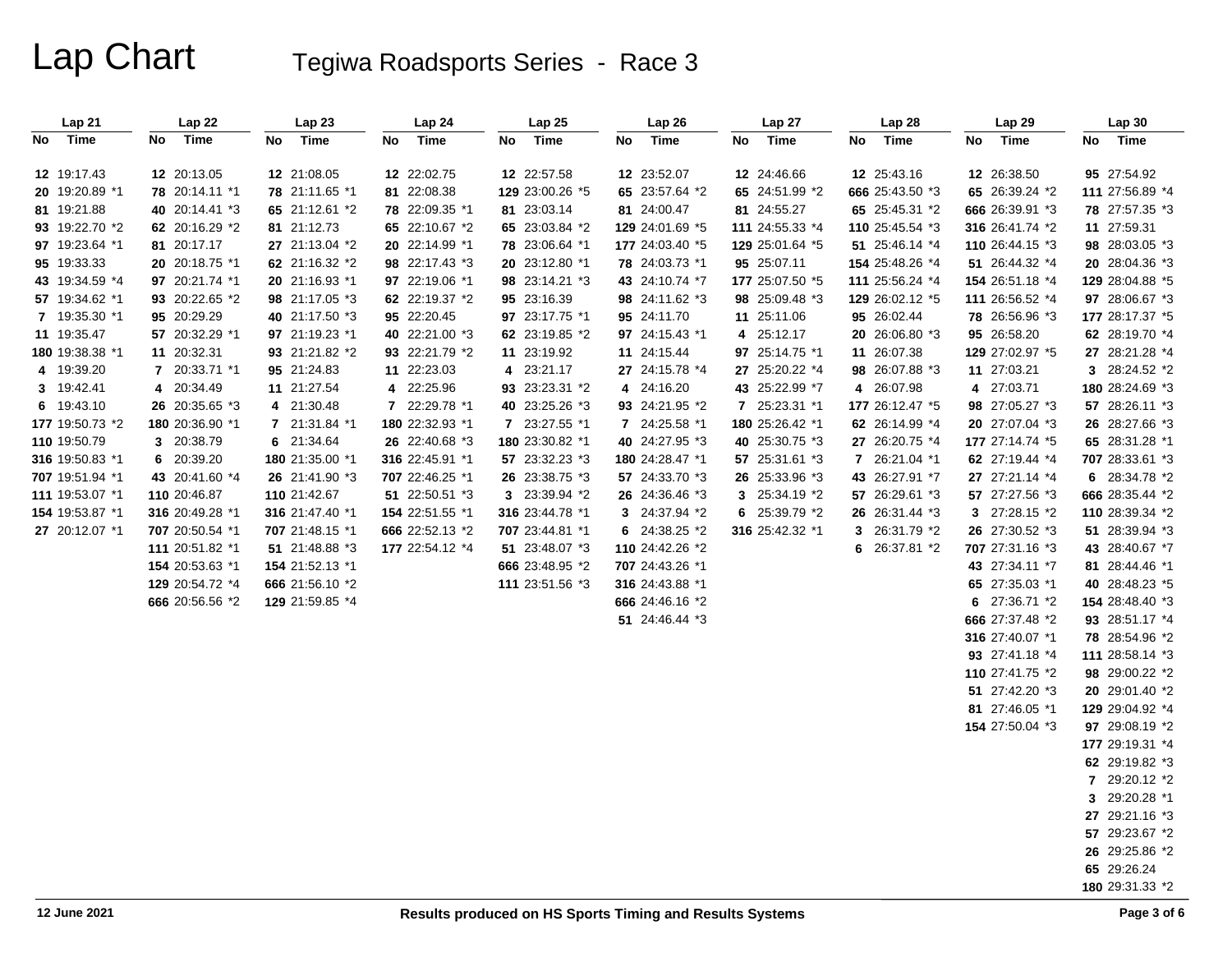| Lap 21          | Lap 22          | Lap 23          | Lap 24          | Lap 25          | Lap 26          | Lap 27          | Lap 28          | Lap 29          | Lap 30          |
|-----------------|-----------------|-----------------|-----------------|-----------------|-----------------|-----------------|-----------------|-----------------|-----------------|
| No Time         | Time<br>No      | Time<br>No      | Time<br>No      | No<br>Time      | Time<br>No      | No Time         | Time<br>No      | No Time         | No Time         |
|                 |                 |                 |                 |                 |                 |                 |                 |                 |                 |
| 12 19:17.43     | 12 20:13.05     | 12 21:08.05     | 12 22:02.75     | 12 22:57.58     | 12 23:52.07     | 12 24:46.66     | 12 25:43.16     | 12 26:38.50     | 95 27:54.92     |
| 20 19:20.89 *1  | 78 20:14.11 *1  | 78 21:11.65 *1  | 81 22:08.38     | 129 23:00.26 *5 | 65 23:57.64 *2  | 65 24:51.99 *2  | 666 25:43.50 *3 | 65 26:39.24 *2  | 111 27:56.89 *4 |
| 81 19:21.88     | 40 20:14.41 *3  | 65 21:12.61 *2  | 78 22:09.35 *1  | 81 23:03.14     | 81 24:00.47     | 81 24:55.27     | 65 25:45.31 *2  | 666 26:39.91 *3 | 78 27:57.35 *3  |
| 93 19:22.70 *2  | 62 20:16.29 *2  | 81 21:12.73     | 65 22:10.67 *2  | 65 23:03.84 *2  | 129 24:01.69 *5 | 111 24:55.33 *4 | 110 25:45.54 *3 | 316 26:41.74 *2 | 11 27:59.31     |
| 97 19:23.64 *1  | 81 20:17.17     | 27 21:13.04 *2  | 20 22:14.99 *1  | 78 23:06.64 *1  | 177 24:03.40 *5 | 129 25:01.64 *5 | 51 25:46.14 *4  | 110 26:44.15 *3 | 98 28:03.05 *3  |
| 95 19:33.33     | 20 20:18.75 *1  | 62 21:16.32 *2  | 98 22:17.43 *3  | 20 23:12.80 *1  | 78 24:03.73 *1  | 95 25:07.11     | 154 25:48.26 *4 | 51 26:44.32 *4  | 20 28:04.36 *3  |
| 43 19:34.59 *4  | 97 20:21.74 *1  | 20 21:16.93 *1  | 97 22:19.06 *1  | 98 23:14.21 *3  | 43 24:10.74 *7  | 177 25:07.50 *5 | 111 25:56.24 *4 | 154 26:51.18 *4 | 129 28:04.88 *5 |
| 57 19:34.62 *1  | 93 20:22.65 *2  | 98 21:17.05 *3  | 62 22:19.37 *2  | 95 23:16.39     | 98 24:11.62 *3  | 98 25:09.48 *3  | 129 26:02.12 *5 | 111 26:56.52 *4 | 97 28:06.67 *3  |
| 7 19:35.30 *1   | 95 20:29.29     | 40 21:17.50 *3  | 95 22:20.45     | 97 23:17.75 *1  | 95 24:11.70     | 11 25:11.06     | 95 26:02.44     | 78 26:56.96 *3  | 177 28:17.37 *5 |
| 11 19:35.47     | 57 20:32.29 *1  | 97 21:19.23 *1  | 40 22:21.00 *3  | 62 23:19.85 *2  | 97 24:15.43 *1  | 4 25:12.17      | 20 26:06.80 *3  | 95 26:58.20     | 62 28:19.70 *4  |
| 180 19:38.38 *1 | 11 20:32.31     | 93 21:21.82 *2  | 93 22:21.79 *2  | 11 23:19.92     | 11 24:15.44     | 97 25:14.75 *1  | 11 26:07.38     | 129 27:02.97 *5 | 27 28:21.28 *4  |
| 4 19:39.20      | 7 20:33.71 *1   | 95 21:24.83     | 11 22:23.03     | 4 23:21.17      | 27 24:15.78 *4  | 27 25:20.22 *4  | 98 26:07.88 *3  | 11 27:03.21     | 3 28:24.52 *2   |
| 3 19:42.41      | 4 20:34.49      | 11 21:27.54     | 4 22:25.96      | 93 23:23.31 *2  | 4 24:16.20      | 43 25:22.99 *7  | 4 26:07.98      | 27:03.71<br>4   | 180 28:24.69 *3 |
| 6 19:43.10      | 26 20:35.65 *3  | 4 21:30.48      | 7 22:29.78 *1   | 40 23:25.26 *3  | 93 24:21.95 *2  | 7 25:23.31 *1   | 177 26:12.47 *5 | 98 27:05.27 *3  | 57 28:26.11 *3  |
| 177 19:50.73 *2 | 180 20:36.90 *1 | 7 21:31.84 *1   | 180 22:32.93 *1 | 7 23:27.55 *1   | 7 24:25.58 *1   | 180 25:26.42 *1 | 62 26:14.99 *4  | 20 27:07.04 *3  | 26 28:27.66 *3  |
| 110 19:50.79    | 3 20:38.79      | 6 21:34.64      | 26 22:40.68 *3  | 180 23:30.82 *1 | 40 24:27.95 *3  | 40 25:30.75 *3  | 27 26:20.75 *4  | 177 27:14.74 *5 | 65 28:31.28 *1  |
| 316 19:50.83 *1 | 6 20:39.20      | 180 21:35.00 *1 | 316 22:45.91 *1 | 57 23:32.23 *3  | 180 24:28.47 *1 | 57 25:31.61 *3  | 7 26:21.04 *1   | 62 27:19.44 *4  | 707 28:33.61 *3 |
| 707 19:51.94 *1 | 43 20:41.60 *4  | 26 21:41.90 *3  | 707 22:46.25 *1 | 26 23:38.75 *3  | 57 24:33.70 *3  | 26 25:33.96 *3  | 43 26:27.91 *7  | 27 27:21.14 *4  | 6 28:34.78 *2   |
| 111 19:53.07 *1 | 110 20:46.87    | 110 21:42.67    | 51 22:50.51 *3  | 3 23:39.94 *2   | 26 24:36.46 *3  | 3 25:34.19 *2   | 57 26:29.61 *3  | 57 27:27.56 *3  | 666 28:35.44 *2 |
| 154 19:53.87 *1 | 316 20:49.28 *1 | 316 21:47.40 *1 | 154 22:51.55 *1 | 316 23:44.78 *1 | 3 24:37.94 *2   | 6 25:39.79 *2   | 26 26:31.44 *3  | 3 27:28.15 *2   | 110 28:39.34 *2 |
| 27 20:12.07 *1  | 707 20:50.54 *1 | 707 21:48.15 *1 | 666 22:52.13 *2 | 707 23:44.81 *1 | 6 24:38.25 *2   | 316 25:42.32 *1 | 3 26:31.79 *2   | 26 27:30.52 *3  | 51 28:39.94 *3  |
|                 | 111 20:51.82 *1 | 51 21:48.88 *3  | 177 22:54.12 *4 | 51 23:48.07 *3  | 110 24:42.26 *2 |                 | 6 26:37.81 *2   | 707 27:31.16 *3 | 43 28:40.67 *7  |
|                 | 154 20:53.63 *1 | 154 21:52.13 *1 |                 | 666 23:48.95 *2 | 707 24:43.26 *1 |                 |                 | 43 27:34.11 *7  | 81 28:44.46 *1  |
|                 | 129 20:54.72 *4 | 666 21:56.10 *2 |                 | 111 23:51.56 *3 | 316 24:43.88 *1 |                 |                 | 65 27:35.03 *1  | 40 28:48.23 *5  |
|                 | 666 20:56.56 *2 | 129 21:59.85 *4 |                 |                 | 666 24:46.16 *2 |                 |                 | 6 27:36.71 *2   | 154 28:48.40 *3 |
|                 |                 |                 |                 |                 | 51 24:46.44 *3  |                 |                 | 666 27:37.48 *2 | 93 28:51.17 *4  |
|                 |                 |                 |                 |                 |                 |                 |                 | 316 27:40.07 *1 | 78 28:54.96 *2  |
|                 |                 |                 |                 |                 |                 |                 |                 | 93 27:41.18 *4  | 111 28:58.14 *3 |
|                 |                 |                 |                 |                 |                 |                 |                 | 110 27:41.75 *2 | 98 29:00.22 *2  |
|                 |                 |                 |                 |                 |                 |                 |                 | 51 27:42.20 *3  | 20 29:01.40 *2  |
|                 |                 |                 |                 |                 |                 |                 |                 | 81 27:46.05 *1  | 129 29:04.92 *4 |
|                 |                 |                 |                 |                 |                 |                 |                 | 154 27:50.04 *3 | 97 29:08.19 *2  |
|                 |                 |                 |                 |                 |                 |                 |                 |                 | 177 29:19.31 *4 |
|                 |                 |                 |                 |                 |                 |                 |                 |                 | 62 29:19.82 *3  |
|                 |                 |                 |                 |                 |                 |                 |                 |                 | 7 29:20.12 *2   |
|                 |                 |                 |                 |                 |                 |                 |                 |                 | 3 29:20.28 *1   |
|                 |                 |                 |                 |                 |                 |                 |                 |                 | 27 29:21.16 *3  |
|                 |                 |                 |                 |                 |                 |                 |                 |                 | 57 29:23.67 *2  |
|                 |                 |                 |                 |                 |                 |                 |                 |                 | 26 29:25.86 *2  |
|                 |                 |                 |                 |                 |                 |                 |                 |                 | 65 29:26.24     |
|                 |                 |                 |                 |                 |                 |                 |                 |                 | 180 29:31.33 *2 |
|                 |                 |                 |                 |                 |                 |                 |                 |                 |                 |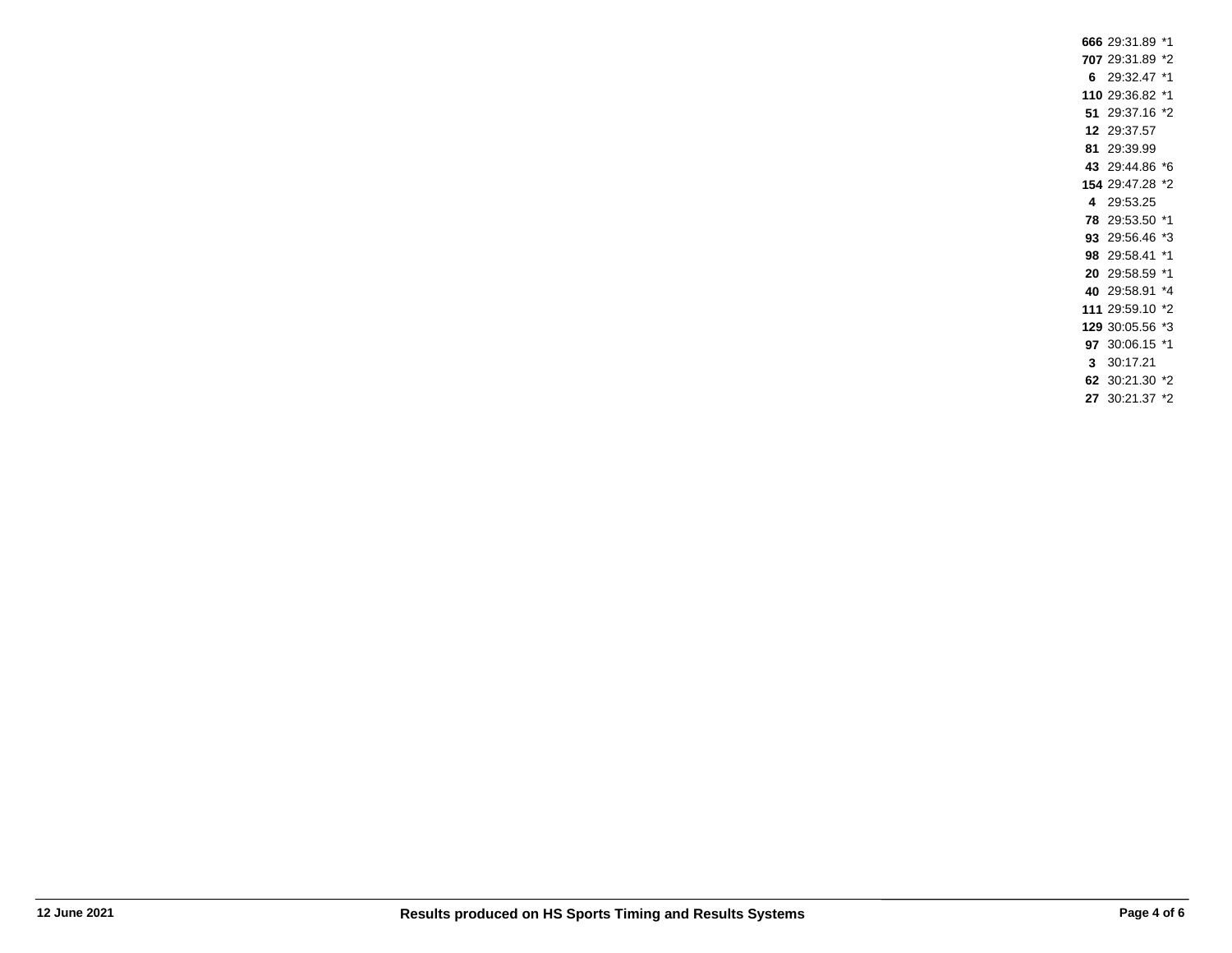29:31.89 \*1 29:31.89 \*2 29:32.47 \*1 29:36.82 \*1 29:37.16 \*2 29:37.57 29:39.99 29:44.86 \*6 29:47.28 \*2 **4** 29:53.25 29:53.50 \*1 29:56.46 \*3 29:58.41 \*1 29:58.59 \*1 29:58.91 \*4 29:59.10 \*2 30:05.56 \*3 30:06.15 \*1 **3** 30:17.21 30:21.30 \*2 30:21.37 \*2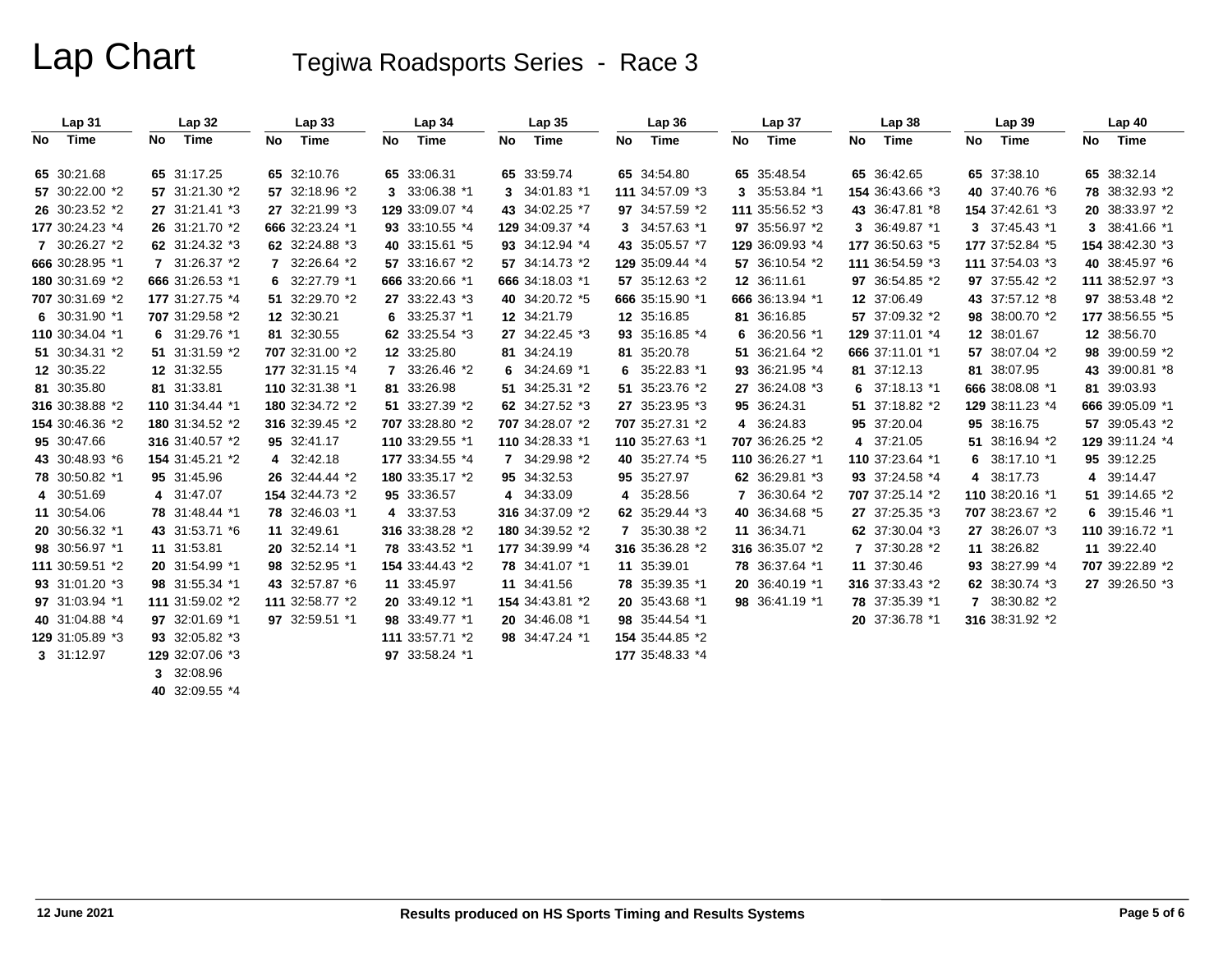|    | Lap31           |    | <b>Lap 32</b>   |     | Lap33           |    | Lap 34          |    | Lap35           |    | Lap 36          |    | Lap <sub>37</sub> |    | Lap38           |    | Lap39           |    | Lap40           |
|----|-----------------|----|-----------------|-----|-----------------|----|-----------------|----|-----------------|----|-----------------|----|-------------------|----|-----------------|----|-----------------|----|-----------------|
| No | Time            | No | Time            | No. | Time            | No | Time            | No | Time            | No | Time            | No | Time              | No | Time            | No | Time            | No | Time            |
|    | 65 30:21.68     |    | 65 31:17.25     |     | 65 32:10.76     |    | 65 33:06.31     |    | 65 33:59.74     |    | 65 34:54.80     |    | 65 35:48.54       |    | 65 36:42.65     |    | 65 37:38.10     |    | 65 38:32.14     |
|    | 57 30:22.00 *2  |    | 57 31:21.30 *2  |     | 57 32:18.96 *2  |    | 3 33:06.38 *1   |    | 3 34:01.83 *1   |    | 111 34:57.09 *3 |    | 3 35:53.84 *1     |    | 154 36:43.66 *3 |    | 40 37:40.76 *6  |    | 78 38:32.93 *2  |
|    | 26 30:23.52 *2  |    | 27 31:21.41 *3  |     | 27 32:21.99 *3  |    | 129 33:09.07 *4 |    | 43 34:02.25 *7  |    | 97 34:57.59 *2  |    | 111 35:56.52 *3   |    | 43 36:47.81 *8  |    | 154 37:42.61 *3 |    | 20 38:33.97 *2  |
|    | 177 30:24.23 *4 |    | 26 31:21.70 *2  |     | 666 32:23.24 *1 |    | 93 33:10.55 *4  |    | 129 34:09.37 *4 |    | 3 34:57.63 *1   |    | 97 35:56.97 *2    |    | 3 36:49.87 *1   |    | 3 37:45.43 *1   |    | 3 38:41.66 *1   |
|    | 7 30:26.27 *2   |    | 62 31:24.32 *3  |     | 62 32:24.88 *3  |    | 40 33:15.61 *5  |    | 93 34:12.94 *4  |    | 43 35:05.57 *7  |    | 129 36:09.93 *4   |    | 177 36:50.63 *5 |    | 177 37:52.84 *5 |    | 154 38:42.30 *3 |
|    | 666 30:28.95 *1 |    | 7 31:26.37 *2   |     | 7 32:26.64 *2   |    | 57 33:16.67 *2  |    | 57 34:14.73 *2  |    | 129 35:09.44 *4 |    | 57 36:10.54 *2    |    | 111 36:54.59 *3 |    | 111 37:54.03 *3 |    | 40 38:45.97 *6  |
|    | 180 30:31.69 *2 |    | 666 31:26.53 *1 |     | 6 $32:27.79$ *1 |    | 666 33:20.66 *1 |    | 666 34:18.03 *1 |    | 57 35:12.63 *2  |    | 12 36:11.61       |    | 97 36:54.85 *2  |    | 97 37:55.42 *2  |    | 111 38:52.97 *3 |
|    | 707 30:31.69 *2 |    | 177 31:27.75 *4 |     | 51 32:29.70 *2  |    | 27 33:22.43 *3  |    | 40 34:20.72 *5  |    | 666 35:15.90 *1 |    | 666 36:13.94 *1   |    | 12 37:06.49     |    | 43 37:57.12 *8  |    | 97 38:53.48 *2  |
|    | 6 30:31.90 *1   |    | 707 31:29.58 *2 |     | 12 32:30.21     |    | 6 $33:25.37$ *1 |    | 12 34:21.79     |    | 12 35:16.85     |    | 81 36:16.85       |    | 57 37:09.32 *2  |    | 98 38:00.70 *2  |    | 177 38:56.55 *5 |
|    | 110 30:34.04 *1 |    | 6 31:29.76 *1   |     | 81 32:30.55     |    | 62 33:25.54 *3  |    | 27 34:22.45 *3  |    | 93 35:16.85 *4  |    | 6 $36:20.56*1$    |    | 129 37:11.01 *4 |    | 12 38:01.67     |    | 12 38:56.70     |
|    | 51 30:34.31 *2  |    | 51 31:31.59 *2  |     | 707 32:31.00 *2 |    | 12 33:25.80     |    | 81 34:24.19     |    | 81 35:20.78     |    | 51 36:21.64 *2    |    | 666 37:11.01 *1 |    | 57 38:07.04 *2  |    | 98 39:00.59 *2  |
|    | 12 30:35.22     |    | 12 31:32.55     |     | 177 32:31.15 *4 |    | 7 33:26.46 *2   |    | 6 34:24.69 *1   |    | 6 $35:22.83$ *1 |    | 93 36:21.95 *4    |    | 81 37:12.13     |    | 81 38:07.95     |    | 43 39:00.81 *8  |
|    | 81 30:35.80     |    | 81 31:33.81     |     | 110 32:31.38 *1 |    | 81 33:26.98     |    | 51 34:25.31 *2  |    | 51 35:23.76 *2  |    | 27 36:24.08 *3    |    | 6 $37:18.13$ *1 |    | 666 38:08.08 *1 |    | 81 39:03.93     |
|    | 316 30:38.88 *2 |    | 110 31:34.44 *1 |     | 180 32:34.72 *2 |    | 51 33:27.39 *2  |    | 62 34:27.52 *3  |    | 27 35:23.95 *3  |    | 95 36:24.31       |    | 51 37:18.82 *2  |    | 129 38:11.23 *4 |    | 666 39:05.09 *1 |
|    | 154 30:46.36 *2 |    | 180 31:34.52 *2 |     | 316 32:39.45 *2 |    | 707 33:28.80 *2 |    | 707 34:28.07 *2 |    | 707 35:27.31 *2 |    | 4 36:24.83        |    | 95 37:20.04     |    | 95 38:16.75     |    | 57 39:05.43 *2  |
|    | 95 30:47.66     |    | 316 31:40.57 *2 |     | 95 32:41.17     |    | 110 33:29.55 *1 |    | 110 34:28.33 *1 |    | 110 35:27.63 *1 |    | 707 36:26.25 *2   |    | 4 37:21.05      |    | 51 38:16.94 *2  |    | 129 39:11.24 *4 |
|    | 43 30:48.93 *6  |    | 154 31:45.21 *2 |     | 4 32:42.18      |    | 177 33:34.55 *4 |    | 7 34:29.98 *2   |    | 40 35:27.74 *5  |    | 110 36:26.27 *1   |    | 110 37:23.64 *1 | 6. | 38:17.10 *1     |    | 95 39:12.25     |
|    | 78 30:50.82 *1  |    | 95 31:45.96     |     | 26 32:44.44 *2  |    | 180 33:35.17 *2 |    | 95 34:32.53     |    | 95 35:27.97     |    | 62 36:29.81 *3    |    | 93 37:24.58 *4  |    | 4 38:17.73      |    | 4 39:14.47      |
|    | 4 30:51.69      |    | 4 31:47.07      |     | 154 32:44.73 *2 |    | 95 33:36.57     |    | 4 34:33.09      |    | 4 35:28.56      |    | 7 36:30.64 *2     |    | 707 37:25.14 *2 |    | 110 38:20.16 *1 |    | 51 39:14.65 *2  |
|    | 11 30:54.06     |    | 78 31:48.44 *1  |     | 78 32:46.03 *1  |    | 4 33:37.53      |    | 316 34:37.09 *2 |    | 62 35:29.44 *3  |    | 40 36:34.68 *5    |    | 27 37:25.35 *3  |    | 707 38:23.67 *2 |    | 6 39:15.46 $*1$ |
|    | 20 30:56.32 *1  |    | 43 31:53.71 *6  |     | 11 32:49.61     |    | 316 33:38.28 *2 |    | 180 34:39.52 *2 |    | 7 35:30.38 *2   |    | 11 36:34.71       |    | 62 37:30.04 *3  |    | 27 38:26.07 *3  |    | 110 39:16.72 *1 |
|    | 98 30:56.97 *1  |    | 11 31:53.81     |     | 20 32:52.14 *1  |    | 78 33:43.52 *1  |    | 177 34:39.99 *4 |    | 316 35:36.28 *2 |    | 316 36:35.07 *2   |    | 7 37:30.28 *2   |    | 11 38:26.82     |    | 11 39:22.40     |
|    | 111 30:59.51 *2 |    | 20 31:54.99 *1  |     | 98 32:52.95 *1  |    | 154 33:44.43 *2 |    | 78 34:41.07 *1  |    | 11 35:39.01     |    | 78 36:37.64 *1    |    | 11 37:30.46     |    | 93 38:27.99 *4  |    | 707 39:22.89 *2 |
|    | 93 31:01.20 *3  |    | 98 31:55.34 *1  |     | 43 32:57.87 *6  |    | 11 33:45.97     |    | 11 34:41.56     |    | 78 35:39.35 *1  |    | 20 36:40.19 *1    |    | 316 37:33.43 *2 |    | 62 38:30.74 *3  |    | 27 39:26.50 *3  |
|    | 97 31:03.94 *1  |    | 111 31:59.02 *2 |     | 111 32:58.77 *2 |    | 20 33:49.12 *1  |    | 154 34:43.81 *2 |    | 20 35:43.68 *1  |    | 98 36:41.19 *1    |    | 78 37:35.39 *1  |    | 7 38:30.82 *2   |    |                 |
|    | 40 31:04.88 *4  |    | 97 32:01.69 *1  |     | 97 32:59.51 *1  |    | 98 33:49.77 *1  |    | 20 34:46.08 *1  |    | 98 35:44.54 *1  |    |                   |    | 20 37:36.78 *1  |    | 316 38:31.92 *2 |    |                 |
|    | 129 31:05.89 *3 |    | 93 32:05.82 *3  |     |                 |    | 111 33:57.71 *2 |    | 98 34:47.24 *1  |    | 154 35:44.85 *2 |    |                   |    |                 |    |                 |    |                 |
|    | 3 31:12.97      |    | 129 32:07.06 *3 |     |                 |    | 97 33:58.24 *1  |    |                 |    | 177 35:48.33 *4 |    |                   |    |                 |    |                 |    |                 |
|    |                 |    | 3 32:08.96      |     |                 |    |                 |    |                 |    |                 |    |                   |    |                 |    |                 |    |                 |

**40** 32:09.55 \*4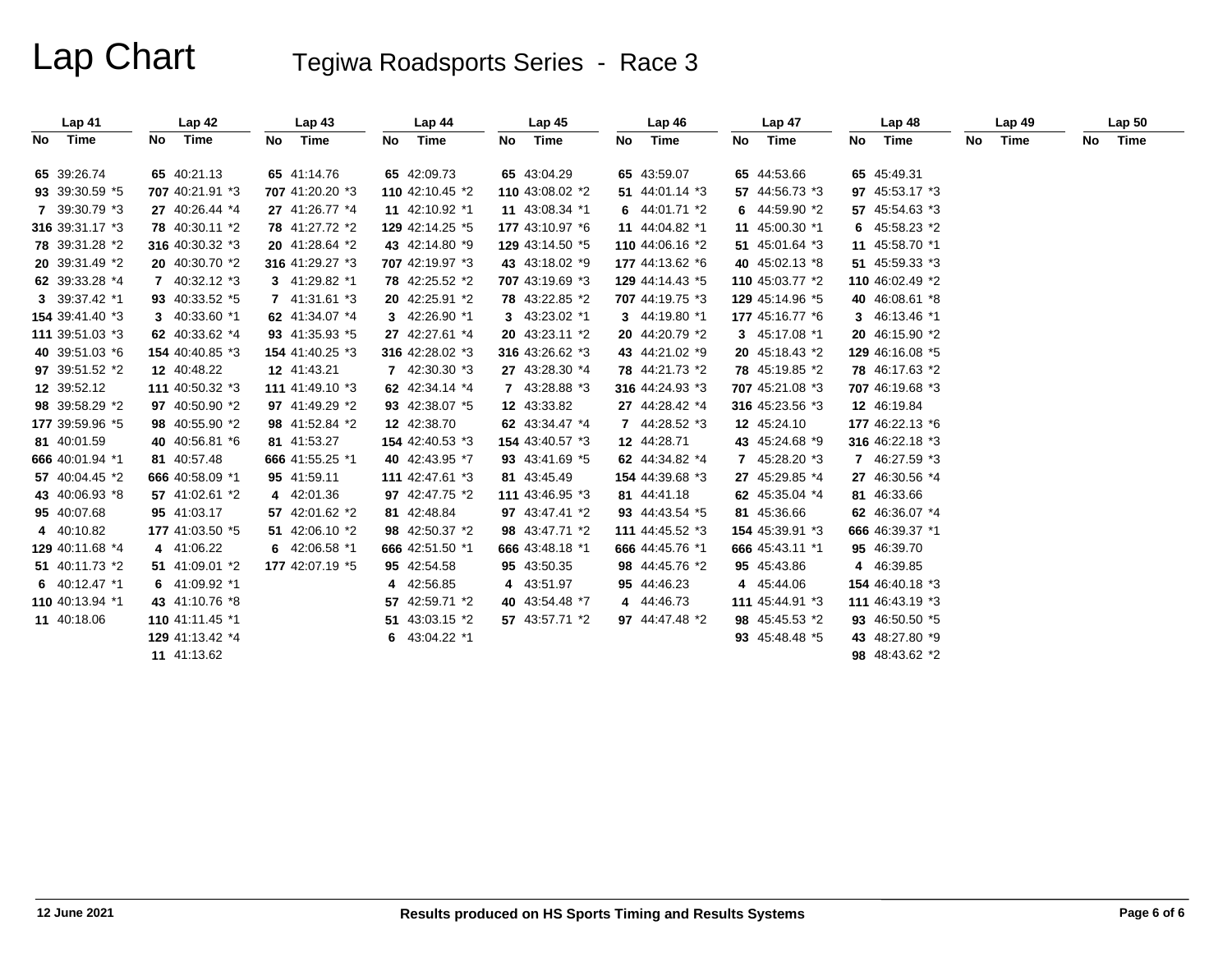| Lap <sub>41</sub> | Lap42           | Lap43           | Lap 44          | Lap <sub>45</sub> | Lap46           | Lap <sub>47</sub> | Lap48           | Lap49      | Lap <sub>50</sub> |
|-------------------|-----------------|-----------------|-----------------|-------------------|-----------------|-------------------|-----------------|------------|-------------------|
| No Time           | Time<br>No      | Time<br>No      | Time<br>No.     | Time<br>No        | Time<br>No      | Time<br>No        | Time<br>No      | Time<br>No | Time<br>No        |
| 65 39:26.74       | 65 40:21.13     | 65 41:14.76     | 65 42:09.73     | 65 43:04.29       | 65 43:59.07     | 65 44:53.66       | 65 45:49.31     |            |                   |
| 93 39:30.59 *5    | 707 40:21.91 *3 | 707 41:20.20 *3 | 110 42:10.45 *2 | 110 43:08.02 *2   | 51 44:01.14 *3  | 57 44:56.73 *3    | 97 45:53.17 *3  |            |                   |
| 7 39:30.79 *3     | 27 40:26.44 *4  | 27 41:26.77 *4  | 11 42:10.92 *1  | 11 43:08.34 *1    | 6 44:01.71 *2   | 6 44:59.90 *2     | 57 45:54.63 *3  |            |                   |
| 316 39:31.17 *3   | 78 40:30.11 *2  | 78 41:27.72 *2  | 129 42:14.25 *5 | 177 43:10.97 *6   | 11 44:04.82 *1  | 11 45:00.30 *1    | 6 45:58.23 *2   |            |                   |
| 78 39:31.28 *2    | 316 40:30.32 *3 | 20 41:28.64 *2  | 43 42:14.80 *9  | 129 43:14.50 *5   | 110 44:06.16 *2 | 51 45:01.64 *3    | 11 45:58.70 *1  |            |                   |
| 20 39:31.49 *2    | 20 40:30.70 *2  | 316 41:29.27 *3 | 707 42:19.97 *3 | 43 43:18.02 *9    | 177 44:13.62 *6 | 40 45:02.13 *8    | 51 45:59.33 *3  |            |                   |
| 62 39:33.28 *4    | 7 40:32.12 *3   | 3 41:29.82 *1   | 78 42:25.52 *2  | 707 43:19.69 *3   | 129 44:14.43 *5 | 110 45:03.77 *2   | 110 46:02.49 *2 |            |                   |
| 3 39:37.42 *1     | 93 40:33.52 *5  | 7 41:31.61 *3   | 20 42:25.91 *2  | 78 43:22.85 *2    | 707 44:19.75 *3 | 129 45:14.96 *5   | 40 46:08.61 *8  |            |                   |
| 154 39:41.40 *3   | 3 40:33.60 *1   | 62 41:34.07 *4  | 3 42:26.90 *1   | 3 43:23.02 *1     | 3 44:19.80 *1   | 177 45:16.77 *6   | 3 46:13.46 *1   |            |                   |
| 111 39:51.03 *3   | 62 40:33.62 *4  | 93 41:35.93 *5  | 27 42:27.61 *4  | 20 43:23.11 *2    | 20 44:20.79 *2  | 3 45:17.08 *1     | 20 46:15.90 *2  |            |                   |
| 40 39:51.03 *6    | 154 40:40.85 *3 | 154 41:40.25 *3 | 316 42:28.02 *3 | 316 43:26.62 *3   | 43 44:21.02 *9  | 20 45:18.43 *2    | 129 46:16.08 *5 |            |                   |
| 97 39:51.52 *2    | 12 40:48.22     | 12 41:43.21     | 7 42:30.30 *3   | 27 43:28.30 *4    | 78 44:21.73 *2  | 78 45:19.85 *2    | 78 46:17.63 *2  |            |                   |
| 12 39:52.12       | 111 40:50.32 *3 | 111 41:49.10 *3 | 62 42:34.14 *4  | 7 43:28.88 *3     | 316 44:24.93 *3 | 707 45:21.08 *3   | 707 46:19.68 *3 |            |                   |
| 98 39:58.29 *2    | 97 40:50.90 *2  | 97 41:49.29 *2  | 93 42:38.07 *5  | 12 43:33.82       | 27 44:28.42 *4  | 316 45:23.56 *3   | 12 46:19.84     |            |                   |
| 177 39:59.96 *5   | 98 40:55.90 *2  | 98 41:52.84 *2  | 12 42:38.70     | 62 43:34.47 *4    | 7 44:28.52 *3   | 12 45:24.10       | 177 46:22.13 *6 |            |                   |
| 81 40:01.59       | 40 40:56.81 *6  | 81 41:53.27     | 154 42:40.53 *3 | 154 43:40.57 *3   | 12 44:28.71     | 43 45:24.68 *9    | 316 46:22.18 *3 |            |                   |
| 666 40:01.94 *1   | 81 40:57.48     | 666 41:55.25 *1 | 40 42:43.95 *7  | 93 43:41.69 *5    | 62 44:34.82 *4  | 7 45:28.20 *3     | 7 46:27.59 *3   |            |                   |
| 57 40:04.45 *2    | 666 40:58.09 *1 | 95 41:59.11     | 111 42:47.61 *3 | 81 43:45.49       | 154 44:39.68 *3 | 27 45:29.85 *4    | 27 46:30.56 *4  |            |                   |
| 43 40:06.93 *8    | 57 41:02.61 *2  | 4 42:01.36      | 97 42:47.75 *2  | 111 43:46.95 *3   | 81 44:41.18     | 62 45:35.04 *4    | 81 46:33.66     |            |                   |
| 95 40:07.68       | 95 41:03.17     | 57 42:01.62 *2  | 81 42:48.84     | 97 43:47.41 *2    | 93 44:43.54 *5  | 81 45:36.66       | 62 46:36.07 *4  |            |                   |
| 4 40:10.82        | 177 41:03.50 *5 | 51 42:06.10 *2  | 98 42:50.37 *2  | 98 43:47.71 *2    | 111 44:45.52 *3 | 154 45:39.91 *3   | 666 46:39.37 *1 |            |                   |
| 129 40:11.68 *4   | 4 41:06.22      | 6 42:06.58 *1   | 666 42:51.50 *1 | 666 43:48.18 *1   | 666 44:45.76 *1 | 666 45:43.11 *1   | 95 46:39.70     |            |                   |
| 51 40:11.73 *2    | 51 41:09.01 *2  | 177 42:07.19 *5 | 95 42:54.58     | 95 43:50.35       | 98 44:45.76 *2  | 95 45:43.86       | 4 46:39.85      |            |                   |
| 6 $40:12.47$ *1   | 6 41:09.92 *1   |                 | 4 42:56.85      | 4 43:51.97        | 95 44:46.23     | 4 45:44.06        | 154 46:40.18 *3 |            |                   |
| 110 40:13.94 *1   | 43 41:10.76 *8  |                 | 57 42:59.71 *2  | 40 43:54.48 *7    | 4 44:46.73      | 111 45:44.91 *3   | 111 46:43.19 *3 |            |                   |
| 11 40:18.06       | 110 41:11.45 *1 |                 | 51 43:03.15 *2  | 57 43:57.71 *2    | 97 44:47.48 *2  | 98 45:45.53 *2    | 93 46:50.50 *5  |            |                   |
|                   | 129 41:13.42 *4 |                 | 6 $43:04.22$ *1 |                   |                 | 93 45:48.48 *5    | 43 48:27.80 *9  |            |                   |
|                   | 11 41:13.62     |                 |                 |                   |                 |                   | 98 48:43.62 *2  |            |                   |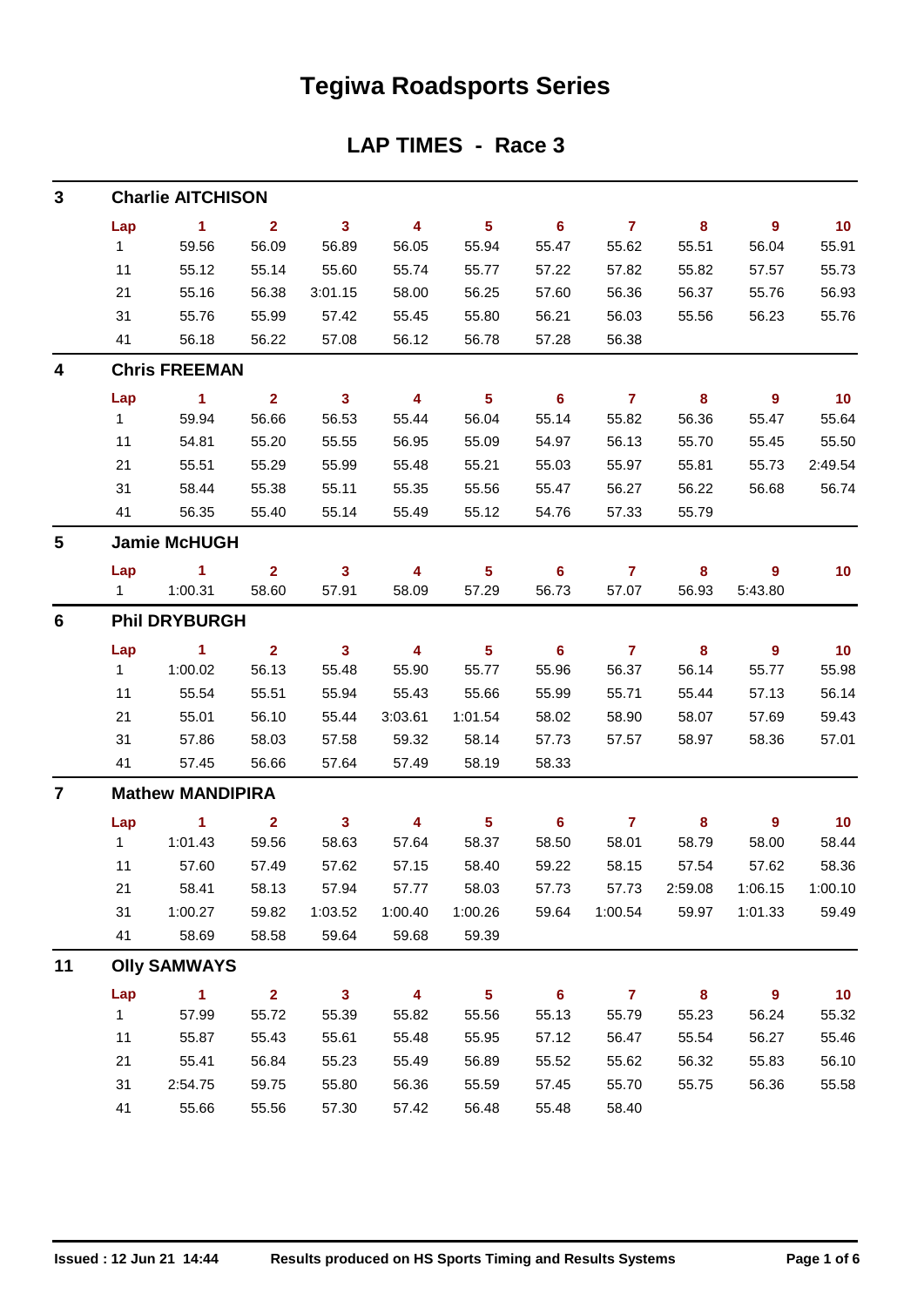## **Tegiwa Roadsports Series**

### **LAP TIMES - Race 3**

| 3                       |              | <b>Charlie AITCHISON</b> |                |              |         |                         |                  |                |                  |                |         |
|-------------------------|--------------|--------------------------|----------------|--------------|---------|-------------------------|------------------|----------------|------------------|----------------|---------|
|                         | Lap          | $\blacktriangleleft$     | $\overline{2}$ | $\mathbf{3}$ | 4       | 5 <sub>5</sub>          | $6\phantom{1}$   | $\overline{7}$ | 8                | 9              | 10      |
|                         | $\mathbf{1}$ | 59.56                    | 56.09          | 56.89        | 56.05   | 55.94                   | 55.47            | 55.62          | 55.51            | 56.04          | 55.91   |
|                         | 11           | 55.12                    | 55.14          | 55.60        | 55.74   | 55.77                   | 57.22            | 57.82          | 55.82            | 57.57          | 55.73   |
|                         | 21           | 55.16                    | 56.38          | 3:01.15      | 58.00   | 56.25                   | 57.60            | 56.36          | 56.37            | 55.76          | 56.93   |
|                         | 31           | 55.76                    | 55.99          | 57.42        | 55.45   | 55.80                   | 56.21            | 56.03          | 55.56            | 56.23          | 55.76   |
|                         | 41           | 56.18                    | 56.22          | 57.08        | 56.12   | 56.78                   | 57.28            | 56.38          |                  |                |         |
| 4                       |              | <b>Chris FREEMAN</b>     |                |              |         |                         |                  |                |                  |                |         |
|                         | Lap          | 1                        | $\overline{2}$ | $\mathbf{3}$ | 4       | $5\phantom{1}$          | 6                | $\overline{7}$ | 8                | 9              | 10      |
|                         | 1            | 59.94                    | 56.66          | 56.53        | 55.44   | 56.04                   | 55.14            | 55.82          | 56.36            | 55.47          | 55.64   |
|                         | 11           | 54.81                    | 55.20          | 55.55        | 56.95   | 55.09                   | 54.97            | 56.13          | 55.70            | 55.45          | 55.50   |
|                         | 21           | 55.51                    | 55.29          | 55.99        | 55.48   | 55.21                   | 55.03            | 55.97          | 55.81            | 55.73          | 2:49.54 |
|                         | 31           | 58.44                    | 55.38          | 55.11        | 55.35   | 55.56                   | 55.47            | 56.27          | 56.22            | 56.68          | 56.74   |
|                         | 41           | 56.35                    | 55.40          | 55.14        | 55.49   | 55.12                   | 54.76            | 57.33          | 55.79            |                |         |
| 5                       |              | <b>Jamie McHUGH</b>      |                |              |         |                         |                  |                |                  |                |         |
|                         | Lap          | $\sim$ 1                 | $\overline{2}$ | $\mathbf{3}$ | 4       | 5                       | 6                | $\mathbf{7}$   | 8                | 9              | 10      |
|                         | $1 \quad$    | 1:00.31                  | 58.60          | 57.91        | 58.09   | 57.29                   | 56.73            | 57.07          | 56.93            | 5:43.80        |         |
| 6                       |              | <b>Phil DRYBURGH</b>     |                |              |         |                         |                  |                |                  |                |         |
|                         | Lap          | $\blacktriangleleft$     | $\overline{2}$ | $\mathbf{3}$ | 4       | $\sqrt{5}$              | 6                | $\mathbf{7}$   | 8                | $\overline{9}$ | 10      |
|                         | 1            | 1:00.02                  | 56.13          | 55.48        | 55.90   | 55.77                   | 55.96            | 56.37          | 56.14            | 55.77          | 55.98   |
|                         | 11           | 55.54                    | 55.51          | 55.94        | 55.43   | 55.66                   | 55.99            | 55.71          | 55.44            | 57.13          | 56.14   |
|                         | 21           | 55.01                    | 56.10          | 55.44        | 3:03.61 | 1:01.54                 | 58.02            | 58.90          | 58.07            | 57.69          | 59.43   |
|                         | 31           | 57.86                    | 58.03          | 57.58        | 59.32   | 58.14                   | 57.73            | 57.57          | 58.97            | 58.36          | 57.01   |
|                         | 41           | 57.45                    | 56.66          | 57.64        | 57.49   | 58.19                   | 58.33            |                |                  |                |         |
| $\overline{\mathbf{r}}$ |              | <b>Mathew MANDIPIRA</b>  |                |              |         |                         |                  |                |                  |                |         |
|                         | Lap          | $\blacktriangleleft$     | $\overline{2}$ | 3            | 4       | $\overline{\mathbf{5}}$ | 6                | $\overline{7}$ | 8                | 9              | 10      |
|                         | $\mathbf{1}$ | 1:01.43                  | 59.56          | 58.63        | 57.64   | 58.37                   | 58.50            | 58.01          | 58.79            | 58.00          | 58.44   |
|                         | 11           | 57.60                    | 57.49          | 57.62        | 57.15   | 58.40                   | 59.22            | 58.15          | 57.54            | 57.62          | 58.36   |
|                         | 21           | 58.41                    | 58.13          | 57.94        | 57.77   | 58.03                   | 57.73            | 57.73          | 2:59.08          | 1:06.15        | 1:00.10 |
|                         | 31           | 1:00.27                  | 59.82          | 1:03.52      | 1:00.40 | 1:00.26                 | 59.64            | 1:00.54        | 59.97            | 1:01.33        | 59.49   |
|                         | 41           | 58.69                    | 58.58          | 59.64        | 59.68   | 59.39                   |                  |                |                  |                |         |
| 11                      |              | <b>Olly SAMWAYS</b>      |                |              |         |                         |                  |                |                  |                |         |
|                         | Lap          | 1                        | $\overline{2}$ | 3            | 4       | $\overline{\mathbf{5}}$ | $\boldsymbol{6}$ | $\overline{7}$ | $\boldsymbol{8}$ | 9              | 10      |
|                         | 1            | 57.99                    | 55.72          | 55.39        | 55.82   | 55.56                   | 55.13            | 55.79          | 55.23            | 56.24          | 55.32   |
|                         | 11           | 55.87                    | 55.43          | 55.61        | 55.48   | 55.95                   | 57.12            | 56.47          | 55.54            | 56.27          | 55.46   |
|                         | 21           | 55.41                    | 56.84          | 55.23        | 55.49   | 56.89                   | 55.52            | 55.62          | 56.32            | 55.83          | 56.10   |
|                         | 31           | 2:54.75                  | 59.75          | 55.80        | 56.36   | 55.59                   | 57.45            | 55.70          | 55.75            | 56.36          | 55.58   |
|                         | 41           | 55.66                    | 55.56          | 57.30        | 57.42   | 56.48                   | 55.48            | 58.40          |                  |                |         |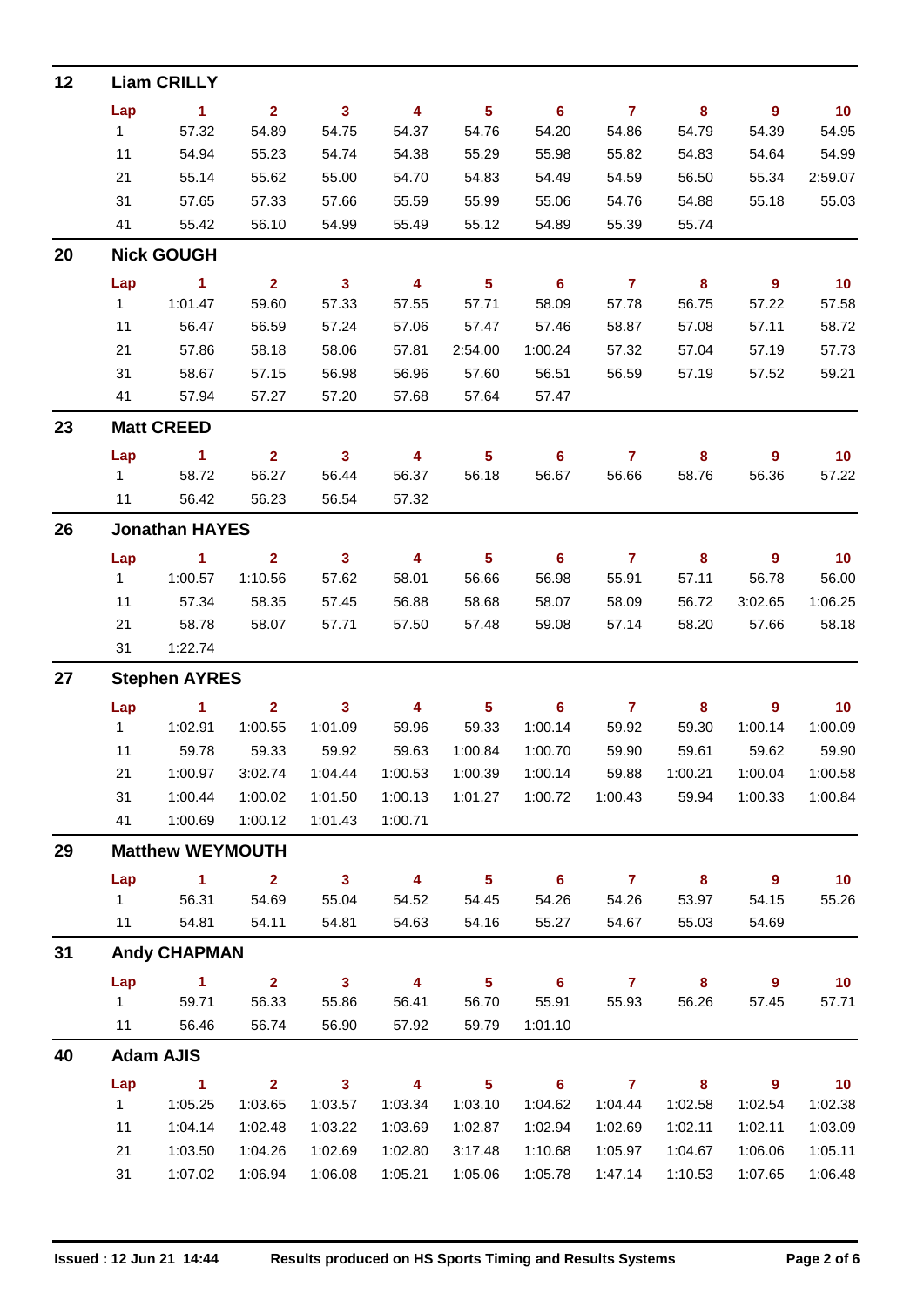| 12 |              | <b>Liam CRILLY</b>      |                    |                    |                         |                         |                    |                |                  |                    |                    |
|----|--------------|-------------------------|--------------------|--------------------|-------------------------|-------------------------|--------------------|----------------|------------------|--------------------|--------------------|
|    | Lap          | $\mathbf{1}$            | 2 <sup>1</sup>     | $\mathbf{3}$       | $\overline{\mathbf{4}}$ | 5 <sup>5</sup>          | 6                  | $\mathbf{7}$   | 8                | $\overline{9}$     | 10                 |
|    | 1            | 57.32                   | 54.89              | 54.75              | 54.37                   | 54.76                   | 54.20              | 54.86          | 54.79            | 54.39              | 54.95              |
|    | 11           | 54.94                   | 55.23              | 54.74              | 54.38                   | 55.29                   | 55.98              | 55.82          | 54.83            | 54.64              | 54.99              |
|    | 21           | 55.14                   | 55.62              | 55.00              | 54.70                   | 54.83                   | 54.49              | 54.59          | 56.50            | 55.34              | 2:59.07            |
|    | 31           | 57.65                   | 57.33              | 57.66              | 55.59                   | 55.99                   | 55.06              | 54.76          | 54.88            | 55.18              | 55.03              |
|    | 41           | 55.42                   | 56.10              | 54.99              | 55.49                   | 55.12                   | 54.89              | 55.39          | 55.74            |                    |                    |
| 20 |              | <b>Nick GOUGH</b>       |                    |                    |                         |                         |                    |                |                  |                    |                    |
|    | Lap          | 1                       | $\overline{2}$     | $\mathbf{3}$       | $\overline{\mathbf{4}}$ | $\overline{\mathbf{5}}$ | 6                  | $\mathbf{7}$   | 8                | $\overline{9}$     | 10 <sub>1</sub>    |
|    | $\mathbf{1}$ | 1:01.47                 | 59.60              | 57.33              | 57.55                   | 57.71                   | 58.09              | 57.78          | 56.75            | 57.22              | 57.58              |
|    | 11           | 56.47                   | 56.59              | 57.24              | 57.06                   | 57.47                   | 57.46              | 58.87          | 57.08            | 57.11              | 58.72              |
|    | 21           | 57.86                   | 58.18              | 58.06              | 57.81                   | 2:54.00                 | 1:00.24            | 57.32          | 57.04            | 57.19              | 57.73              |
|    | 31           | 58.67                   | 57.15              | 56.98              | 56.96                   | 57.60                   | 56.51              | 56.59          | 57.19            | 57.52              | 59.21              |
|    | 41           | 57.94                   | 57.27              | 57.20              | 57.68                   | 57.64                   | 57.47              |                |                  |                    |                    |
| 23 |              | <b>Matt CREED</b>       |                    |                    |                         |                         |                    |                |                  |                    |                    |
|    | Lap          | $\blacktriangleleft$    | 2 <sup>1</sup>     | $\mathbf{3}$       | 4                       | $5\phantom{a}$          | 6                  | $\mathbf{7}$   | 8                | 9                  | 10 <sub>1</sub>    |
|    | 1            | 58.72                   | 56.27              | 56.44              | 56.37                   | 56.18                   | 56.67              | 56.66          | 58.76            | 56.36              | 57.22              |
|    | 11           | 56.42                   | 56.23              | 56.54              | 57.32                   |                         |                    |                |                  |                    |                    |
| 26 |              | <b>Jonathan HAYES</b>   |                    |                    |                         |                         |                    |                |                  |                    |                    |
|    | Lap          | $\blacktriangleleft$    | $\overline{2}$     | $\mathbf{3}$       | $\overline{\mathbf{4}}$ | $5\phantom{a}$          | 6                  | $\overline{7}$ | 8                | 9                  | 10                 |
|    | 1            | 1:00.57                 | 1:10.56            | 57.62              | 58.01                   | 56.66                   | 56.98              | 55.91          | 57.11            | 56.78              | 56.00              |
|    | 11           | 57.34                   | 58.35              | 57.45              | 56.88                   | 58.68                   | 58.07              | 58.09          | 56.72            | 3:02.65            | 1:06.25            |
|    | 21           | 58.78                   | 58.07              | 57.71              | 57.50                   | 57.48                   | 59.08              | 57.14          | 58.20            | 57.66              | 58.18              |
|    | 31           | 1:22.74                 |                    |                    |                         |                         |                    |                |                  |                    |                    |
| 27 |              | <b>Stephen AYRES</b>    |                    |                    |                         |                         |                    |                |                  |                    |                    |
|    | Lap          | $\mathbf{1}$            | $\overline{2}$     | 3                  | 4                       | 5 <sub>5</sub>          | 6                  | $\mathbf{7}$   | 8                | 9                  | 10 <sub>1</sub>    |
|    | 1            | 1:02.91                 | 1:00.55            | 1:01.09            | 59.96                   | 59.33                   | 1:00.14            | 59.92          | 59.30            | 1:00.14            | 1:00.09            |
|    | 11           | 59.78<br>1:00.97        | 59.33              | 59.92              | 59.63                   | 1:00.84                 | 1:00.70            | 59.90<br>59.88 | 59.61            | 59.62              | 59.90              |
|    | 21<br>31     | 1:00.44                 | 3:02.74<br>1:00.02 | 1:04.44<br>1:01.50 | 1:00.53<br>1:00.13      | 1:00.39<br>1:01.27      | 1:00.14<br>1:00.72 | 1:00.43        | 1:00.21<br>59.94 | 1:00.04<br>1:00.33 | 1:00.58<br>1:00.84 |
|    | 41           | 1:00.69                 | 1:00.12            | 1:01.43            | 1:00.71                 |                         |                    |                |                  |                    |                    |
| 29 |              | <b>Matthew WEYMOUTH</b> |                    |                    |                         |                         |                    |                |                  |                    |                    |
|    | Lap          | 1                       | $\mathbf{2}$       | $\mathbf{3}$       | 4                       | 5 <sub>5</sub>          | 6                  | $\mathbf{7}$   | 8                | 9                  | 10 <sub>1</sub>    |
|    | $\mathbf 1$  | 56.31                   | 54.69              | 55.04              | 54.52                   | 54.45                   | 54.26              | 54.26          | 53.97            | 54.15              | 55.26              |
|    | 11           | 54.81                   | 54.11              | 54.81              | 54.63                   | 54.16                   | 55.27              | 54.67          | 55.03            | 54.69              |                    |
| 31 |              | <b>Andy CHAPMAN</b>     |                    |                    |                         |                         |                    |                |                  |                    |                    |
|    | Lap          | 1                       | $\overline{2}$     | $\mathbf{3}$       | 4                       | $\overline{\mathbf{5}}$ | 6                  | $\mathbf{7}$   | 8                | 9                  | 10                 |
|    | 1            | 59.71                   | 56.33              | 55.86              | 56.41                   | 56.70                   | 55.91              | 55.93          | 56.26            | 57.45              | 57.71              |
|    | 11           | 56.46                   | 56.74              | 56.90              | 57.92                   | 59.79                   | 1:01.10            |                |                  |                    |                    |
| 40 |              | <b>Adam AJIS</b>        |                    |                    |                         |                         |                    |                |                  |                    |                    |
|    | Lap          | 1                       | $\mathbf{2}$       | $\mathbf{3}$       | 4                       | 5                       | 6                  | $\mathbf{7}$   | 8                | 9                  | 10                 |
|    | $\mathbf{1}$ | 1:05.25                 | 1:03.65            | 1:03.57            | 1:03.34                 | 1:03.10                 | 1:04.62            | 1:04.44        | 1:02.58          | 1:02.54            | 1:02.38            |
|    | 11           | 1:04.14                 | 1:02.48            | 1:03.22            | 1:03.69                 | 1:02.87                 | 1:02.94            | 1:02.69        | 1:02.11          | 1:02.11            | 1:03.09            |
|    | 21           | 1:03.50                 | 1:04.26            | 1:02.69            | 1:02.80                 | 3:17.48                 | 1:10.68            | 1:05.97        | 1:04.67          | 1:06.06            | 1:05.11            |
|    | 31           | 1:07.02                 | 1:06.94            | 1:06.08            | 1:05.21                 | 1:05.06                 | 1:05.78            | 1:47.14        | 1:10.53          | 1:07.65            | 1:06.48            |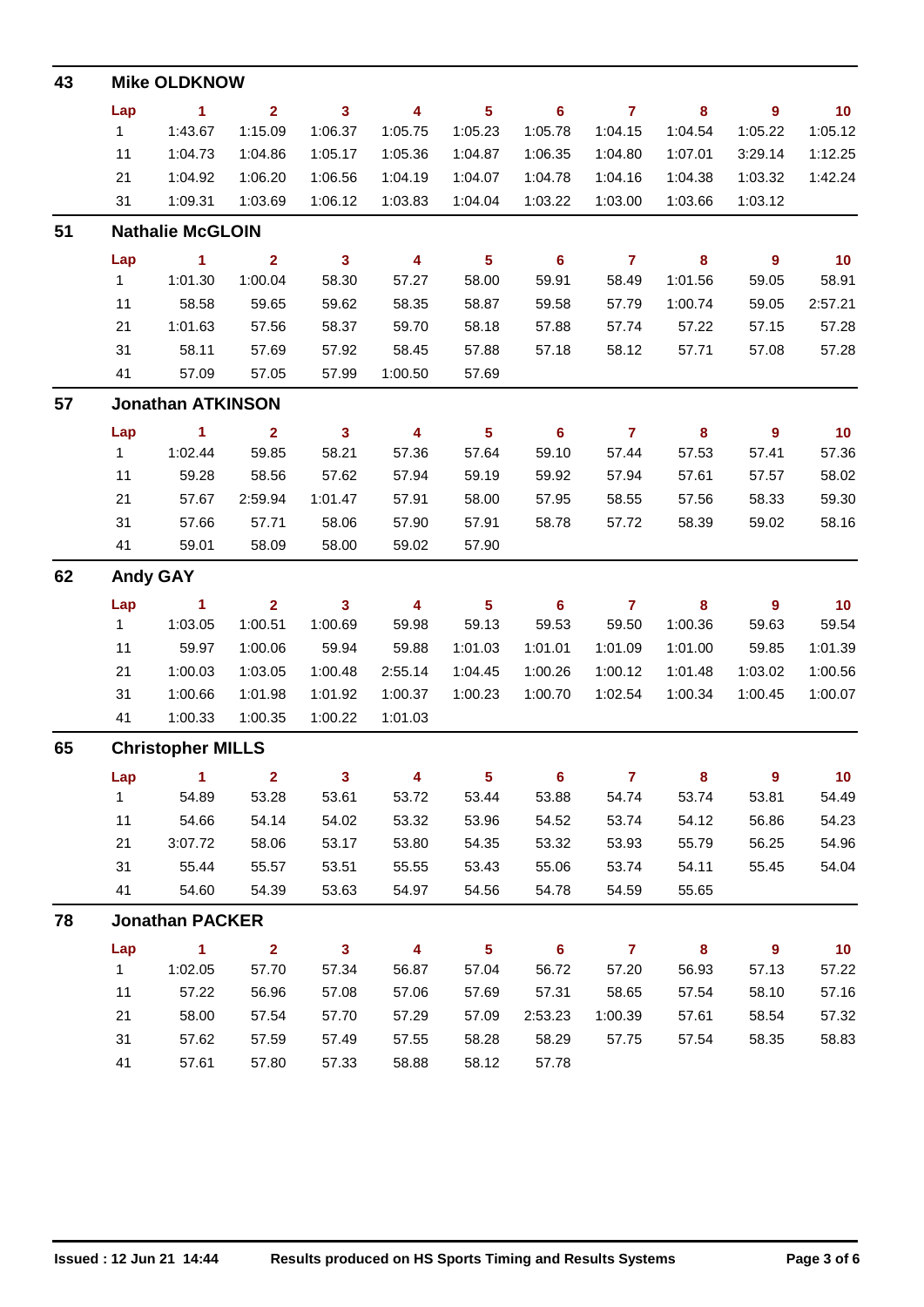| 43 |              | <b>Mike OLDKNOW</b>      |                |                         |                         |                         |                |                         |          |                  |                 |
|----|--------------|--------------------------|----------------|-------------------------|-------------------------|-------------------------|----------------|-------------------------|----------|------------------|-----------------|
|    | Lap          | 1                        | $\overline{2}$ | $\overline{\mathbf{3}}$ | 4                       | $5\phantom{a}$          | 6              | $\mathbf{7}$            | 8        | $\boldsymbol{9}$ | 10              |
|    | $\mathbf{1}$ | 1:43.67                  | 1:15.09        | 1:06.37                 | 1:05.75                 | 1:05.23                 | 1:05.78        | 1:04.15                 | 1:04.54  | 1:05.22          | 1:05.12         |
|    | 11           | 1:04.73                  | 1:04.86        | 1:05.17                 | 1:05.36                 | 1:04.87                 | 1:06.35        | 1:04.80                 | 1:07.01  | 3:29.14          | 1:12.25         |
|    | 21           | 1:04.92                  | 1:06.20        | 1:06.56                 | 1:04.19                 | 1:04.07                 | 1:04.78        | 1:04.16                 | 1:04.38  | 1:03.32          | 1:42.24         |
|    | 31           | 1:09.31                  | 1:03.69        | 1:06.12                 | 1:03.83                 | 1:04.04                 | 1:03.22        | 1:03.00                 | 1:03.66  | 1:03.12          |                 |
| 51 |              | <b>Nathalie McGLOIN</b>  |                |                         |                         |                         |                |                         |          |                  |                 |
|    | Lap          | 1                        | $\overline{2}$ | $\overline{\mathbf{3}}$ | 4                       | $5\phantom{a}$          | 6              | $\overline{7}$          | 8        | $\mathbf{9}$     | 10              |
|    | $\mathbf{1}$ | 1:01.30                  | 1:00.04        | 58.30                   | 57.27                   | 58.00                   | 59.91          | 58.49                   | 1:01.56  | 59.05            | 58.91           |
|    | 11           | 58.58                    | 59.65          | 59.62                   | 58.35                   | 58.87                   | 59.58          | 57.79                   | 1:00.74  | 59.05            | 2:57.21         |
|    | 21           | 1:01.63                  | 57.56          | 58.37                   | 59.70                   | 58.18                   | 57.88          | 57.74                   | 57.22    | 57.15            | 57.28           |
|    | 31           | 58.11                    | 57.69          | 57.92                   | 58.45                   | 57.88                   | 57.18          | 58.12                   | 57.71    | 57.08            | 57.28           |
|    | 41           | 57.09                    | 57.05          | 57.99                   | 1:00.50                 | 57.69                   |                |                         |          |                  |                 |
| 57 |              | <b>Jonathan ATKINSON</b> |                |                         |                         |                         |                |                         |          |                  |                 |
|    | Lap          | 1                        | $\mathbf{2}$   | $\overline{\mathbf{3}}$ | 4                       | $\overline{\mathbf{5}}$ | $6\phantom{1}$ | $\overline{7}$          | $\bf{8}$ | $\boldsymbol{9}$ | 10              |
|    | 1            | 1:02.44                  | 59.85          | 58.21                   | 57.36                   | 57.64                   | 59.10          | 57.44                   | 57.53    | 57.41            | 57.36           |
|    | 11           | 59.28                    | 58.56          | 57.62                   | 57.94                   | 59.19                   | 59.92          | 57.94                   | 57.61    | 57.57            | 58.02           |
|    | 21           | 57.67                    | 2:59.94        | 1:01.47                 | 57.91                   | 58.00                   | 57.95          | 58.55                   | 57.56    | 58.33            | 59.30           |
|    | 31           | 57.66                    | 57.71          | 58.06                   | 57.90                   | 57.91                   | 58.78          | 57.72                   | 58.39    | 59.02            | 58.16           |
|    | 41           | 59.01                    | 58.09          | 58.00                   | 59.02                   | 57.90                   |                |                         |          |                  |                 |
| 62 |              | <b>Andy GAY</b>          |                |                         |                         |                         |                |                         |          |                  |                 |
|    | Lap          | 1                        | $\overline{2}$ | $\mathbf{3}$            | 4                       | $5\phantom{a}$          | 6              | $\overline{\mathbf{r}}$ | 8        | 9                | 10              |
|    | 1            | 1:03.05                  | 1:00.51        | 1:00.69                 | 59.98                   | 59.13                   | 59.53          | 59.50                   | 1:00.36  | 59.63            | 59.54           |
|    | 11           | 59.97                    | 1:00.06        | 59.94                   | 59.88                   | 1:01.03                 | 1:01.01        | 1:01.09                 | 1:01.00  | 59.85            | 1:01.39         |
|    | 21           | 1:00.03                  | 1:03.05        | 1:00.48                 | 2:55.14                 | 1:04.45                 | 1:00.26        | 1:00.12                 | 1:01.48  | 1:03.02          | 1:00.56         |
|    | 31           | 1:00.66                  | 1:01.98        | 1:01.92                 | 1:00.37                 | 1:00.23                 | 1:00.70        | 1:02.54                 | 1:00.34  | 1:00.45          | 1:00.07         |
|    | 41           | 1:00.33                  | 1:00.35        | 1:00.22                 | 1:01.03                 |                         |                |                         |          |                  |                 |
| 65 |              | <b>Christopher MILLS</b> |                |                         |                         |                         |                |                         |          |                  |                 |
|    | Lap          | $\mathbf{1}$             | $\overline{2}$ | $\mathbf{3}$            | $\overline{\mathbf{4}}$ | $5\phantom{a}$          | $6\phantom{1}$ | $\overline{7}$          | $\bf{8}$ | 9                | 10 <sub>1</sub> |
|    | 1            | 54.89                    | 53.28          | 53.61                   | 53.72                   | 53.44                   | 53.88          | 54.74                   | 53.74    | 53.81            | 54.49           |
|    | 11           | 54.66                    | 54.14          | 54.02                   | 53.32                   | 53.96                   | 54.52          | 53.74                   | 54.12    | 56.86            | 54.23           |
|    | 21           | 3:07.72                  | 58.06          | 53.17                   | 53.80                   | 54.35                   | 53.32          | 53.93                   | 55.79    | 56.25            | 54.96           |
|    | 31           | 55.44                    | 55.57          | 53.51                   | 55.55                   | 53.43                   | 55.06          | 53.74                   | 54.11    | 55.45            | 54.04           |
|    | 41           | 54.60                    | 54.39          | 53.63                   | 54.97                   | 54.56                   | 54.78          | 54.59                   | 55.65    |                  |                 |
| 78 |              | <b>Jonathan PACKER</b>   |                |                         |                         |                         |                |                         |          |                  |                 |
|    | Lap          | $\mathbf{1}$             | 2 <sup>1</sup> | 3 <sup>1</sup>          | 4                       | $5\phantom{.0}$         | $6\phantom{1}$ | $\overline{7}$          | 8        | 9                | 10 <sub>1</sub> |
|    | 1            | 1:02.05                  | 57.70          | 57.34                   | 56.87                   | 57.04                   | 56.72          | 57.20                   | 56.93    | 57.13            | 57.22           |
|    | 11           | 57.22                    | 56.96          | 57.08                   | 57.06                   | 57.69                   | 57.31          | 58.65                   | 57.54    | 58.10            | 57.16           |
|    | 21           | 58.00                    | 57.54          | 57.70                   | 57.29                   | 57.09                   | 2:53.23        | 1:00.39                 | 57.61    | 58.54            | 57.32           |
|    | 31           | 57.62                    | 57.59          | 57.49                   | 57.55                   | 58.28                   | 58.29          | 57.75                   | 57.54    | 58.35            | 58.83           |
|    | 41           | 57.61                    | 57.80          | 57.33                   | 58.88                   | 58.12                   | 57.78          |                         |          |                  |                 |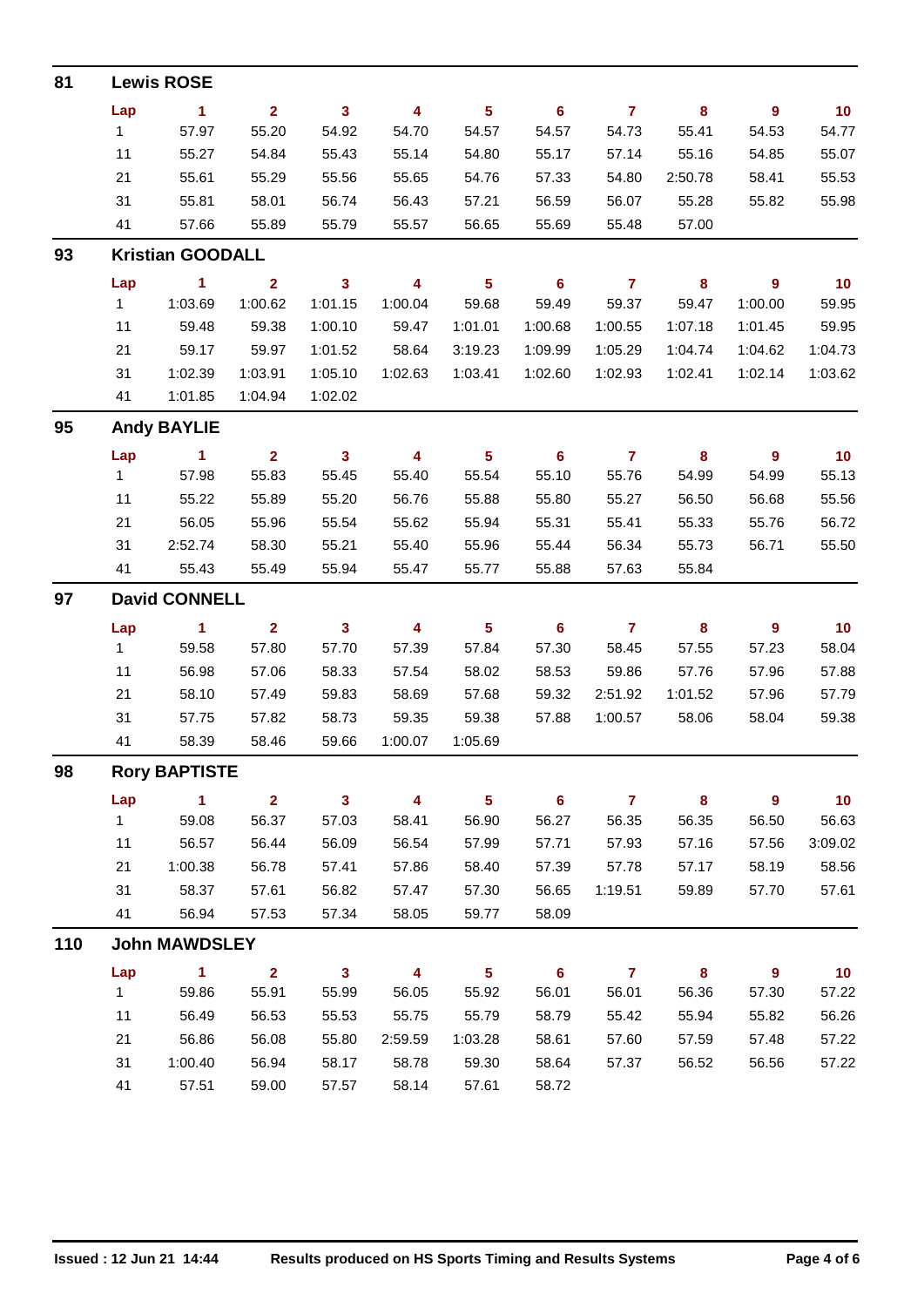| 81  |              | <b>Lewis ROSE</b>       |                |              |                         |                         |                |                |         |                  |                 |
|-----|--------------|-------------------------|----------------|--------------|-------------------------|-------------------------|----------------|----------------|---------|------------------|-----------------|
|     | Lap          | $\blacktriangleleft$    | 2 <sup>1</sup> | $\mathbf{3}$ | 4                       | $5\phantom{.0}$         | 6              | $\overline{7}$ | 8       | $\mathbf{9}$     | 10              |
|     | $\mathbf{1}$ | 57.97                   | 55.20          | 54.92        | 54.70                   | 54.57                   | 54.57          | 54.73          | 55.41   | 54.53            | 54.77           |
|     | 11           | 55.27                   | 54.84          | 55.43        | 55.14                   | 54.80                   | 55.17          | 57.14          | 55.16   | 54.85            | 55.07           |
|     | 21           | 55.61                   | 55.29          | 55.56        | 55.65                   | 54.76                   | 57.33          | 54.80          | 2:50.78 | 58.41            | 55.53           |
|     | 31           | 55.81                   | 58.01          | 56.74        | 56.43                   | 57.21                   | 56.59          | 56.07          | 55.28   | 55.82            | 55.98           |
|     | 41           | 57.66                   | 55.89          | 55.79        | 55.57                   | 56.65                   | 55.69          | 55.48          | 57.00   |                  |                 |
| 93  |              | <b>Kristian GOODALL</b> |                |              |                         |                         |                |                |         |                  |                 |
|     | Lap          | $\blacktriangleleft$    | $\overline{2}$ | $\mathbf{3}$ | $\overline{\mathbf{4}}$ | $5\phantom{.0}$         | 6              | $\mathbf{7}$   | 8       | $\mathbf{9}$     | 10              |
|     | $\mathbf{1}$ | 1:03.69                 | 1:00.62        | 1:01.15      | 1:00.04                 | 59.68                   | 59.49          | 59.37          | 59.47   | 1:00.00          | 59.95           |
|     | 11           | 59.48                   | 59.38          | 1:00.10      | 59.47                   | 1:01.01                 | 1:00.68        | 1:00.55        | 1:07.18 | 1:01.45          | 59.95           |
|     | 21           | 59.17                   | 59.97          | 1:01.52      | 58.64                   | 3:19.23                 | 1:09.99        | 1:05.29        | 1:04.74 | 1:04.62          | 1:04.73         |
|     | 31           | 1:02.39                 | 1:03.91        | 1:05.10      | 1:02.63                 | 1:03.41                 | 1:02.60        | 1:02.93        | 1:02.41 | 1:02.14          | 1:03.62         |
|     | 41           | 1:01.85                 | 1:04.94        | 1:02.02      |                         |                         |                |                |         |                  |                 |
| 95  |              | <b>Andy BAYLIE</b>      |                |              |                         |                         |                |                |         |                  |                 |
|     | Lap          | $\blacktriangleleft$    | 2 <sup>1</sup> | $\mathbf{3}$ | 4                       | $\overline{\mathbf{5}}$ | 6              | $\mathbf{7}$   | 8       | $\mathbf{9}$     | 10              |
|     | 1            | 57.98                   | 55.83          | 55.45        | 55.40                   | 55.54                   | 55.10          | 55.76          | 54.99   | 54.99            | 55.13           |
|     | 11           | 55.22                   | 55.89          | 55.20        | 56.76                   | 55.88                   | 55.80          | 55.27          | 56.50   | 56.68            | 55.56           |
|     | 21           | 56.05                   | 55.96          | 55.54        | 55.62                   | 55.94                   | 55.31          | 55.41          | 55.33   | 55.76            | 56.72           |
|     | 31           | 2:52.74                 | 58.30          | 55.21        | 55.40                   | 55.96                   | 55.44          | 56.34          | 55.73   | 56.71            | 55.50           |
|     | 41           | 55.43                   | 55.49          | 55.94        | 55.47                   | 55.77                   | 55.88          | 57.63          | 55.84   |                  |                 |
| 97  |              | <b>David CONNELL</b>    |                |              |                         |                         |                |                |         |                  |                 |
|     | Lap          | $\blacksquare$ 1        | 2 <sup>1</sup> | $\mathbf{3}$ | 4                       | $5\phantom{.0}$         | 6              | $\overline{7}$ | 8       | $\boldsymbol{9}$ | 10              |
|     | $\mathbf{1}$ | 59.58                   | 57.80          | 57.70        | 57.39                   | 57.84                   | 57.30          | 58.45          | 57.55   | 57.23            | 58.04           |
|     | 11           | 56.98                   | 57.06          | 58.33        | 57.54                   | 58.02                   | 58.53          | 59.86          | 57.76   | 57.96            | 57.88           |
|     | 21           | 58.10                   | 57.49          | 59.83        | 58.69                   | 57.68                   | 59.32          | 2:51.92        | 1:01.52 | 57.96            | 57.79           |
|     | 31           | 57.75                   | 57.82          | 58.73        | 59.35                   | 59.38                   | 57.88          | 1:00.57        | 58.06   | 58.04            | 59.38           |
|     | 41           | 58.39                   | 58.46          | 59.66        | 1:00.07                 | 1:05.69                 |                |                |         |                  |                 |
| 98  |              | <b>Rory BAPTISTE</b>    |                |              |                         |                         |                |                |         |                  |                 |
|     | Lap          | $\blacktriangleleft$    | 2 <sup>1</sup> | $\mathbf{3}$ | 4                       | $5\phantom{a}$          | 6              | $\overline{7}$ | 8       | $\boldsymbol{9}$ | 10              |
|     | $\mathbf{1}$ | 59.08                   | 56.37          | 57.03        | 58.41                   | 56.90                   | 56.27          | 56.35          | 56.35   | 56.50            | 56.63           |
|     | 11           | 56.57                   | 56.44          | 56.09        | 56.54                   | 57.99                   | 57.71          | 57.93          | 57.16   | 57.56            | 3:09.02         |
|     | 21           | 1:00.38                 | 56.78          | 57.41        | 57.86                   | 58.40                   | 57.39          | 57.78          | 57.17   | 58.19            | 58.56           |
|     | 31           | 58.37                   | 57.61          | 56.82        | 57.47                   | 57.30                   | 56.65          | 1:19.51        | 59.89   | 57.70            | 57.61           |
|     | 41           | 56.94                   | 57.53          | 57.34        | 58.05                   | 59.77                   | 58.09          |                |         |                  |                 |
| 110 |              | <b>John MAWDSLEY</b>    |                |              |                         |                         |                |                |         |                  |                 |
|     | Lap          | $\blacktriangleleft$    | $\overline{2}$ | $\mathbf{3}$ | $\overline{\mathbf{4}}$ | $5\phantom{a}$          | $6\phantom{a}$ | $\overline{7}$ | 8       | 9                | 10 <sub>1</sub> |
|     | $\mathbf{1}$ | 59.86                   | 55.91          | 55.99        | 56.05                   | 55.92                   | 56.01          | 56.01          | 56.36   | 57.30            | 57.22           |
|     | 11           | 56.49                   | 56.53          | 55.53        | 55.75                   | 55.79                   | 58.79          | 55.42          | 55.94   | 55.82            | 56.26           |
|     | 21           | 56.86                   | 56.08          | 55.80        | 2:59.59                 | 1:03.28                 | 58.61          | 57.60          | 57.59   | 57.48            | 57.22           |
|     | 31           | 1:00.40                 | 56.94          | 58.17        | 58.78                   | 59.30                   | 58.64          | 57.37          | 56.52   | 56.56            | 57.22           |
|     | 41           | 57.51                   | 59.00          | 57.57        | 58.14                   | 57.61                   | 58.72          |                |         |                  |                 |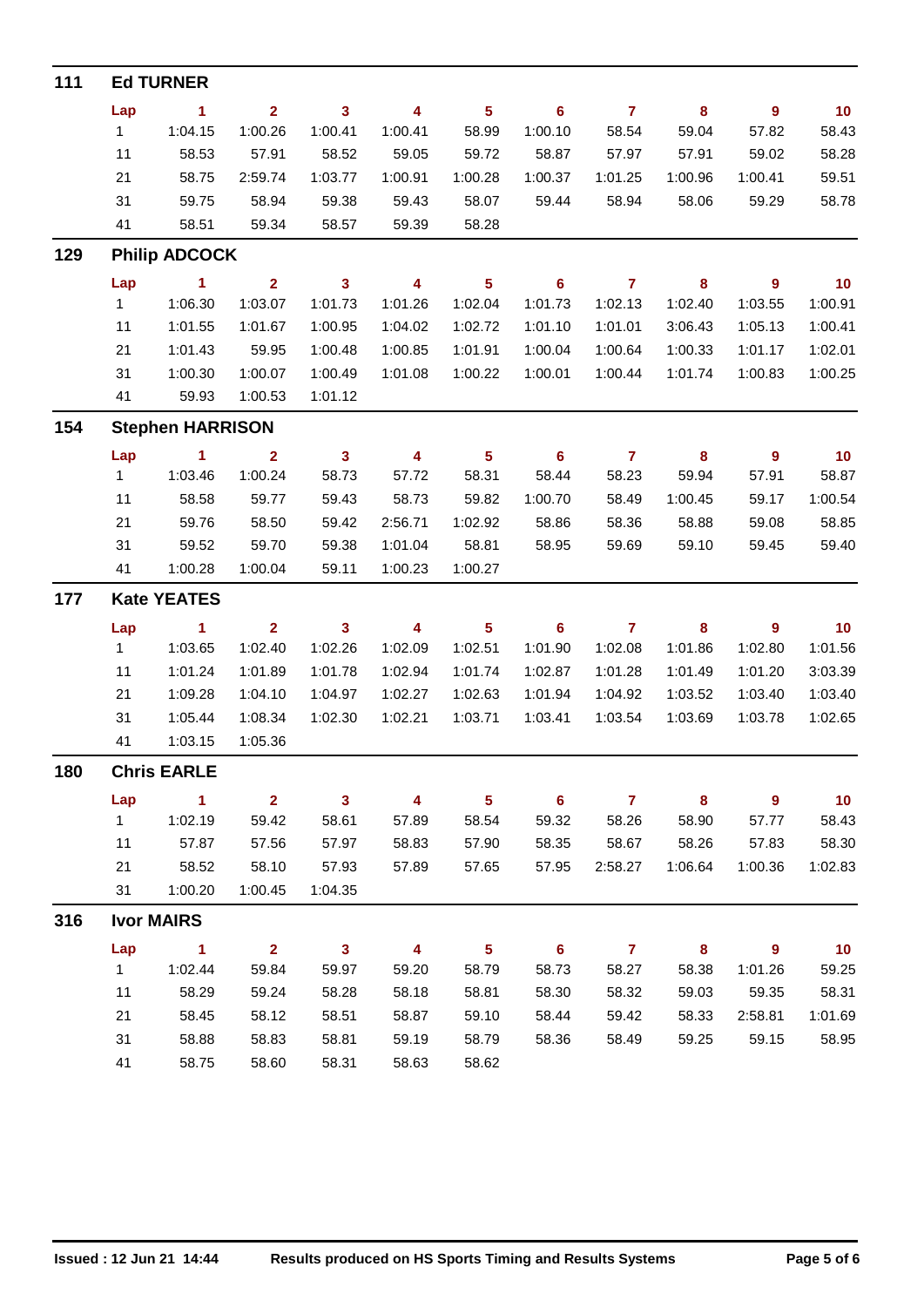| 111 |              | <b>Ed TURNER</b>        |                |                         |                         |                         |                |                |         |                  |         |
|-----|--------------|-------------------------|----------------|-------------------------|-------------------------|-------------------------|----------------|----------------|---------|------------------|---------|
|     | Lap          | $\blacktriangleleft$    | $\overline{2}$ | $\mathbf{3}$            | 4                       | $5\phantom{a}$          | 6              | $\mathbf{7}$   | 8       | $\boldsymbol{9}$ | 10      |
|     | $\mathbf{1}$ | 1:04.15                 | 1:00.26        | 1:00.41                 | 1:00.41                 | 58.99                   | 1:00.10        | 58.54          | 59.04   | 57.82            | 58.43   |
|     | 11           | 58.53                   | 57.91          | 58.52                   | 59.05                   | 59.72                   | 58.87          | 57.97          | 57.91   | 59.02            | 58.28   |
|     | 21           | 58.75                   | 2:59.74        | 1:03.77                 | 1:00.91                 | 1:00.28                 | 1:00.37        | 1:01.25        | 1:00.96 | 1:00.41          | 59.51   |
|     | 31           | 59.75                   | 58.94          | 59.38                   | 59.43                   | 58.07                   | 59.44          | 58.94          | 58.06   | 59.29            | 58.78   |
|     | 41           | 58.51                   | 59.34          | 58.57                   | 59.39                   | 58.28                   |                |                |         |                  |         |
| 129 |              | <b>Philip ADCOCK</b>    |                |                         |                         |                         |                |                |         |                  |         |
|     | Lap          | $\blacktriangleleft$    | $\overline{2}$ | $\overline{\mathbf{3}}$ | $\overline{\mathbf{4}}$ | $\overline{\mathbf{5}}$ | 6              | $\overline{7}$ | 8       | $\overline{9}$   | 10      |
|     | 1.           | 1:06.30                 | 1:03.07        | 1:01.73                 | 1:01.26                 | 1:02.04                 | 1:01.73        | 1:02.13        | 1:02.40 | 1:03.55          | 1:00.91 |
|     | 11           | 1:01.55                 | 1:01.67        | 1:00.95                 | 1:04.02                 | 1:02.72                 | 1:01.10        | 1:01.01        | 3:06.43 | 1:05.13          | 1:00.41 |
|     | 21           | 1:01.43                 | 59.95          | 1:00.48                 | 1:00.85                 | 1:01.91                 | 1:00.04        | 1:00.64        | 1:00.33 | 1:01.17          | 1:02.01 |
|     | 31           | 1:00.30                 | 1:00.07        | 1:00.49                 | 1:01.08                 | 1:00.22                 | 1:00.01        | 1:00.44        | 1:01.74 | 1:00.83          | 1:00.25 |
|     | 41           | 59.93                   | 1:00.53        | 1:01.12                 |                         |                         |                |                |         |                  |         |
| 154 |              | <b>Stephen HARRISON</b> |                |                         |                         |                         |                |                |         |                  |         |
|     | Lap          | $\mathbf{1}$            | $\overline{2}$ | $\mathbf{3}$            | 4                       | $5\phantom{a}$          | 6              | $\overline{7}$ | 8       | $\boldsymbol{9}$ | 10      |
|     | 1            | 1:03.46                 | 1:00.24        | 58.73                   | 57.72                   | 58.31                   | 58.44          | 58.23          | 59.94   | 57.91            | 58.87   |
|     | 11           | 58.58                   | 59.77          | 59.43                   | 58.73                   | 59.82                   | 1:00.70        | 58.49          | 1:00.45 | 59.17            | 1:00.54 |
|     | 21           | 59.76                   | 58.50          | 59.42                   | 2:56.71                 | 1:02.92                 | 58.86          | 58.36          | 58.88   | 59.08            | 58.85   |
|     | 31           | 59.52                   | 59.70          | 59.38                   | 1:01.04                 | 58.81                   | 58.95          | 59.69          | 59.10   | 59.45            | 59.40   |
|     | 41           | 1:00.28                 | 1:00.04        | 59.11                   | 1:00.23                 | 1:00.27                 |                |                |         |                  |         |
| 177 |              | <b>Kate YEATES</b>      |                |                         |                         |                         |                |                |         |                  |         |
|     | Lap          | $\sim$ 1                | $\mathbf{2}$   | $\mathbf{3}$            | $\overline{\mathbf{4}}$ | 5                       | 6              | $\overline{7}$ | 8       | $\overline{9}$   | 10      |
|     | $\mathbf{1}$ | 1:03.65                 | 1:02.40        | 1:02.26                 | 1:02.09                 | 1:02.51                 | 1:01.90        | 1:02.08        | 1:01.86 | 1:02.80          | 1:01.56 |
|     | 11           | 1:01.24                 | 1:01.89        | 1:01.78                 | 1:02.94                 | 1:01.74                 | 1:02.87        | 1:01.28        | 1:01.49 | 1:01.20          | 3:03.39 |
|     | 21           | 1:09.28                 | 1:04.10        | 1:04.97                 | 1:02.27                 | 1:02.63                 | 1:01.94        | 1:04.92        | 1:03.52 | 1:03.40          | 1:03.40 |
|     | 31           | 1:05.44                 | 1:08.34        | 1:02.30                 | 1:02.21                 | 1:03.71                 | 1:03.41        | 1:03.54        | 1:03.69 | 1:03.78          | 1:02.65 |
|     | 41           | 1:03.15                 | 1:05.36        |                         |                         |                         |                |                |         |                  |         |
| 180 |              | <b>Chris EARLE</b>      |                |                         |                         |                         |                |                |         |                  |         |
|     | Lap          | $\overline{1}$          | 2 <sup>1</sup> | $\mathbf{3}$            | 4                       | 5 <sup>5</sup>          | $6\phantom{1}$ | $\mathbf{7}$   | 8       | 9                | 10      |
|     | 1            | 1:02.19                 | 59.42          | 58.61                   | 57.89                   | 58.54                   | 59.32          | 58.26          | 58.90   | 57.77            | 58.43   |
|     | 11           | 57.87                   | 57.56          | 57.97                   | 58.83                   | 57.90                   | 58.35          | 58.67          | 58.26   | 57.83            | 58.30   |
|     | 21           | 58.52                   | 58.10          | 57.93                   | 57.89                   | 57.65                   | 57.95          | 2:58.27        | 1:06.64 | 1:00.36          | 1:02.83 |
|     | 31           | 1:00.20                 | 1:00.45        | 1:04.35                 |                         |                         |                |                |         |                  |         |
| 316 |              | <b>Ivor MAIRS</b>       |                |                         |                         |                         |                |                |         |                  |         |
|     | Lap          | $\mathbf{1}$            | 2 <sup>1</sup> | $\mathbf{3}$            | 4                       | 5 <sup>5</sup>          | $6\phantom{1}$ | $\mathbf{7}$   | 8       | $\mathbf{9}$     | 10      |
|     | 1            | 1:02.44                 | 59.84          | 59.97                   | 59.20                   | 58.79                   | 58.73          | 58.27          | 58.38   | 1:01.26          | 59.25   |
|     | 11           | 58.29                   | 59.24          | 58.28                   | 58.18                   | 58.81                   | 58.30          | 58.32          | 59.03   | 59.35            | 58.31   |
|     | 21           | 58.45                   | 58.12          | 58.51                   | 58.87                   | 59.10                   | 58.44          | 59.42          | 58.33   | 2:58.81          | 1:01.69 |
|     | 31           | 58.88                   | 58.83          | 58.81                   | 59.19                   | 58.79                   | 58.36          | 58.49          | 59.25   | 59.15            | 58.95   |
|     | 41           | 58.75                   | 58.60          | 58.31                   | 58.63                   | 58.62                   |                |                |         |                  |         |